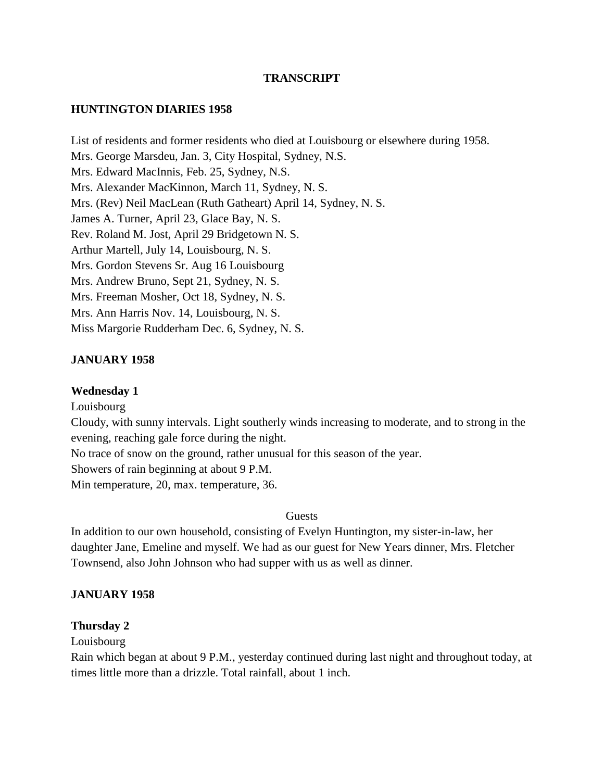### **TRANSCRIPT**

#### **HUNTINGTON DIARIES 1958**

List of residents and former residents who died at Louisbourg or elsewhere during 1958. Mrs. George Marsdeu, Jan. 3, City Hospital, Sydney, N.S. Mrs. Edward MacInnis, Feb. 25, Sydney, N.S. Mrs. Alexander MacKinnon, March 11, Sydney, N. S. Mrs. (Rev) Neil MacLean (Ruth Gatheart) April 14, Sydney, N. S. James A. Turner, April 23, Glace Bay, N. S. Rev. Roland M. Jost, April 29 Bridgetown N. S. Arthur Martell, July 14, Louisbourg, N. S. Mrs. Gordon Stevens Sr. Aug 16 Louisbourg Mrs. Andrew Bruno, Sept 21, Sydney, N. S. Mrs. Freeman Mosher, Oct 18, Sydney, N. S. Mrs. Ann Harris Nov. 14, Louisbourg, N. S. Miss Margorie Rudderham Dec. 6, Sydney, N. S.

#### **JANUARY 1958**

#### **Wednesday 1**

Louisbourg Cloudy, with sunny intervals. Light southerly winds increasing to moderate, and to strong in the evening, reaching gale force during the night. No trace of snow on the ground, rather unusual for this season of the year. Showers of rain beginning at about 9 P.M.

Min temperature, 20, max. temperature, 36.

#### **Guests**

In addition to our own household, consisting of Evelyn Huntington, my sister-in-law, her daughter Jane, Emeline and myself. We had as our guest for New Years dinner, Mrs. Fletcher Townsend, also John Johnson who had supper with us as well as dinner.

#### **JANUARY 1958**

#### **Thursday 2**

Louisbourg

Rain which began at about 9 P.M., yesterday continued during last night and throughout today, at times little more than a drizzle. Total rainfall, about 1 inch.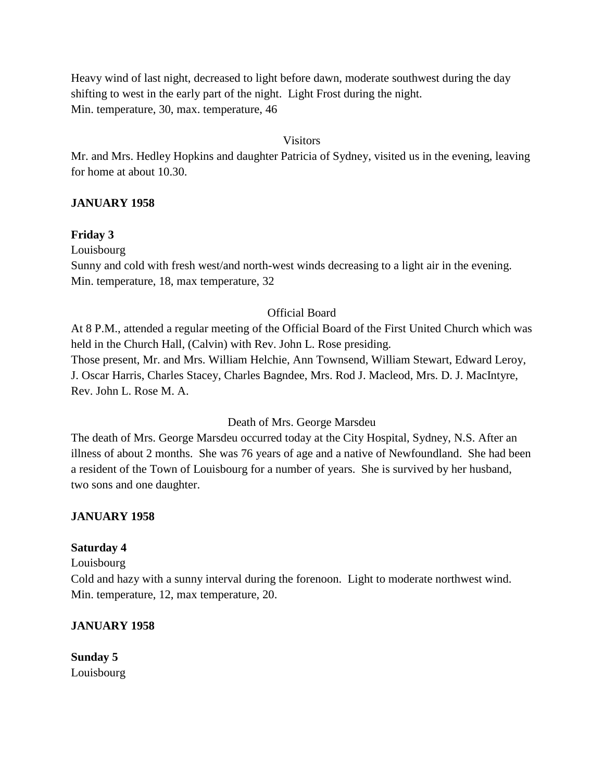Heavy wind of last night, decreased to light before dawn, moderate southwest during the day shifting to west in the early part of the night. Light Frost during the night. Min. temperature, 30, max. temperature, 46

#### Visitors

Mr. and Mrs. Hedley Hopkins and daughter Patricia of Sydney, visited us in the evening, leaving for home at about 10.30.

### **JANUARY 1958**

### **Friday 3**

Louisbourg

Sunny and cold with fresh west/and north-west winds decreasing to a light air in the evening. Min. temperature, 18, max temperature, 32

### Official Board

At 8 P.M., attended a regular meeting of the Official Board of the First United Church which was held in the Church Hall, (Calvin) with Rev. John L. Rose presiding. Those present, Mr. and Mrs. William Helchie, Ann Townsend, William Stewart, Edward Leroy, J. Oscar Harris, Charles Stacey, Charles Bagndee, Mrs. Rod J. Macleod, Mrs. D. J. MacIntyre, Rev. John L. Rose M. A.

#### Death of Mrs. George Marsdeu

The death of Mrs. George Marsdeu occurred today at the City Hospital, Sydney, N.S. After an illness of about 2 months. She was 76 years of age and a native of Newfoundland. She had been a resident of the Town of Louisbourg for a number of years. She is survived by her husband, two sons and one daughter.

### **JANUARY 1958**

### **Saturday 4**

Louisbourg

Cold and hazy with a sunny interval during the forenoon. Light to moderate northwest wind. Min. temperature, 12, max temperature, 20.

### **JANUARY 1958**

**Sunday 5** Louisbourg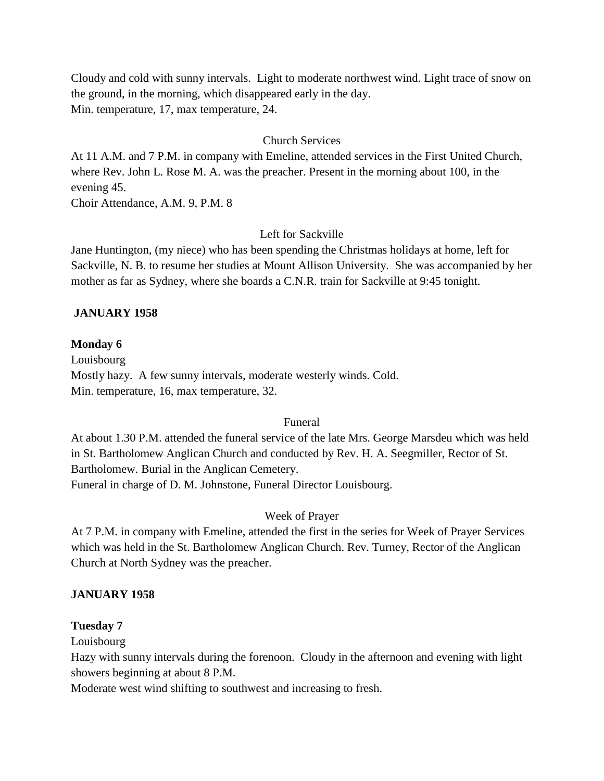Cloudy and cold with sunny intervals. Light to moderate northwest wind. Light trace of snow on the ground, in the morning, which disappeared early in the day. Min. temperature, 17, max temperature, 24.

#### Church Services

At 11 A.M. and 7 P.M. in company with Emeline, attended services in the First United Church, where Rev. John L. Rose M. A. was the preacher. Present in the morning about 100, in the evening 45.

Choir Attendance, A.M. 9, P.M. 8

### Left for Sackville

Jane Huntington, (my niece) who has been spending the Christmas holidays at home, left for Sackville, N. B. to resume her studies at Mount Allison University. She was accompanied by her mother as far as Sydney, where she boards a C.N.R. train for Sackville at 9:45 tonight.

#### **JANUARY 1958**

#### **Monday 6**

Louisbourg Mostly hazy. A few sunny intervals, moderate westerly winds. Cold. Min. temperature, 16, max temperature, 32.

#### Funeral

At about 1.30 P.M. attended the funeral service of the late Mrs. George Marsdeu which was held in St. Bartholomew Anglican Church and conducted by Rev. H. A. Seegmiller, Rector of St. Bartholomew. Burial in the Anglican Cemetery. Funeral in charge of D. M. Johnstone, Funeral Director Louisbourg.

#### Week of Prayer

At 7 P.M. in company with Emeline, attended the first in the series for Week of Prayer Services which was held in the St. Bartholomew Anglican Church. Rev. Turney, Rector of the Anglican Church at North Sydney was the preacher.

### **JANUARY 1958**

#### **Tuesday 7**

Louisbourg

Hazy with sunny intervals during the forenoon. Cloudy in the afternoon and evening with light showers beginning at about 8 P.M.

Moderate west wind shifting to southwest and increasing to fresh.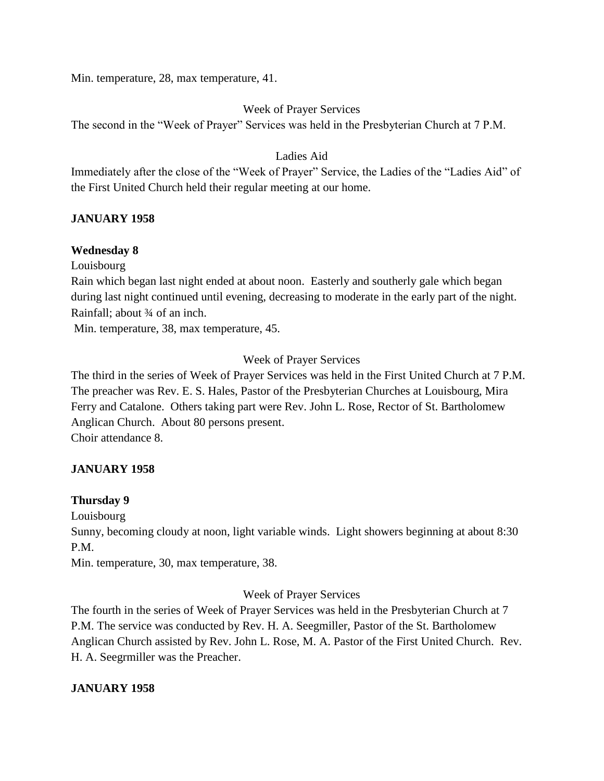Min. temperature, 28, max temperature, 41.

## Week of Prayer Services

The second in the "Week of Prayer" Services was held in the Presbyterian Church at 7 P.M.

## Ladies Aid

Immediately after the close of the "Week of Prayer" Service, the Ladies of the "Ladies Aid" of the First United Church held their regular meeting at our home.

## **JANUARY 1958**

### **Wednesday 8**

Louisbourg

Rain which began last night ended at about noon. Easterly and southerly gale which began during last night continued until evening, decreasing to moderate in the early part of the night. Rainfall; about ¾ of an inch.

Min. temperature, 38, max temperature, 45.

## Week of Prayer Services

The third in the series of Week of Prayer Services was held in the First United Church at 7 P.M. The preacher was Rev. E. S. Hales, Pastor of the Presbyterian Churches at Louisbourg, Mira Ferry and Catalone. Others taking part were Rev. John L. Rose, Rector of St. Bartholomew Anglican Church. About 80 persons present. Choir attendance 8.

### **JANUARY 1958**

### **Thursday 9**

Louisbourg

Sunny, becoming cloudy at noon, light variable winds. Light showers beginning at about 8:30 P.M.

Min. temperature, 30, max temperature, 38.

### Week of Prayer Services

The fourth in the series of Week of Prayer Services was held in the Presbyterian Church at 7 P.M. The service was conducted by Rev. H. A. Seegmiller, Pastor of the St. Bartholomew Anglican Church assisted by Rev. John L. Rose, M. A. Pastor of the First United Church. Rev. H. A. Seegrmiller was the Preacher.

### **JANUARY 1958**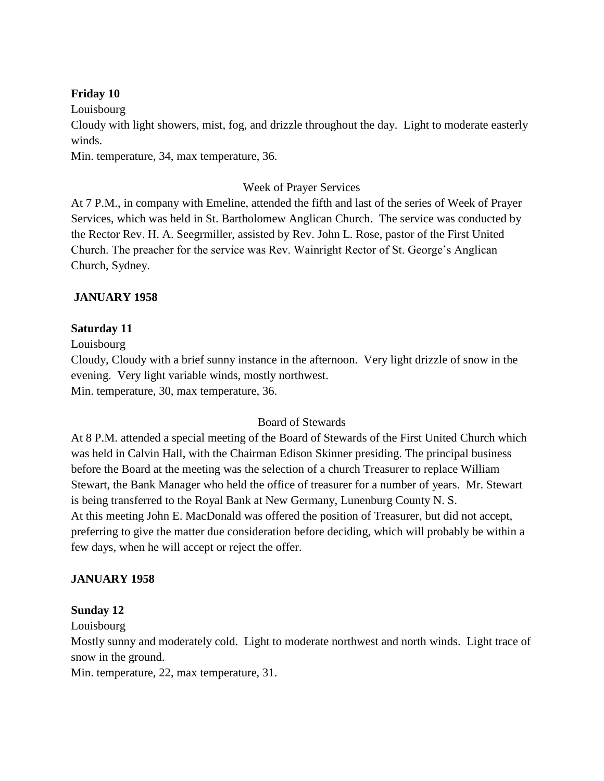### **Friday 10**

Louisbourg

Cloudy with light showers, mist, fog, and drizzle throughout the day. Light to moderate easterly winds.

Min. temperature, 34, max temperature, 36.

### Week of Prayer Services

At 7 P.M., in company with Emeline, attended the fifth and last of the series of Week of Prayer Services, which was held in St. Bartholomew Anglican Church. The service was conducted by the Rector Rev. H. A. Seegrmiller, assisted by Rev. John L. Rose, pastor of the First United Church. The preacher for the service was Rev. Wainright Rector of St. George's Anglican Church, Sydney.

### **JANUARY 1958**

### **Saturday 11**

Louisbourg

Cloudy, Cloudy with a brief sunny instance in the afternoon. Very light drizzle of snow in the evening. Very light variable winds, mostly northwest. Min. temperature, 30, max temperature, 36.

#### Board of Stewards

At 8 P.M. attended a special meeting of the Board of Stewards of the First United Church which was held in Calvin Hall, with the Chairman Edison Skinner presiding. The principal business before the Board at the meeting was the selection of a church Treasurer to replace William Stewart, the Bank Manager who held the office of treasurer for a number of years. Mr. Stewart is being transferred to the Royal Bank at New Germany, Lunenburg County N. S. At this meeting John E. MacDonald was offered the position of Treasurer, but did not accept, preferring to give the matter due consideration before deciding, which will probably be within a few days, when he will accept or reject the offer.

### **JANUARY 1958**

#### **Sunday 12**

Louisbourg

Mostly sunny and moderately cold. Light to moderate northwest and north winds. Light trace of snow in the ground.

Min. temperature, 22, max temperature, 31.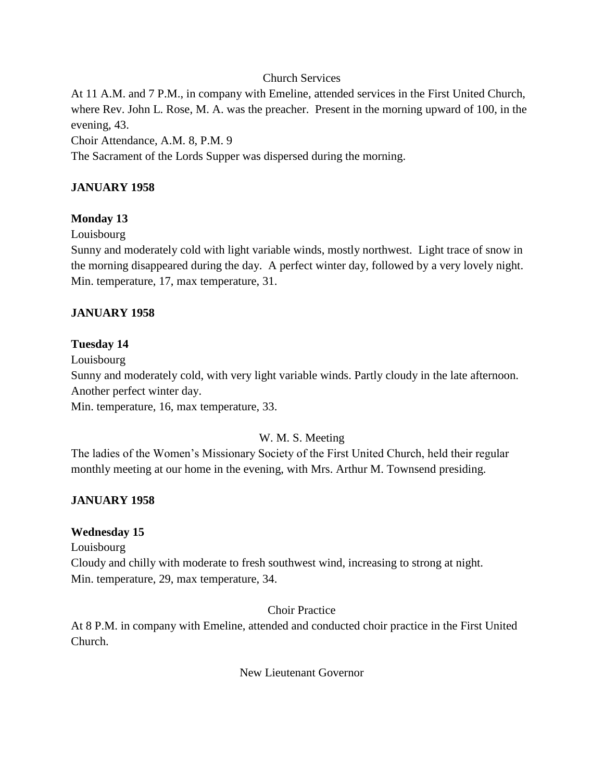### Church Services

At 11 A.M. and 7 P.M., in company with Emeline, attended services in the First United Church, where Rev. John L. Rose, M. A. was the preacher. Present in the morning upward of 100, in the evening, 43.

Choir Attendance, A.M. 8, P.M. 9

The Sacrament of the Lords Supper was dispersed during the morning.

# **JANUARY 1958**

### **Monday 13**

Louisbourg

Sunny and moderately cold with light variable winds, mostly northwest. Light trace of snow in the morning disappeared during the day. A perfect winter day, followed by a very lovely night. Min. temperature, 17, max temperature, 31.

### **JANUARY 1958**

### **Tuesday 14**

Louisbourg

Sunny and moderately cold, with very light variable winds. Partly cloudy in the late afternoon. Another perfect winter day.

Min. temperature, 16, max temperature, 33.

#### W. M. S. Meeting

The ladies of the Women's Missionary Society of the First United Church, held their regular monthly meeting at our home in the evening, with Mrs. Arthur M. Townsend presiding.

#### **JANUARY 1958**

#### **Wednesday 15**

Louisbourg

Cloudy and chilly with moderate to fresh southwest wind, increasing to strong at night. Min. temperature, 29, max temperature, 34.

#### Choir Practice

At 8 P.M. in company with Emeline, attended and conducted choir practice in the First United Church.

New Lieutenant Governor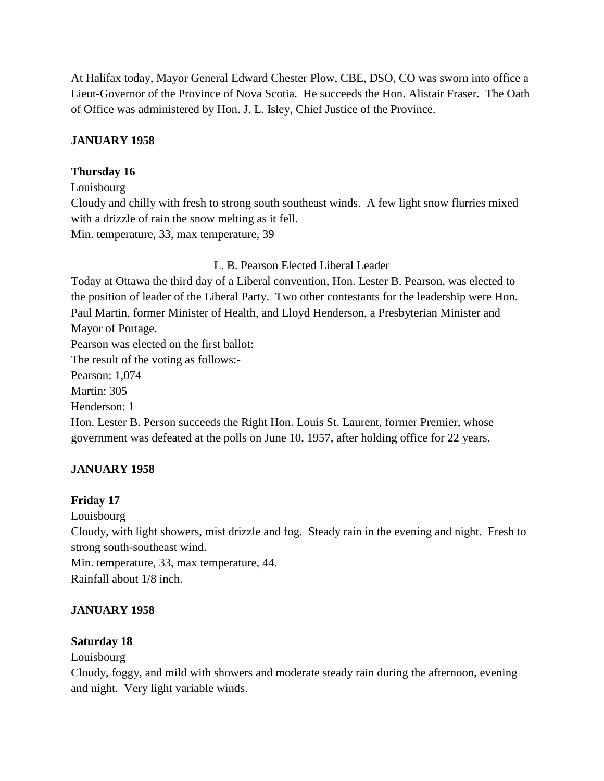At Halifax today, Mayor General Edward Chester Plow, CBE, DSO, CO was sworn into office a Lieut-Governor of the Province of Nova Scotia. He succeeds the Hon. Alistair Fraser. The Oath of Office was administered by Hon. J. L. Isley, Chief Justice of the Province.

## **JANUARY 1958**

## **Thursday 16**

Louisbourg

Cloudy and chilly with fresh to strong south southeast winds. A few light snow flurries mixed with a drizzle of rain the snow melting as it fell. Min. temperature, 33, max temperature, 39

L. B. Pearson Elected Liberal Leader

Today at Ottawa the third day of a Liberal convention, Hon. Lester B. Pearson, was elected to the position of leader of the Liberal Party. Two other contestants for the leadership were Hon. Paul Martin, former Minister of Health, and Lloyd Henderson, a Presbyterian Minister and Mayor of Portage.

Pearson was elected on the first ballot:

The result of the voting as follows:-

Pearson: 1,074

Martin: 305

Henderson: 1

Hon. Lester B. Person succeeds the Right Hon. Louis St. Laurent, former Premier, whose government was defeated at the polls on June 10, 1957, after holding office for 22 years.

# **JANUARY 1958**

### **Friday 17**

Louisbourg

Cloudy, with light showers, mist drizzle and fog. Steady rain in the evening and night. Fresh to strong south-southeast wind.

Min. temperature, 33, max temperature, 44. Rainfall about 1/8 inch.

# **JANUARY 1958**

### **Saturday 18**

Louisbourg

Cloudy, foggy, and mild with showers and moderate steady rain during the afternoon, evening and night. Very light variable winds.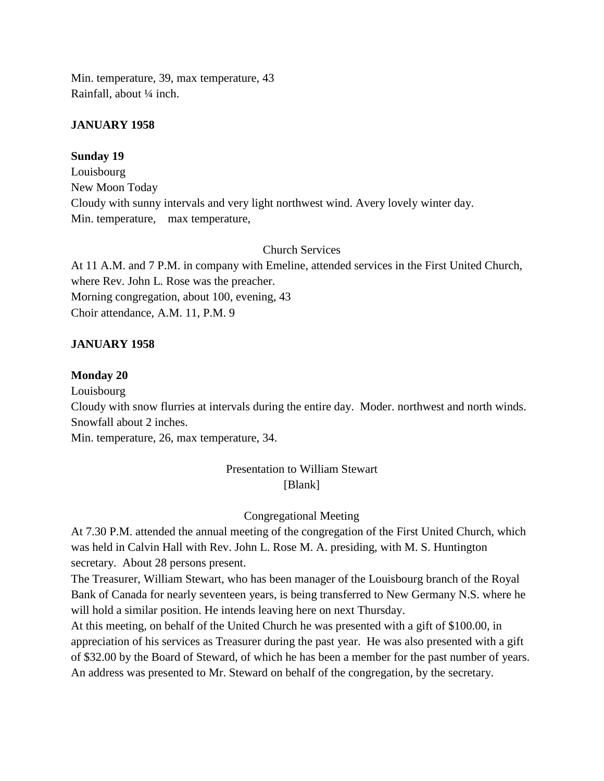Min. temperature, 39, max temperature, 43 Rainfall, about ¼ inch.

### **JANUARY 1958**

### **Sunday 19**

Louisbourg New Moon Today Cloudy with sunny intervals and very light northwest wind. Avery lovely winter day. Min. temperature, max temperature,

### Church Services

At 11 A.M. and 7 P.M. in company with Emeline, attended services in the First United Church, where Rev. John L. Rose was the preacher. Morning congregation, about 100, evening, 43 Choir attendance, A.M. 11, P.M. 9

### **JANUARY 1958**

#### **Monday 20**

Louisbourg

Cloudy with snow flurries at intervals during the entire day. Moder. northwest and north winds. Snowfall about 2 inches.

Min. temperature, 26, max temperature, 34.

# Presentation to William Stewart [Blank]

### Congregational Meeting

At 7.30 P.M. attended the annual meeting of the congregation of the First United Church, which was held in Calvin Hall with Rev. John L. Rose M. A. presiding, with M. S. Huntington secretary. About 28 persons present.

The Treasurer, William Stewart, who has been manager of the Louisbourg branch of the Royal Bank of Canada for nearly seventeen years, is being transferred to New Germany N.S. where he will hold a similar position. He intends leaving here on next Thursday.

At this meeting, on behalf of the United Church he was presented with a gift of \$100.00, in appreciation of his services as Treasurer during the past year. He was also presented with a gift of \$32.00 by the Board of Steward, of which he has been a member for the past number of years. An address was presented to Mr. Steward on behalf of the congregation, by the secretary.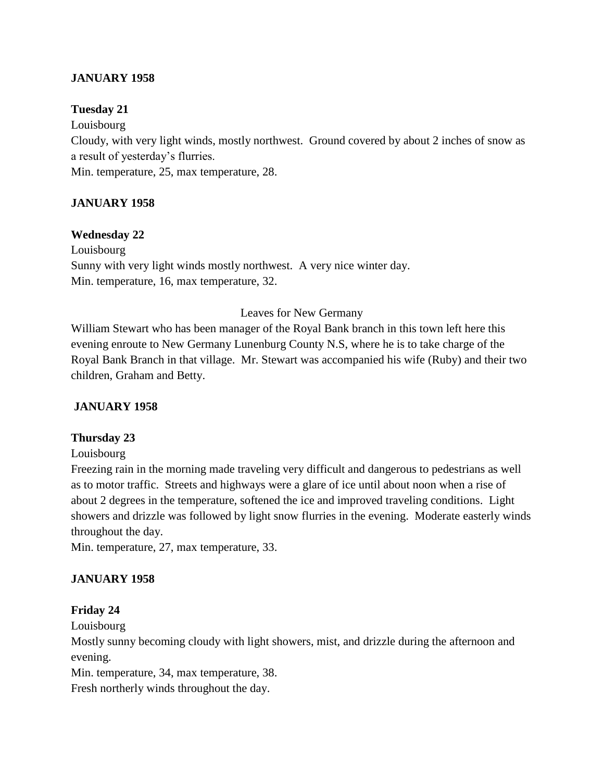## **JANUARY 1958**

### **Tuesday 21**

Louisbourg Cloudy, with very light winds, mostly northwest. Ground covered by about 2 inches of snow as a result of yesterday's flurries. Min. temperature, 25, max temperature, 28.

## **JANUARY 1958**

### **Wednesday 22**

Louisbourg Sunny with very light winds mostly northwest. A very nice winter day. Min. temperature, 16, max temperature, 32.

#### Leaves for New Germany

William Stewart who has been manager of the Royal Bank branch in this town left here this evening enroute to New Germany Lunenburg County N.S, where he is to take charge of the Royal Bank Branch in that village. Mr. Stewart was accompanied his wife (Ruby) and their two children, Graham and Betty.

### **JANUARY 1958**

#### **Thursday 23**

#### Louisbourg

Freezing rain in the morning made traveling very difficult and dangerous to pedestrians as well as to motor traffic. Streets and highways were a glare of ice until about noon when a rise of about 2 degrees in the temperature, softened the ice and improved traveling conditions. Light showers and drizzle was followed by light snow flurries in the evening. Moderate easterly winds throughout the day.

Min. temperature, 27, max temperature, 33.

### **JANUARY 1958**

### **Friday 24**

Louisbourg

Mostly sunny becoming cloudy with light showers, mist, and drizzle during the afternoon and evening.

Min. temperature, 34, max temperature, 38.

Fresh northerly winds throughout the day.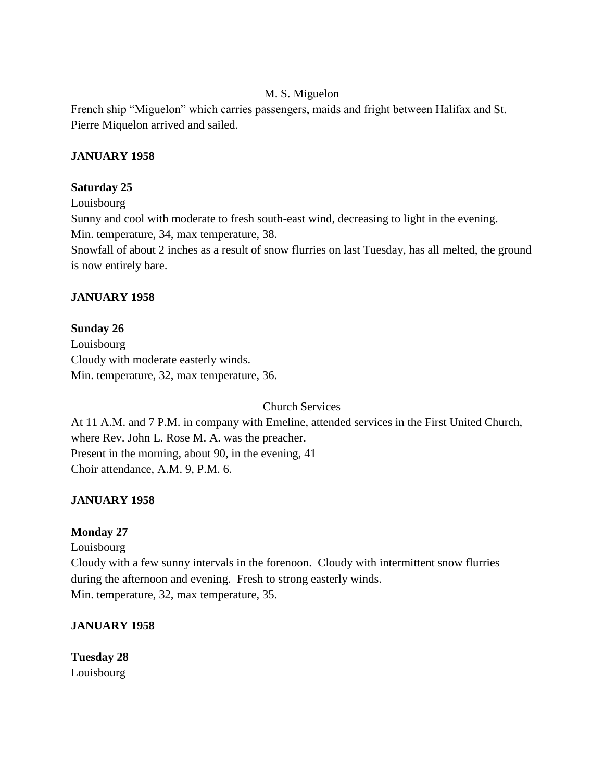### M. S. Miguelon

French ship "Miguelon" which carries passengers, maids and fright between Halifax and St. Pierre Miquelon arrived and sailed.

### **JANUARY 1958**

### **Saturday 25**

Louisbourg

Sunny and cool with moderate to fresh south-east wind, decreasing to light in the evening.

Min. temperature, 34, max temperature, 38.

Snowfall of about 2 inches as a result of snow flurries on last Tuesday, has all melted, the ground is now entirely bare.

### **JANUARY 1958**

### **Sunday 26**

Louisbourg Cloudy with moderate easterly winds. Min. temperature, 32, max temperature, 36.

Church Services

At 11 A.M. and 7 P.M. in company with Emeline, attended services in the First United Church, where Rev. John L. Rose M. A. was the preacher. Present in the morning, about 90, in the evening, 41 Choir attendance, A.M. 9, P.M. 6.

### **JANUARY 1958**

### **Monday 27**

Louisbourg

Cloudy with a few sunny intervals in the forenoon. Cloudy with intermittent snow flurries during the afternoon and evening. Fresh to strong easterly winds. Min. temperature, 32, max temperature, 35.

### **JANUARY 1958**

**Tuesday 28**  Louisbourg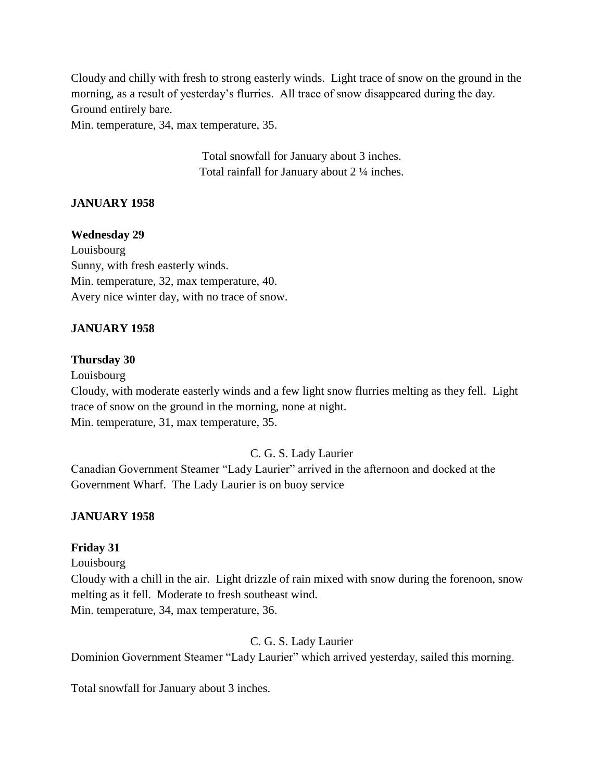Cloudy and chilly with fresh to strong easterly winds. Light trace of snow on the ground in the morning, as a result of yesterday's flurries. All trace of snow disappeared during the day. Ground entirely bare.

Min. temperature, 34, max temperature, 35.

Total snowfall for January about 3 inches. Total rainfall for January about 2 ¼ inches.

## **JANUARY 1958**

#### **Wednesday 29**

Louisbourg Sunny, with fresh easterly winds. Min. temperature, 32, max temperature, 40. Avery nice winter day, with no trace of snow.

### **JANUARY 1958**

#### **Thursday 30**

Louisbourg Cloudy, with moderate easterly winds and a few light snow flurries melting as they fell. Light trace of snow on the ground in the morning, none at night. Min. temperature, 31, max temperature, 35.

### C. G. S. Lady Laurier

Canadian Government Steamer "Lady Laurier" arrived in the afternoon and docked at the Government Wharf. The Lady Laurier is on buoy service

### **JANUARY 1958**

#### **Friday 31**

Louisbourg

Cloudy with a chill in the air. Light drizzle of rain mixed with snow during the forenoon, snow melting as it fell. Moderate to fresh southeast wind.

Min. temperature, 34, max temperature, 36.

### C. G. S. Lady Laurier

Dominion Government Steamer "Lady Laurier" which arrived yesterday, sailed this morning.

Total snowfall for January about 3 inches.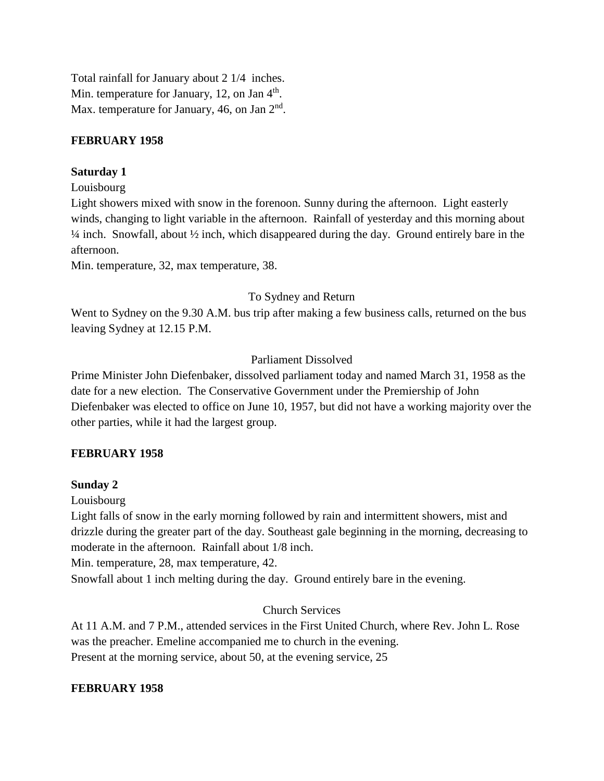Total rainfall for January about 2 1/4 inches. Min. temperature for January, 12, on Jan 4<sup>th</sup>. Max. temperature for January, 46, on Jan  $2<sup>nd</sup>$ .

### **FEBRUARY 1958**

## **Saturday 1**

Louisbourg

Light showers mixed with snow in the forenoon. Sunny during the afternoon. Light easterly winds, changing to light variable in the afternoon. Rainfall of yesterday and this morning about  $\frac{1}{4}$  inch. Snowfall, about  $\frac{1}{2}$  inch, which disappeared during the day. Ground entirely bare in the afternoon.

Min. temperature, 32, max temperature, 38.

## To Sydney and Return

Went to Sydney on the 9.30 A.M. bus trip after making a few business calls, returned on the bus leaving Sydney at 12.15 P.M.

# Parliament Dissolved

Prime Minister John Diefenbaker, dissolved parliament today and named March 31, 1958 as the date for a new election. The Conservative Government under the Premiership of John Diefenbaker was elected to office on June 10, 1957, but did not have a working majority over the other parties, while it had the largest group.

# **FEBRUARY 1958**

### **Sunday 2**

Louisbourg

Light falls of snow in the early morning followed by rain and intermittent showers, mist and drizzle during the greater part of the day. Southeast gale beginning in the morning, decreasing to moderate in the afternoon. Rainfall about 1/8 inch.

Min. temperature, 28, max temperature, 42.

Snowfall about 1 inch melting during the day. Ground entirely bare in the evening.

# Church Services

At 11 A.M. and 7 P.M., attended services in the First United Church, where Rev. John L. Rose was the preacher. Emeline accompanied me to church in the evening. Present at the morning service, about 50, at the evening service, 25

### **FEBRUARY 1958**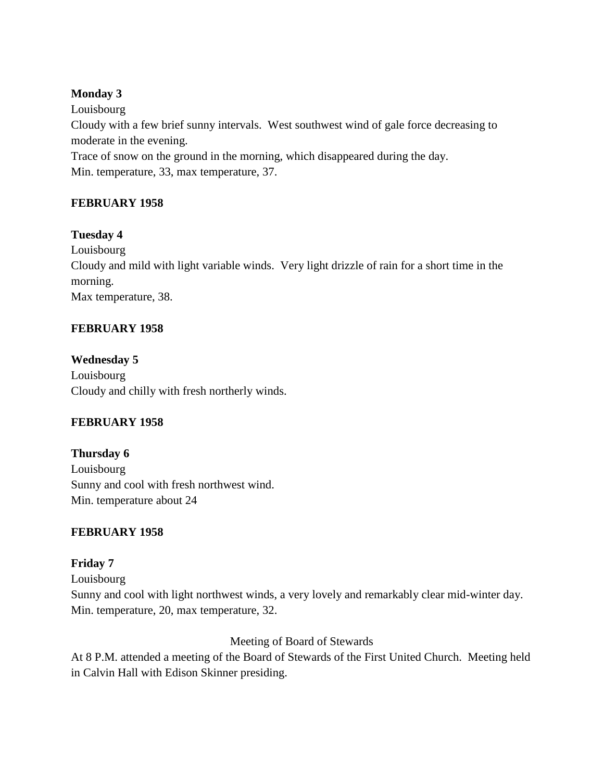## **Monday 3**

Louisbourg Cloudy with a few brief sunny intervals. West southwest wind of gale force decreasing to moderate in the evening.

Trace of snow on the ground in the morning, which disappeared during the day. Min. temperature, 33, max temperature, 37.

# **FEBRUARY 1958**

# **Tuesday 4**

Louisbourg Cloudy and mild with light variable winds. Very light drizzle of rain for a short time in the morning. Max temperature, 38.

# **FEBRUARY 1958**

**Wednesday 5** Louisbourg Cloudy and chilly with fresh northerly winds.

# **FEBRUARY 1958**

**Thursday 6** Louisbourg Sunny and cool with fresh northwest wind. Min. temperature about 24

# **FEBRUARY 1958**

# **Friday 7**

Louisbourg Sunny and cool with light northwest winds, a very lovely and remarkably clear mid-winter day. Min. temperature, 20, max temperature, 32.

Meeting of Board of Stewards

At 8 P.M. attended a meeting of the Board of Stewards of the First United Church. Meeting held in Calvin Hall with Edison Skinner presiding.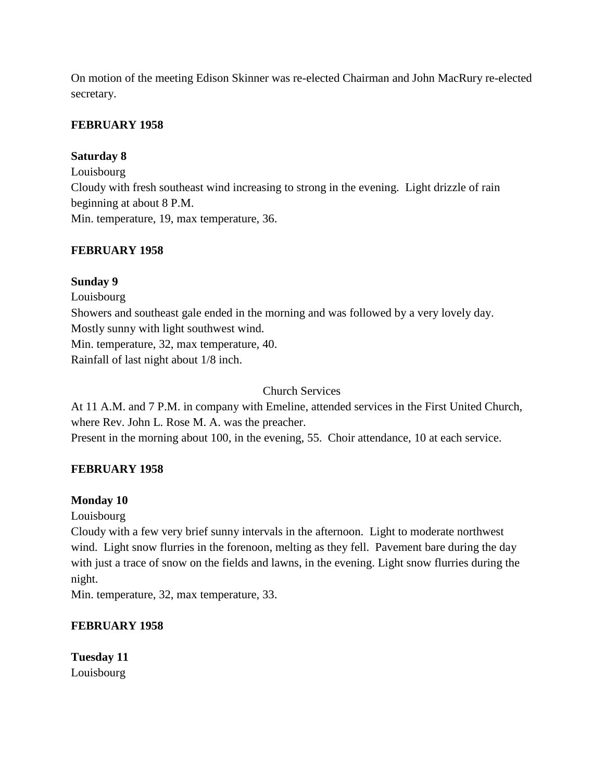On motion of the meeting Edison Skinner was re-elected Chairman and John MacRury re-elected secretary.

## **FEBRUARY 1958**

## **Saturday 8**

Louisbourg Cloudy with fresh southeast wind increasing to strong in the evening. Light drizzle of rain beginning at about 8 P.M. Min. temperature, 19, max temperature, 36.

## **FEBRUARY 1958**

## **Sunday 9**

Louisbourg Showers and southeast gale ended in the morning and was followed by a very lovely day. Mostly sunny with light southwest wind. Min. temperature, 32, max temperature, 40. Rainfall of last night about 1/8 inch.

## Church Services

At 11 A.M. and 7 P.M. in company with Emeline, attended services in the First United Church, where Rev. John L. Rose M. A. was the preacher. Present in the morning about 100, in the evening, 55. Choir attendance, 10 at each service.

# **FEBRUARY 1958**

### **Monday 10**

Louisbourg

Cloudy with a few very brief sunny intervals in the afternoon. Light to moderate northwest wind. Light snow flurries in the forenoon, melting as they fell. Pavement bare during the day with just a trace of snow on the fields and lawns, in the evening. Light snow flurries during the night.

Min. temperature, 32, max temperature, 33.

# **FEBRUARY 1958**

**Tuesday 11** Louisbourg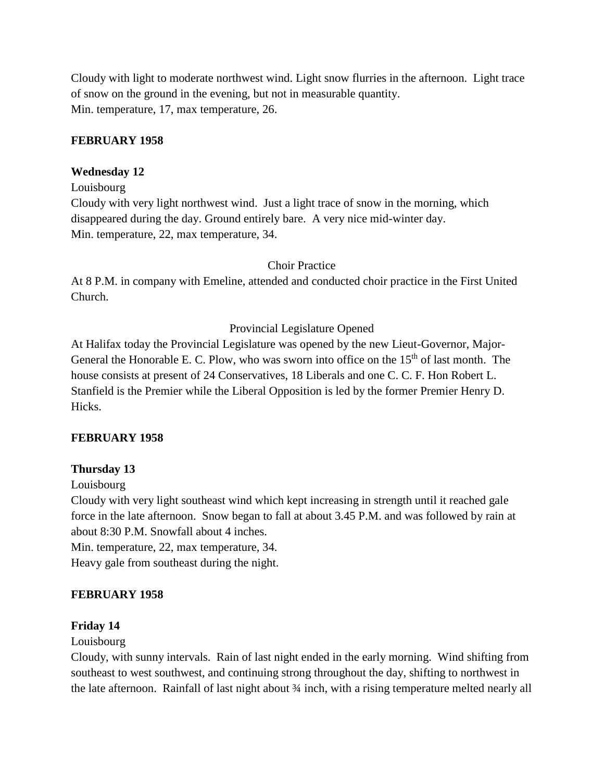Cloudy with light to moderate northwest wind. Light snow flurries in the afternoon. Light trace of snow on the ground in the evening, but not in measurable quantity. Min. temperature, 17, max temperature, 26.

### **FEBRUARY 1958**

### **Wednesday 12**

Louisbourg

Cloudy with very light northwest wind. Just a light trace of snow in the morning, which disappeared during the day. Ground entirely bare. A very nice mid-winter day. Min. temperature, 22, max temperature, 34.

#### Choir Practice

At 8 P.M. in company with Emeline, attended and conducted choir practice in the First United Church.

### Provincial Legislature Opened

At Halifax today the Provincial Legislature was opened by the new Lieut-Governor, Major-General the Honorable E. C. Plow, who was sworn into office on the  $15<sup>th</sup>$  of last month. The house consists at present of 24 Conservatives, 18 Liberals and one C. C. F. Hon Robert L. Stanfield is the Premier while the Liberal Opposition is led by the former Premier Henry D. Hicks.

#### **FEBRUARY 1958**

### **Thursday 13**

Louisbourg

Cloudy with very light southeast wind which kept increasing in strength until it reached gale force in the late afternoon. Snow began to fall at about 3.45 P.M. and was followed by rain at about 8:30 P.M. Snowfall about 4 inches.

Min. temperature, 22, max temperature, 34.

Heavy gale from southeast during the night.

#### **FEBRUARY 1958**

#### **Friday 14**

Louisbourg

Cloudy, with sunny intervals. Rain of last night ended in the early morning. Wind shifting from southeast to west southwest, and continuing strong throughout the day, shifting to northwest in the late afternoon. Rainfall of last night about ¾ inch, with a rising temperature melted nearly all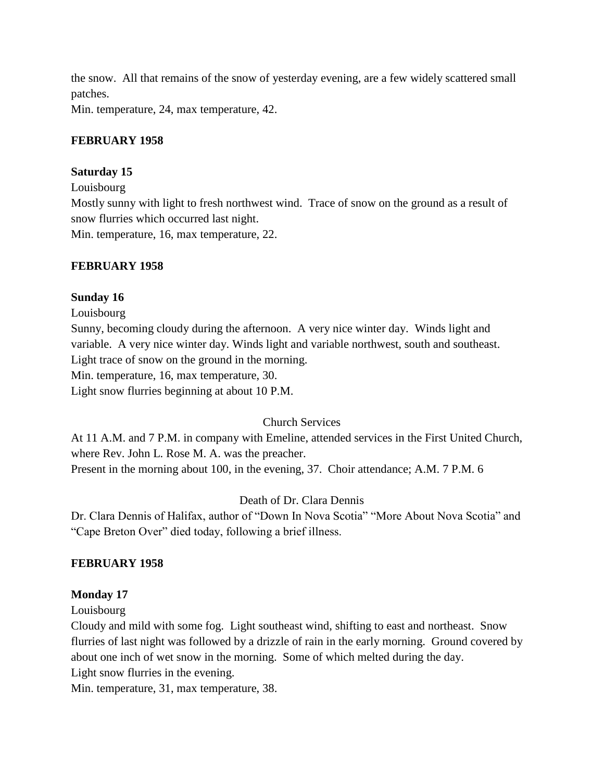the snow. All that remains of the snow of yesterday evening, are a few widely scattered small patches.

Min. temperature, 24, max temperature, 42.

## **FEBRUARY 1958**

## **Saturday 15**

Louisbourg

Mostly sunny with light to fresh northwest wind. Trace of snow on the ground as a result of snow flurries which occurred last night.

Min. temperature, 16, max temperature, 22.

### **FEBRUARY 1958**

### **Sunday 16**

Louisbourg

Sunny, becoming cloudy during the afternoon. A very nice winter day. Winds light and variable. A very nice winter day. Winds light and variable northwest, south and southeast. Light trace of snow on the ground in the morning.

Min. temperature, 16, max temperature, 30.

Light snow flurries beginning at about 10 P.M.

# Church Services

At 11 A.M. and 7 P.M. in company with Emeline, attended services in the First United Church, where Rev. John L. Rose M. A. was the preacher. Present in the morning about 100, in the evening, 37. Choir attendance; A.M. 7 P.M. 6

# Death of Dr. Clara Dennis

Dr. Clara Dennis of Halifax, author of "Down In Nova Scotia" "More About Nova Scotia" and "Cape Breton Over" died today, following a brief illness.

### **FEBRUARY 1958**

### **Monday 17**

### Louisbourg

Cloudy and mild with some fog. Light southeast wind, shifting to east and northeast. Snow flurries of last night was followed by a drizzle of rain in the early morning. Ground covered by about one inch of wet snow in the morning. Some of which melted during the day. Light snow flurries in the evening.

Min. temperature, 31, max temperature, 38.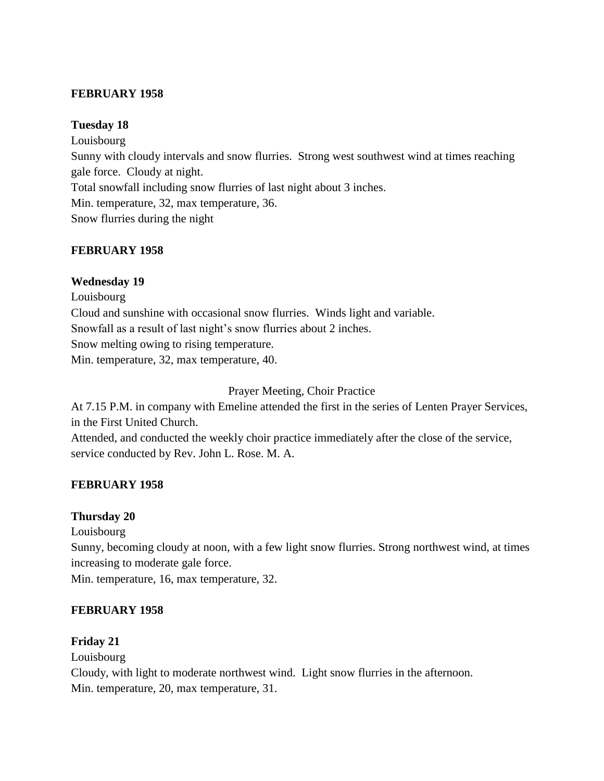### **FEBRUARY 1958**

### **Tuesday 18**

Louisbourg Sunny with cloudy intervals and snow flurries. Strong west southwest wind at times reaching gale force. Cloudy at night. Total snowfall including snow flurries of last night about 3 inches. Min. temperature, 32, max temperature, 36. Snow flurries during the night

### **FEBRUARY 1958**

### **Wednesday 19**

Louisbourg Cloud and sunshine with occasional snow flurries. Winds light and variable. Snowfall as a result of last night's snow flurries about 2 inches. Snow melting owing to rising temperature. Min. temperature, 32, max temperature, 40.

Prayer Meeting, Choir Practice

At 7.15 P.M. in company with Emeline attended the first in the series of Lenten Prayer Services, in the First United Church.

Attended, and conducted the weekly choir practice immediately after the close of the service, service conducted by Rev. John L. Rose. M. A.

### **FEBRUARY 1958**

### **Thursday 20**

Louisbourg

Sunny, becoming cloudy at noon, with a few light snow flurries. Strong northwest wind, at times increasing to moderate gale force.

Min. temperature, 16, max temperature, 32.

### **FEBRUARY 1958**

#### **Friday 21**

Louisbourg

Cloudy, with light to moderate northwest wind. Light snow flurries in the afternoon. Min. temperature, 20, max temperature, 31.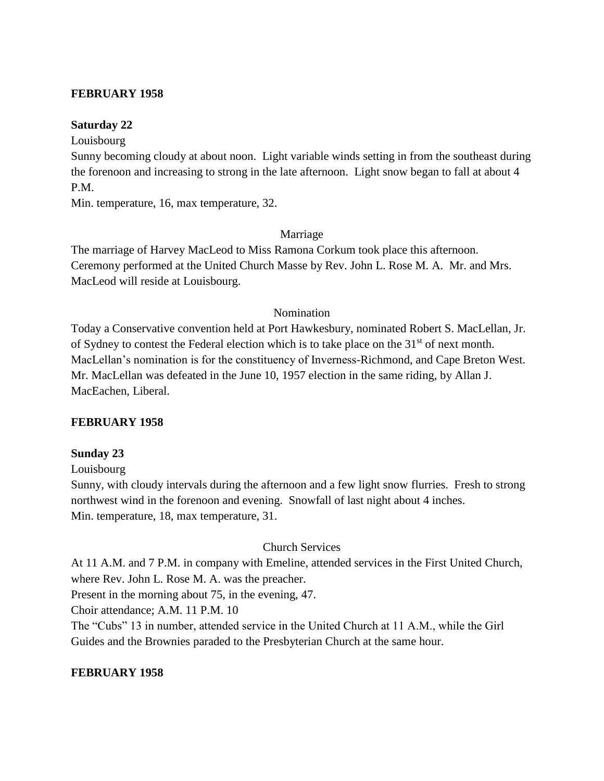#### **FEBRUARY 1958**

### **Saturday 22**

Louisbourg

Sunny becoming cloudy at about noon. Light variable winds setting in from the southeast during the forenoon and increasing to strong in the late afternoon. Light snow began to fall at about 4 P.M.

Min. temperature, 16, max temperature, 32.

### Marriage

The marriage of Harvey MacLeod to Miss Ramona Corkum took place this afternoon. Ceremony performed at the United Church Masse by Rev. John L. Rose M. A. Mr. and Mrs. MacLeod will reside at Louisbourg.

#### Nomination

Today a Conservative convention held at Port Hawkesbury, nominated Robert S. MacLellan, Jr. of Sydney to contest the Federal election which is to take place on the  $31<sup>st</sup>$  of next month. MacLellan's nomination is for the constituency of Inverness-Richmond, and Cape Breton West. Mr. MacLellan was defeated in the June 10, 1957 election in the same riding, by Allan J. MacEachen, Liberal.

### **FEBRUARY 1958**

### **Sunday 23**

Louisbourg

Sunny, with cloudy intervals during the afternoon and a few light snow flurries. Fresh to strong northwest wind in the forenoon and evening. Snowfall of last night about 4 inches. Min. temperature, 18, max temperature, 31.

### Church Services

At 11 A.M. and 7 P.M. in company with Emeline, attended services in the First United Church, where Rev. John L. Rose M. A. was the preacher.

Present in the morning about 75, in the evening, 47.

Choir attendance; A.M. 11 P.M. 10

The "Cubs" 13 in number, attended service in the United Church at 11 A.M., while the Girl Guides and the Brownies paraded to the Presbyterian Church at the same hour.

### **FEBRUARY 1958**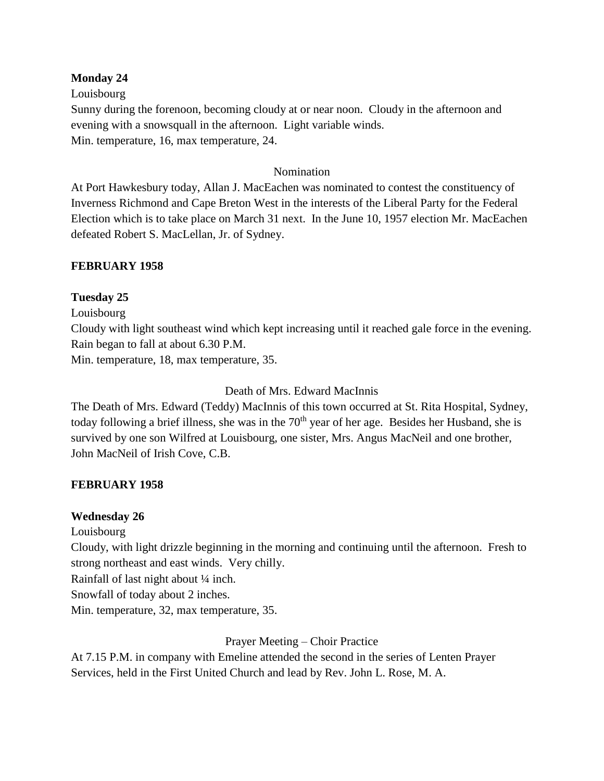### **Monday 24**

Louisbourg

Sunny during the forenoon, becoming cloudy at or near noon. Cloudy in the afternoon and evening with a snowsquall in the afternoon. Light variable winds. Min. temperature, 16, max temperature, 24.

### Nomination

At Port Hawkesbury today, Allan J. MacEachen was nominated to contest the constituency of Inverness Richmond and Cape Breton West in the interests of the Liberal Party for the Federal Election which is to take place on March 31 next. In the June 10, 1957 election Mr. MacEachen defeated Robert S. MacLellan, Jr. of Sydney.

### **FEBRUARY 1958**

### **Tuesday 25**

Louisbourg

Cloudy with light southeast wind which kept increasing until it reached gale force in the evening. Rain began to fall at about 6.30 P.M.

Min. temperature, 18, max temperature, 35.

Death of Mrs. Edward MacInnis

The Death of Mrs. Edward (Teddy) MacInnis of this town occurred at St. Rita Hospital, Sydney, today following a brief illness, she was in the 70<sup>th</sup> year of her age. Besides her Husband, she is survived by one son Wilfred at Louisbourg, one sister, Mrs. Angus MacNeil and one brother, John MacNeil of Irish Cove, C.B.

### **FEBRUARY 1958**

### **Wednesday 26**

Louisbourg

Cloudy, with light drizzle beginning in the morning and continuing until the afternoon. Fresh to strong northeast and east winds. Very chilly.

Rainfall of last night about ¼ inch.

Snowfall of today about 2 inches.

Min. temperature, 32, max temperature, 35.

Prayer Meeting – Choir Practice

At 7.15 P.M. in company with Emeline attended the second in the series of Lenten Prayer Services, held in the First United Church and lead by Rev. John L. Rose, M. A.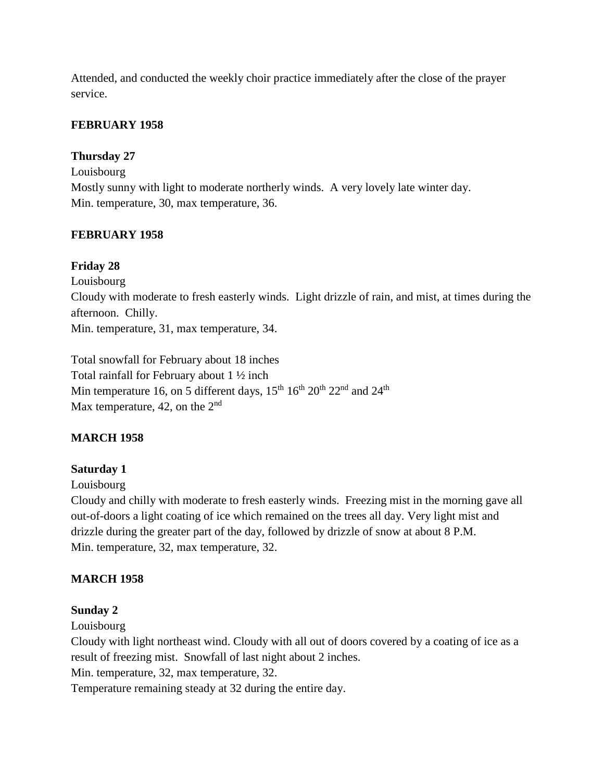Attended, and conducted the weekly choir practice immediately after the close of the prayer service.

# **FEBRUARY 1958**

## **Thursday 27**

Louisbourg Mostly sunny with light to moderate northerly winds. A very lovely late winter day. Min. temperature, 30, max temperature, 36.

## **FEBRUARY 1958**

## **Friday 28**

Louisbourg

Cloudy with moderate to fresh easterly winds. Light drizzle of rain, and mist, at times during the afternoon. Chilly.

Min. temperature, 31, max temperature, 34.

Total snowfall for February about 18 inches Total rainfall for February about 1 ½ inch Min temperature 16, on 5 different days,  $15^{th} 16^{th} 20^{th} 22^{nd}$  and  $24^{th}$ Max temperature, 42, on the  $2<sup>nd</sup>$ 

# **MARCH 1958**

# **Saturday 1**

### Louisbourg

Cloudy and chilly with moderate to fresh easterly winds. Freezing mist in the morning gave all out-of-doors a light coating of ice which remained on the trees all day. Very light mist and drizzle during the greater part of the day, followed by drizzle of snow at about 8 P.M. Min. temperature, 32, max temperature, 32.

# **MARCH 1958**

### **Sunday 2**

Louisbourg

Cloudy with light northeast wind. Cloudy with all out of doors covered by a coating of ice as a result of freezing mist. Snowfall of last night about 2 inches.

Min. temperature, 32, max temperature, 32.

Temperature remaining steady at 32 during the entire day.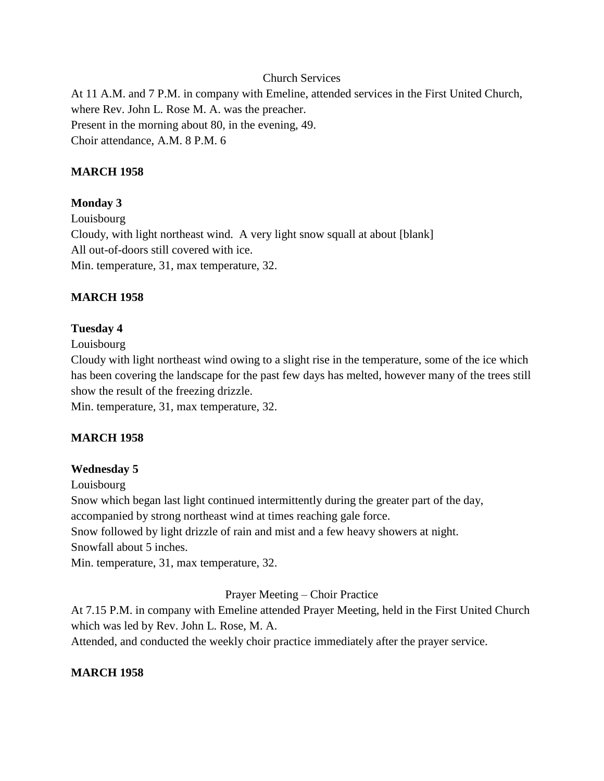#### Church Services

At 11 A.M. and 7 P.M. in company with Emeline, attended services in the First United Church, where Rev. John L. Rose M. A. was the preacher. Present in the morning about 80, in the evening, 49. Choir attendance, A.M. 8 P.M. 6

#### **MARCH 1958**

#### **Monday 3**

Louisbourg Cloudy, with light northeast wind. A very light snow squall at about [blank] All out-of-doors still covered with ice. Min. temperature, 31, max temperature, 32.

#### **MARCH 1958**

#### **Tuesday 4**

Louisbourg

Cloudy with light northeast wind owing to a slight rise in the temperature, some of the ice which has been covering the landscape for the past few days has melted, however many of the trees still show the result of the freezing drizzle.

Min. temperature, 31, max temperature, 32.

#### **MARCH 1958**

#### **Wednesday 5**

Louisbourg

Snow which began last light continued intermittently during the greater part of the day, accompanied by strong northeast wind at times reaching gale force. Snow followed by light drizzle of rain and mist and a few heavy showers at night. Snowfall about 5 inches.

Min. temperature, 31, max temperature, 32.

#### Prayer Meeting – Choir Practice

At 7.15 P.M. in company with Emeline attended Prayer Meeting, held in the First United Church which was led by Rev. John L. Rose, M. A.

Attended, and conducted the weekly choir practice immediately after the prayer service.

### **MARCH 1958**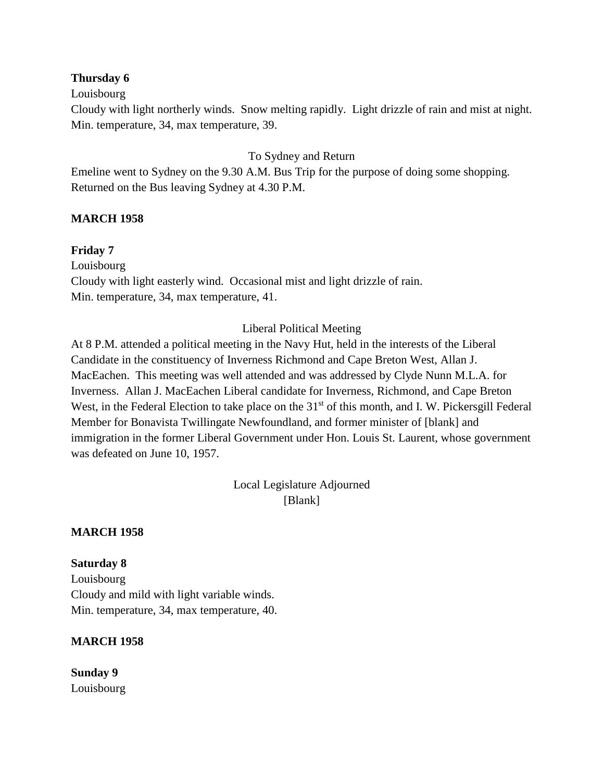### **Thursday 6**

#### Louisbourg

Cloudy with light northerly winds. Snow melting rapidly. Light drizzle of rain and mist at night. Min. temperature, 34, max temperature, 39.

### To Sydney and Return

Emeline went to Sydney on the 9.30 A.M. Bus Trip for the purpose of doing some shopping. Returned on the Bus leaving Sydney at 4.30 P.M.

### **MARCH 1958**

### **Friday 7**

Louisbourg Cloudy with light easterly wind. Occasional mist and light drizzle of rain. Min. temperature, 34, max temperature, 41.

### Liberal Political Meeting

At 8 P.M. attended a political meeting in the Navy Hut, held in the interests of the Liberal Candidate in the constituency of Inverness Richmond and Cape Breton West, Allan J. MacEachen. This meeting was well attended and was addressed by Clyde Nunn M.L.A. for Inverness. Allan J. MacEachen Liberal candidate for Inverness, Richmond, and Cape Breton West, in the Federal Election to take place on the 31<sup>st</sup> of this month, and I. W. Pickersgill Federal Member for Bonavista Twillingate Newfoundland, and former minister of [blank] and immigration in the former Liberal Government under Hon. Louis St. Laurent, whose government was defeated on June 10, 1957.

> Local Legislature Adjourned [Blank]

### **MARCH 1958**

#### **Saturday 8**

Louisbourg Cloudy and mild with light variable winds. Min. temperature, 34, max temperature, 40.

#### **MARCH 1958**

**Sunday 9** Louisbourg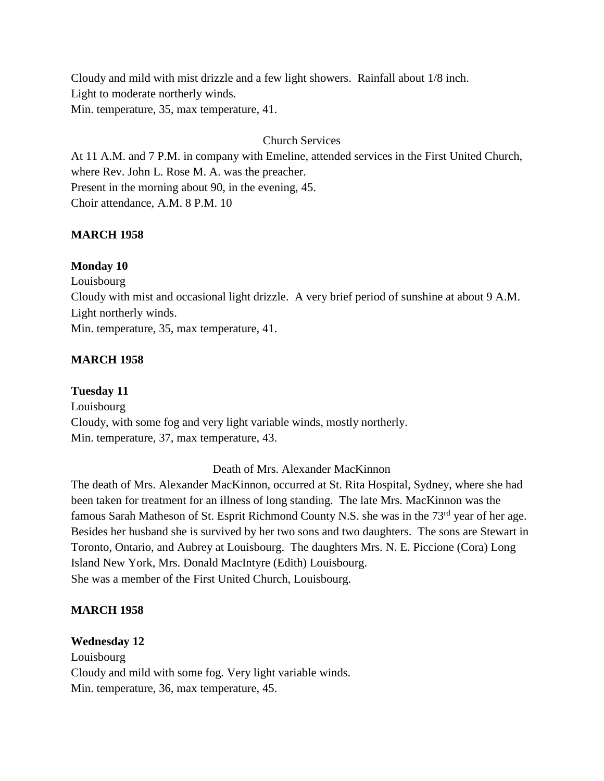Cloudy and mild with mist drizzle and a few light showers. Rainfall about 1/8 inch. Light to moderate northerly winds. Min. temperature, 35, max temperature, 41.

### Church Services

At 11 A.M. and 7 P.M. in company with Emeline, attended services in the First United Church, where Rev. John L. Rose M. A. was the preacher. Present in the morning about 90, in the evening, 45. Choir attendance, A.M. 8 P.M. 10

### **MARCH 1958**

#### **Monday 10**

Louisbourg Cloudy with mist and occasional light drizzle. A very brief period of sunshine at about 9 A.M. Light northerly winds. Min. temperature, 35, max temperature, 41.

#### **MARCH 1958**

**Tuesday 11** Louisbourg Cloudy, with some fog and very light variable winds, mostly northerly. Min. temperature, 37, max temperature, 43.

Death of Mrs. Alexander MacKinnon

The death of Mrs. Alexander MacKinnon, occurred at St. Rita Hospital, Sydney, where she had been taken for treatment for an illness of long standing. The late Mrs. MacKinnon was the famous Sarah Matheson of St. Esprit Richmond County N.S. she was in the 73<sup>rd</sup> year of her age. Besides her husband she is survived by her two sons and two daughters. The sons are Stewart in Toronto, Ontario, and Aubrey at Louisbourg. The daughters Mrs. N. E. Piccione (Cora) Long Island New York, Mrs. Donald MacIntyre (Edith) Louisbourg. She was a member of the First United Church, Louisbourg.

#### **MARCH 1958**

#### **Wednesday 12**

Louisbourg Cloudy and mild with some fog. Very light variable winds. Min. temperature, 36, max temperature, 45.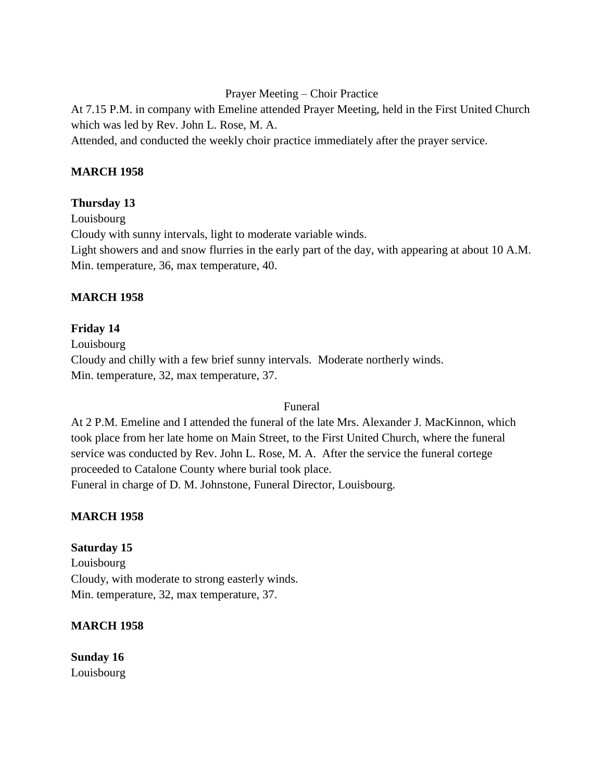Prayer Meeting – Choir Practice

At 7.15 P.M. in company with Emeline attended Prayer Meeting, held in the First United Church which was led by Rev. John L. Rose, M. A.

Attended, and conducted the weekly choir practice immediately after the prayer service.

### **MARCH 1958**

# **Thursday 13**

Louisbourg Cloudy with sunny intervals, light to moderate variable winds. Light showers and and snow flurries in the early part of the day, with appearing at about 10 A.M. Min. temperature, 36, max temperature, 40.

# **MARCH 1958**

## **Friday 14**

Louisbourg Cloudy and chilly with a few brief sunny intervals. Moderate northerly winds. Min. temperature, 32, max temperature, 37.

### Funeral

At 2 P.M. Emeline and I attended the funeral of the late Mrs. Alexander J. MacKinnon, which took place from her late home on Main Street, to the First United Church, where the funeral service was conducted by Rev. John L. Rose, M. A. After the service the funeral cortege proceeded to Catalone County where burial took place. Funeral in charge of D. M. Johnstone, Funeral Director, Louisbourg.

# **MARCH 1958**

# **Saturday 15**

Louisbourg Cloudy, with moderate to strong easterly winds. Min. temperature, 32, max temperature, 37.

### **MARCH 1958**

**Sunday 16** Louisbourg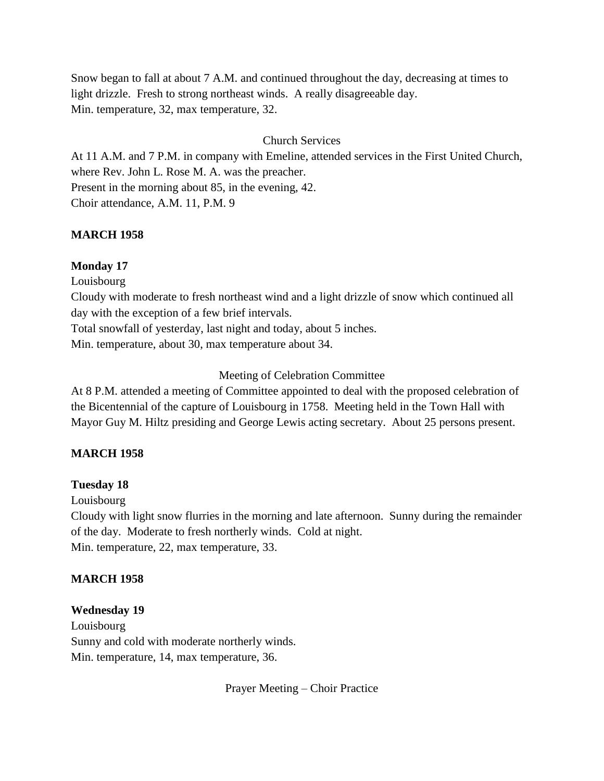Snow began to fall at about 7 A.M. and continued throughout the day, decreasing at times to light drizzle. Fresh to strong northeast winds. A really disagreeable day. Min. temperature, 32, max temperature, 32.

### Church Services

At 11 A.M. and 7 P.M. in company with Emeline, attended services in the First United Church, where Rev. John L. Rose M. A. was the preacher. Present in the morning about 85, in the evening, 42. Choir attendance, A.M. 11, P.M. 9

#### **MARCH 1958**

#### **Monday 17**

Louisbourg

Cloudy with moderate to fresh northeast wind and a light drizzle of snow which continued all day with the exception of a few brief intervals.

Total snowfall of yesterday, last night and today, about 5 inches.

Min. temperature, about 30, max temperature about 34.

#### Meeting of Celebration Committee

At 8 P.M. attended a meeting of Committee appointed to deal with the proposed celebration of the Bicentennial of the capture of Louisbourg in 1758. Meeting held in the Town Hall with Mayor Guy M. Hiltz presiding and George Lewis acting secretary. About 25 persons present.

#### **MARCH 1958**

#### **Tuesday 18**

Louisbourg

Cloudy with light snow flurries in the morning and late afternoon. Sunny during the remainder of the day. Moderate to fresh northerly winds. Cold at night. Min. temperature, 22, max temperature, 33.

#### **MARCH 1958**

#### **Wednesday 19**

Louisbourg Sunny and cold with moderate northerly winds. Min. temperature, 14, max temperature, 36.

Prayer Meeting – Choir Practice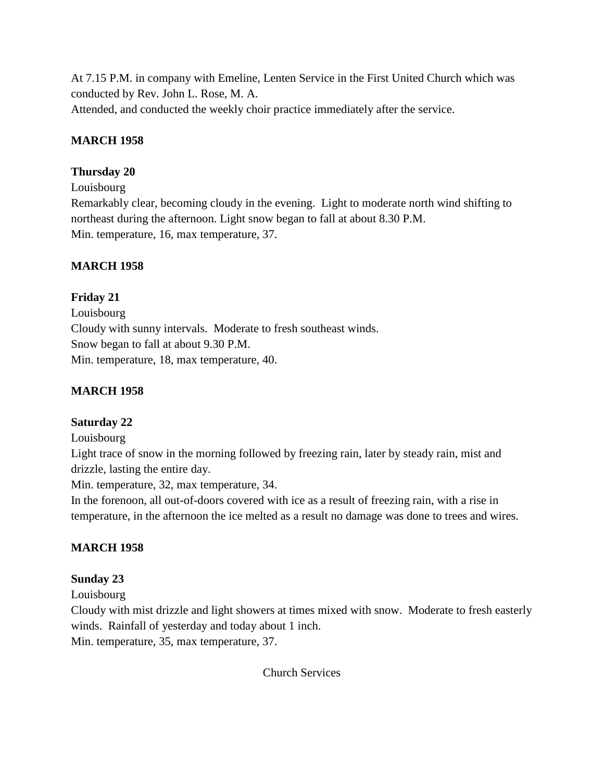At 7.15 P.M. in company with Emeline, Lenten Service in the First United Church which was conducted by Rev. John L. Rose, M. A. Attended, and conducted the weekly choir practice immediately after the service.

## **MARCH 1958**

### **Thursday 20**

Louisbourg

Remarkably clear, becoming cloudy in the evening. Light to moderate north wind shifting to northeast during the afternoon. Light snow began to fall at about 8.30 P.M. Min. temperature, 16, max temperature, 37.

## **MARCH 1958**

## **Friday 21**

Louisbourg Cloudy with sunny intervals. Moderate to fresh southeast winds. Snow began to fall at about 9.30 P.M. Min. temperature, 18, max temperature, 40.

# **MARCH 1958**

# **Saturday 22**

### Louisbourg

Light trace of snow in the morning followed by freezing rain, later by steady rain, mist and drizzle, lasting the entire day.

Min. temperature, 32, max temperature, 34.

In the forenoon, all out-of-doors covered with ice as a result of freezing rain, with a rise in temperature, in the afternoon the ice melted as a result no damage was done to trees and wires.

# **MARCH 1958**

### **Sunday 23**

Louisbourg

Cloudy with mist drizzle and light showers at times mixed with snow. Moderate to fresh easterly winds. Rainfall of yesterday and today about 1 inch.

Min. temperature, 35, max temperature, 37.

Church Services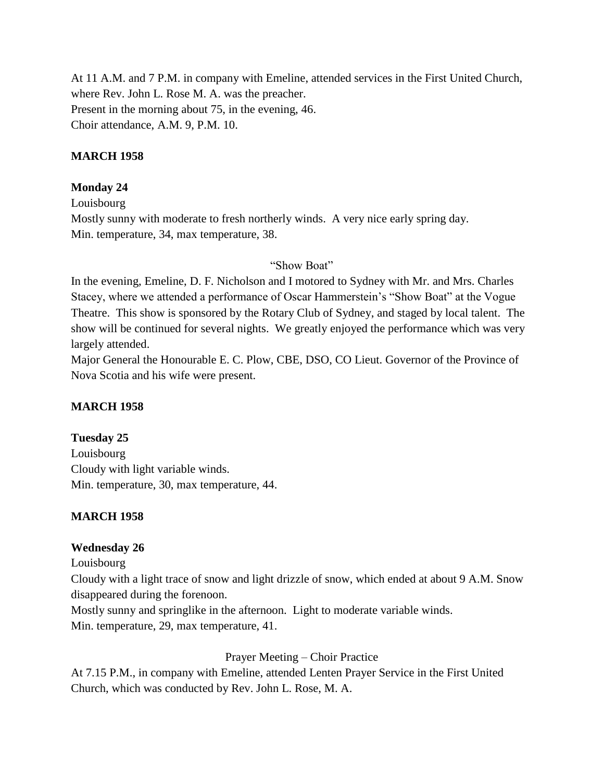At 11 A.M. and 7 P.M. in company with Emeline, attended services in the First United Church, where Rev. John L. Rose M. A. was the preacher. Present in the morning about 75, in the evening, 46. Choir attendance, A.M. 9, P.M. 10.

### **MARCH 1958**

### **Monday 24**

Louisbourg Mostly sunny with moderate to fresh northerly winds. A very nice early spring day. Min. temperature, 34, max temperature, 38.

### "Show Boat"

In the evening, Emeline, D. F. Nicholson and I motored to Sydney with Mr. and Mrs. Charles Stacey, where we attended a performance of Oscar Hammerstein's "Show Boat" at the Vogue Theatre. This show is sponsored by the Rotary Club of Sydney, and staged by local talent. The show will be continued for several nights. We greatly enjoyed the performance which was very largely attended.

Major General the Honourable E. C. Plow, CBE, DSO, CO Lieut. Governor of the Province of Nova Scotia and his wife were present.

### **MARCH 1958**

### **Tuesday 25**

Louisbourg Cloudy with light variable winds. Min. temperature, 30, max temperature, 44.

### **MARCH 1958**

#### **Wednesday 26**

Louisbourg

Cloudy with a light trace of snow and light drizzle of snow, which ended at about 9 A.M. Snow disappeared during the forenoon.

Mostly sunny and springlike in the afternoon. Light to moderate variable winds. Min. temperature, 29, max temperature, 41.

#### Prayer Meeting – Choir Practice

At 7.15 P.M., in company with Emeline, attended Lenten Prayer Service in the First United Church, which was conducted by Rev. John L. Rose, M. A.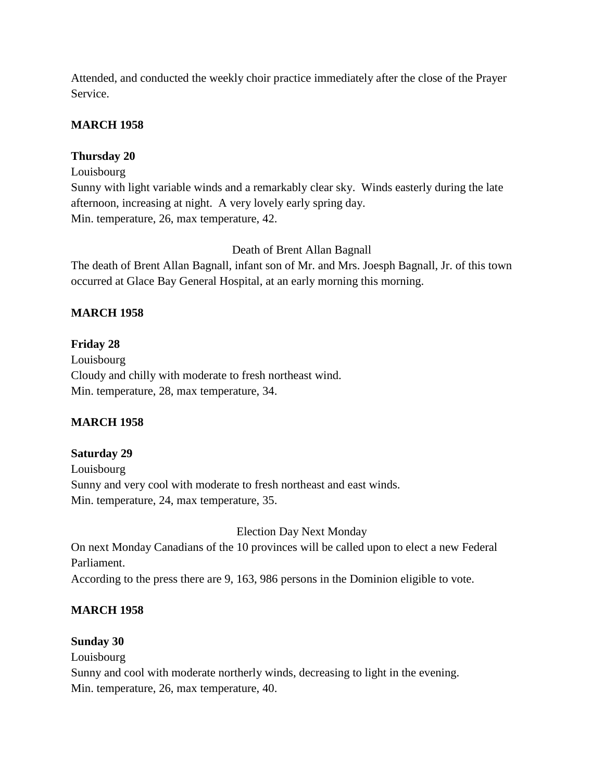Attended, and conducted the weekly choir practice immediately after the close of the Prayer Service.

# **MARCH 1958**

## **Thursday 20**

Louisbourg

Sunny with light variable winds and a remarkably clear sky. Winds easterly during the late afternoon, increasing at night. A very lovely early spring day. Min. temperature, 26, max temperature, 42.

### Death of Brent Allan Bagnall

The death of Brent Allan Bagnall, infant son of Mr. and Mrs. Joesph Bagnall, Jr. of this town occurred at Glace Bay General Hospital, at an early morning this morning.

## **MARCH 1958**

### **Friday 28**

Louisbourg Cloudy and chilly with moderate to fresh northeast wind. Min. temperature, 28, max temperature, 34.

### **MARCH 1958**

# **Saturday 29**

Louisbourg Sunny and very cool with moderate to fresh northeast and east winds. Min. temperature, 24, max temperature, 35.

Election Day Next Monday

On next Monday Canadians of the 10 provinces will be called upon to elect a new Federal Parliament.

According to the press there are 9, 163, 986 persons in the Dominion eligible to vote.

# **MARCH 1958**

### **Sunday 30**

Louisbourg

Sunny and cool with moderate northerly winds, decreasing to light in the evening. Min. temperature, 26, max temperature, 40.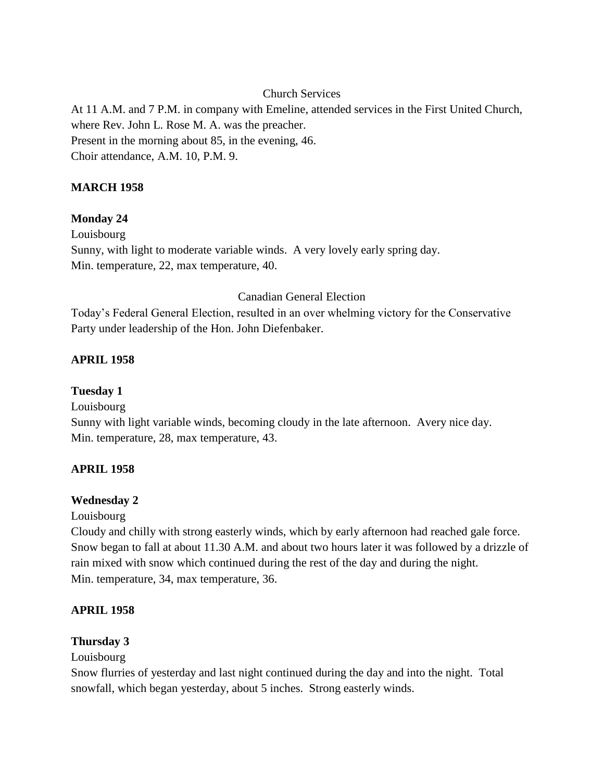Church Services

At 11 A.M. and 7 P.M. in company with Emeline, attended services in the First United Church, where Rev. John L. Rose M. A. was the preacher. Present in the morning about 85, in the evening, 46. Choir attendance, A.M. 10, P.M. 9.

# **MARCH 1958**

# **Monday 24**

Louisbourg Sunny, with light to moderate variable winds. A very lovely early spring day. Min. temperature, 22, max temperature, 40.

# Canadian General Election

Today's Federal General Election, resulted in an over whelming victory for the Conservative Party under leadership of the Hon. John Diefenbaker.

# **APRIL 1958**

# **Tuesday 1**

Louisbourg

Sunny with light variable winds, becoming cloudy in the late afternoon. Avery nice day. Min. temperature, 28, max temperature, 43.

### **APRIL 1958**

### **Wednesday 2**

Louisbourg

Cloudy and chilly with strong easterly winds, which by early afternoon had reached gale force. Snow began to fall at about 11.30 A.M. and about two hours later it was followed by a drizzle of rain mixed with snow which continued during the rest of the day and during the night. Min. temperature, 34, max temperature, 36.

# **APRIL 1958**

### **Thursday 3**

Louisbourg

Snow flurries of yesterday and last night continued during the day and into the night. Total snowfall, which began yesterday, about 5 inches. Strong easterly winds.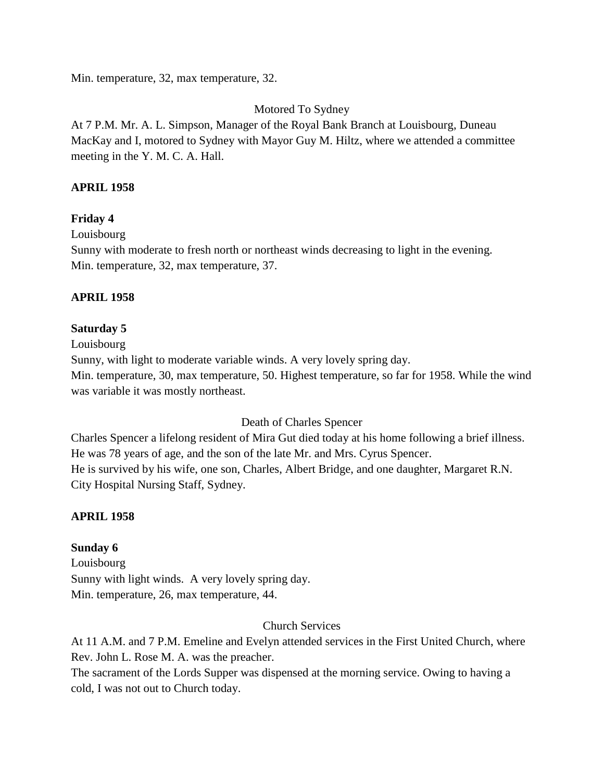Min. temperature, 32, max temperature, 32.

## Motored To Sydney

At 7 P.M. Mr. A. L. Simpson, Manager of the Royal Bank Branch at Louisbourg, Duneau MacKay and I, motored to Sydney with Mayor Guy M. Hiltz, where we attended a committee meeting in the Y. M. C. A. Hall.

## **APRIL 1958**

## **Friday 4**

Louisbourg

Sunny with moderate to fresh north or northeast winds decreasing to light in the evening. Min. temperature, 32, max temperature, 37.

## **APRIL 1958**

### **Saturday 5**

Louisbourg

Sunny, with light to moderate variable winds. A very lovely spring day.

Min. temperature, 30, max temperature, 50. Highest temperature, so far for 1958. While the wind was variable it was mostly northeast.

### Death of Charles Spencer

Charles Spencer a lifelong resident of Mira Gut died today at his home following a brief illness. He was 78 years of age, and the son of the late Mr. and Mrs. Cyrus Spencer. He is survived by his wife, one son, Charles, Albert Bridge, and one daughter, Margaret R.N. City Hospital Nursing Staff, Sydney.

# **APRIL 1958**

### **Sunday 6**

Louisbourg Sunny with light winds. A very lovely spring day. Min. temperature, 26, max temperature, 44.

### Church Services

At 11 A.M. and 7 P.M. Emeline and Evelyn attended services in the First United Church, where Rev. John L. Rose M. A. was the preacher.

The sacrament of the Lords Supper was dispensed at the morning service. Owing to having a cold, I was not out to Church today.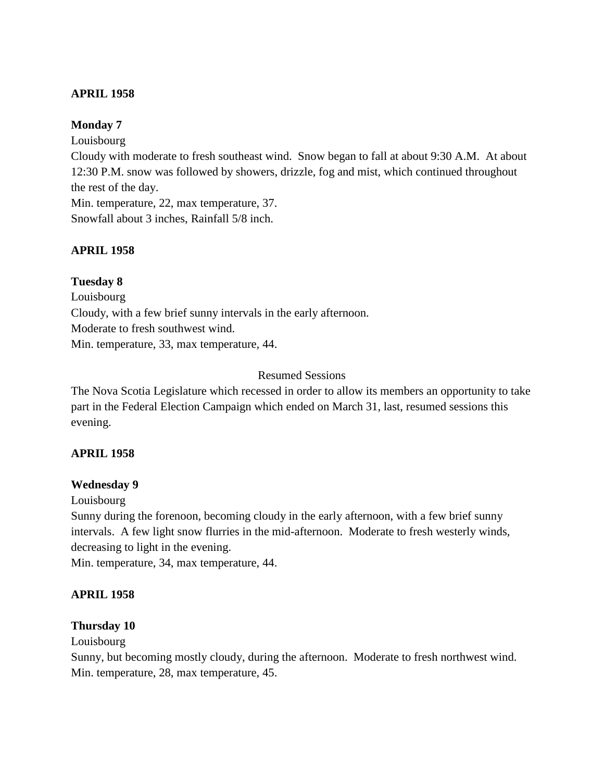### **APRIL 1958**

### **Monday 7**

Louisbourg

Cloudy with moderate to fresh southeast wind. Snow began to fall at about 9:30 A.M. At about 12:30 P.M. snow was followed by showers, drizzle, fog and mist, which continued throughout the rest of the day.

Min. temperature, 22, max temperature, 37. Snowfall about 3 inches, Rainfall 5/8 inch.

### **APRIL 1958**

**Tuesday 8** Louisbourg Cloudy, with a few brief sunny intervals in the early afternoon. Moderate to fresh southwest wind. Min. temperature, 33, max temperature, 44.

### Resumed Sessions

The Nova Scotia Legislature which recessed in order to allow its members an opportunity to take part in the Federal Election Campaign which ended on March 31, last, resumed sessions this evening.

### **APRIL 1958**

#### **Wednesday 9**

Louisbourg

Sunny during the forenoon, becoming cloudy in the early afternoon, with a few brief sunny intervals. A few light snow flurries in the mid-afternoon. Moderate to fresh westerly winds, decreasing to light in the evening.

Min. temperature, 34, max temperature, 44.

### **APRIL 1958**

#### **Thursday 10**

Louisbourg

Sunny, but becoming mostly cloudy, during the afternoon. Moderate to fresh northwest wind. Min. temperature, 28, max temperature, 45.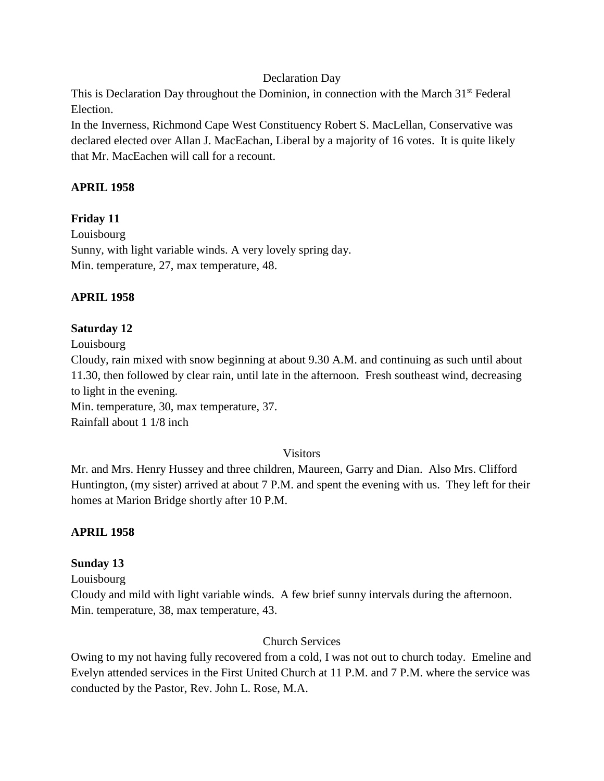### Declaration Day

This is Declaration Day throughout the Dominion, in connection with the March 31<sup>st</sup> Federal Election.

In the Inverness, Richmond Cape West Constituency Robert S. MacLellan, Conservative was declared elected over Allan J. MacEachan, Liberal by a majority of 16 votes. It is quite likely that Mr. MacEachen will call for a recount.

## **APRIL 1958**

## **Friday 11**

Louisbourg Sunny, with light variable winds. A very lovely spring day. Min. temperature, 27, max temperature, 48.

## **APRIL 1958**

## **Saturday 12**

Louisbourg

Cloudy, rain mixed with snow beginning at about 9.30 A.M. and continuing as such until about 11.30, then followed by clear rain, until late in the afternoon. Fresh southeast wind, decreasing to light in the evening.

Min. temperature, 30, max temperature, 37. Rainfall about 1 1/8 inch

### Visitors

Mr. and Mrs. Henry Hussey and three children, Maureen, Garry and Dian. Also Mrs. Clifford Huntington, (my sister) arrived at about 7 P.M. and spent the evening with us. They left for their homes at Marion Bridge shortly after 10 P.M.

# **APRIL 1958**

### **Sunday 13**

Louisbourg

Cloudy and mild with light variable winds. A few brief sunny intervals during the afternoon. Min. temperature, 38, max temperature, 43.

### Church Services

Owing to my not having fully recovered from a cold, I was not out to church today. Emeline and Evelyn attended services in the First United Church at 11 P.M. and 7 P.M. where the service was conducted by the Pastor, Rev. John L. Rose, M.A.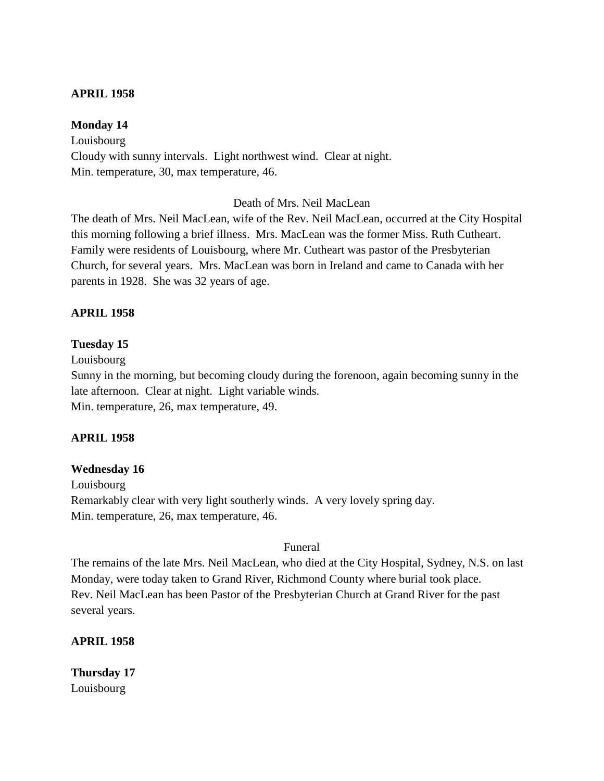#### **APRIL 1958**

#### **Monday 14**

Louisbourg Cloudy with sunny intervals. Light northwest wind. Clear at night. Min. temperature, 30, max temperature, 46.

#### Death of Mrs. Neil MacLean

The death of Mrs. Neil MacLean, wife of the Rev. Neil MacLean, occurred at the City Hospital this morning following a brief illness. Mrs. MacLean was the former Miss. Ruth Cutheart. Family were residents of Louisbourg, where Mr. Cutheart was pastor of the Presbyterian Church, for several years. Mrs. MacLean was born in Ireland and came to Canada with her parents in 1928. She was 32 years of age.

#### **APRIL 1958**

#### **Tuesday 15**

Louisbourg

Sunny in the morning, but becoming cloudy during the forenoon, again becoming sunny in the late afternoon. Clear at night. Light variable winds. Min. temperature, 26, max temperature, 49.

#### **APRIL 1958**

#### **Wednesday 16**

Louisbourg Remarkably clear with very light southerly winds. A very lovely spring day. Min. temperature, 26, max temperature, 46.

#### Funeral

The remains of the late Mrs. Neil MacLean, who died at the City Hospital, Sydney, N.S. on last Monday, were today taken to Grand River, Richmond County where burial took place. Rev. Neil MacLean has been Pastor of the Presbyterian Church at Grand River for the past several years.

**APRIL 1958**

**Thursday 17** Louisbourg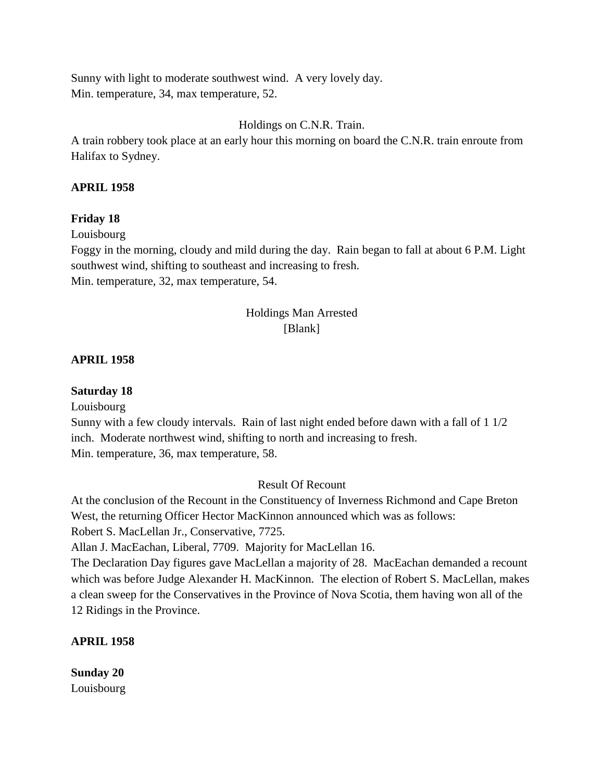Sunny with light to moderate southwest wind. A very lovely day. Min. temperature, 34, max temperature, 52.

### Holdings on C.N.R. Train.

A train robbery took place at an early hour this morning on board the C.N.R. train enroute from Halifax to Sydney.

### **APRIL 1958**

## **Friday 18**

Louisbourg

Foggy in the morning, cloudy and mild during the day. Rain began to fall at about 6 P.M. Light southwest wind, shifting to southeast and increasing to fresh. Min. temperature, 32, max temperature, 54.

# Holdings Man Arrested [Blank]

## **APRIL 1958**

# **Saturday 18**

Louisbourg

Sunny with a few cloudy intervals. Rain of last night ended before dawn with a fall of 1 1/2 inch. Moderate northwest wind, shifting to north and increasing to fresh. Min. temperature, 36, max temperature, 58.

### Result Of Recount

At the conclusion of the Recount in the Constituency of Inverness Richmond and Cape Breton West, the returning Officer Hector MacKinnon announced which was as follows:

Robert S. MacLellan Jr., Conservative, 7725.

Allan J. MacEachan, Liberal, 7709. Majority for MacLellan 16.

The Declaration Day figures gave MacLellan a majority of 28. MacEachan demanded a recount which was before Judge Alexander H. MacKinnon. The election of Robert S. MacLellan, makes a clean sweep for the Conservatives in the Province of Nova Scotia, them having won all of the 12 Ridings in the Province.

# **APRIL 1958**

**Sunday 20** Louisbourg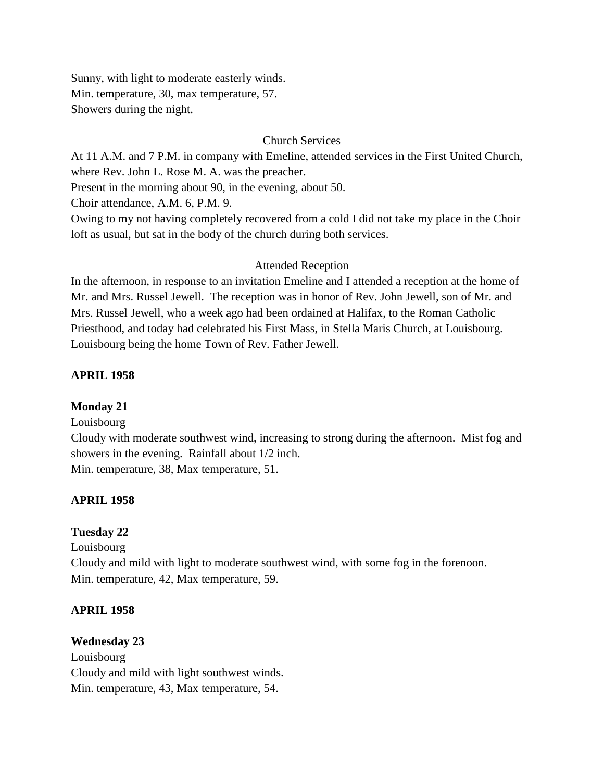Sunny, with light to moderate easterly winds. Min. temperature, 30, max temperature, 57. Showers during the night.

## Church Services

At 11 A.M. and 7 P.M. in company with Emeline, attended services in the First United Church, where Rev. John L. Rose M. A. was the preacher.

Present in the morning about 90, in the evening, about 50.

Choir attendance, A.M. 6, P.M. 9.

Owing to my not having completely recovered from a cold I did not take my place in the Choir loft as usual, but sat in the body of the church during both services.

## Attended Reception

In the afternoon, in response to an invitation Emeline and I attended a reception at the home of Mr. and Mrs. Russel Jewell. The reception was in honor of Rev. John Jewell, son of Mr. and Mrs. Russel Jewell, who a week ago had been ordained at Halifax, to the Roman Catholic Priesthood, and today had celebrated his First Mass, in Stella Maris Church, at Louisbourg. Louisbourg being the home Town of Rev. Father Jewell.

## **APRIL 1958**

### **Monday 21**

### Louisbourg

Cloudy with moderate southwest wind, increasing to strong during the afternoon. Mist fog and showers in the evening. Rainfall about 1/2 inch. Min. temperature, 38, Max temperature, 51.

### **APRIL 1958**

### **Tuesday 22**

Louisbourg Cloudy and mild with light to moderate southwest wind, with some fog in the forenoon. Min. temperature, 42, Max temperature, 59.

### **APRIL 1958**

**Wednesday 23** Louisbourg Cloudy and mild with light southwest winds. Min. temperature, 43, Max temperature, 54.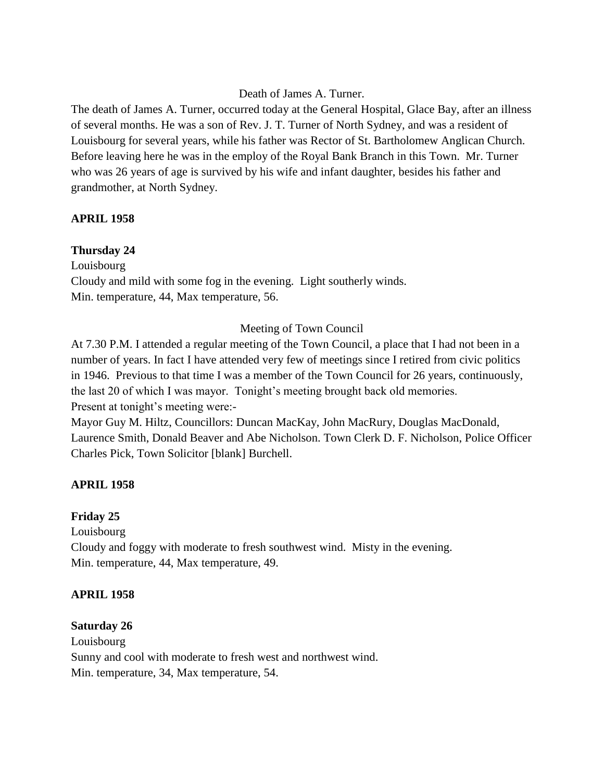### Death of James A. Turner.

The death of James A. Turner, occurred today at the General Hospital, Glace Bay, after an illness of several months. He was a son of Rev. J. T. Turner of North Sydney, and was a resident of Louisbourg for several years, while his father was Rector of St. Bartholomew Anglican Church. Before leaving here he was in the employ of the Royal Bank Branch in this Town. Mr. Turner who was 26 years of age is survived by his wife and infant daughter, besides his father and grandmother, at North Sydney.

### **APRIL 1958**

### **Thursday 24**

Louisbourg Cloudy and mild with some fog in the evening. Light southerly winds. Min. temperature, 44, Max temperature, 56.

## Meeting of Town Council

At 7.30 P.M. I attended a regular meeting of the Town Council, a place that I had not been in a number of years. In fact I have attended very few of meetings since I retired from civic politics in 1946. Previous to that time I was a member of the Town Council for 26 years, continuously, the last 20 of which I was mayor. Tonight's meeting brought back old memories. Present at tonight's meeting were:-

Mayor Guy M. Hiltz, Councillors: Duncan MacKay, John MacRury, Douglas MacDonald, Laurence Smith, Donald Beaver and Abe Nicholson. Town Clerk D. F. Nicholson, Police Officer Charles Pick, Town Solicitor [blank] Burchell.

### **APRIL 1958**

### **Friday 25**

Louisbourg Cloudy and foggy with moderate to fresh southwest wind. Misty in the evening. Min. temperature, 44, Max temperature, 49.

### **APRIL 1958**

### **Saturday 26**

Louisbourg Sunny and cool with moderate to fresh west and northwest wind. Min. temperature, 34, Max temperature, 54.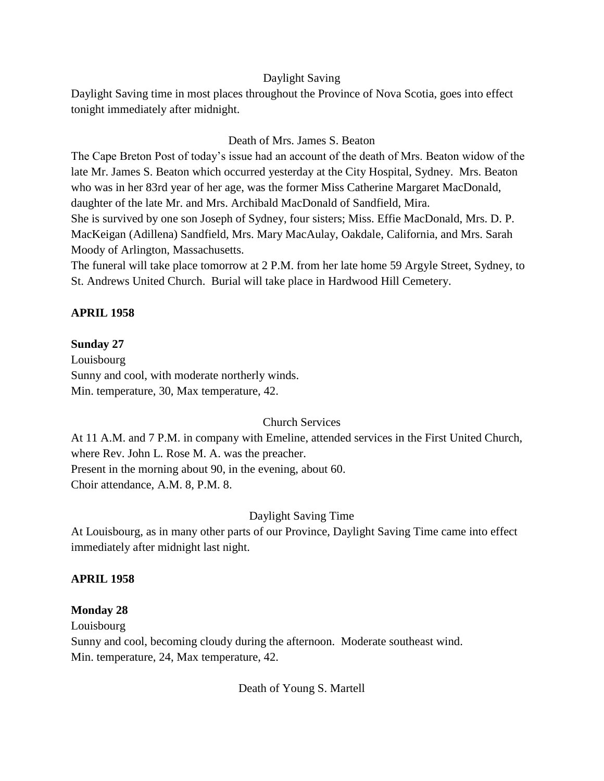#### Daylight Saving

Daylight Saving time in most places throughout the Province of Nova Scotia, goes into effect tonight immediately after midnight.

## Death of Mrs. James S. Beaton

The Cape Breton Post of today's issue had an account of the death of Mrs. Beaton widow of the late Mr. James S. Beaton which occurred yesterday at the City Hospital, Sydney. Mrs. Beaton who was in her 83rd year of her age, was the former Miss Catherine Margaret MacDonald, daughter of the late Mr. and Mrs. Archibald MacDonald of Sandfield, Mira. She is survived by one son Joseph of Sydney, four sisters; Miss. Effie MacDonald, Mrs. D. P. MacKeigan (Adillena) Sandfield, Mrs. Mary MacAulay, Oakdale, California, and Mrs. Sarah Moody of Arlington, Massachusetts.

The funeral will take place tomorrow at 2 P.M. from her late home 59 Argyle Street, Sydney, to St. Andrews United Church. Burial will take place in Hardwood Hill Cemetery.

## **APRIL 1958**

## **Sunday 27**

Louisbourg Sunny and cool, with moderate northerly winds. Min. temperature, 30, Max temperature, 42.

## Church Services

At 11 A.M. and 7 P.M. in company with Emeline, attended services in the First United Church, where Rev. John L. Rose M. A. was the preacher. Present in the morning about 90, in the evening, about 60. Choir attendance, A.M. 8, P.M. 8.

## Daylight Saving Time

At Louisbourg, as in many other parts of our Province, Daylight Saving Time came into effect immediately after midnight last night.

## **APRIL 1958**

## **Monday 28**

Louisbourg

Sunny and cool, becoming cloudy during the afternoon. Moderate southeast wind. Min. temperature, 24, Max temperature, 42.

Death of Young S. Martell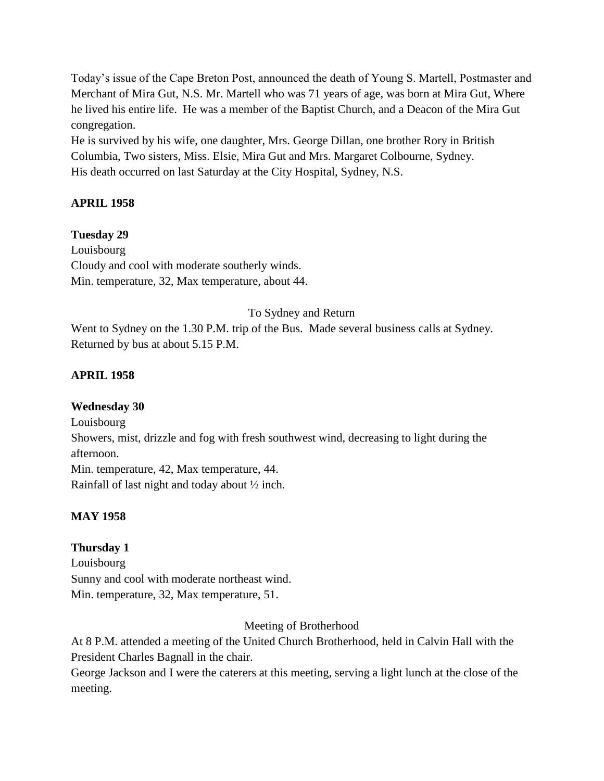Today's issue of the Cape Breton Post, announced the death of Young S. Martell, Postmaster and Merchant of Mira Gut, N.S. Mr. Martell who was 71 years of age, was born at Mira Gut, Where he lived his entire life. He was a member of the Baptist Church, and a Deacon of the Mira Gut congregation.

He is survived by his wife, one daughter, Mrs. George Dillan, one brother Rory in British Columbia, Two sisters, Miss. Elsie, Mira Gut and Mrs. Margaret Colbourne, Sydney. His death occurred on last Saturday at the City Hospital, Sydney, N.S.

## **APRIL 1958**

## **Tuesday 29**

Louisbourg Cloudy and cool with moderate southerly winds. Min. temperature, 32, Max temperature, about 44.

## To Sydney and Return

Went to Sydney on the 1.30 P.M. trip of the Bus. Made several business calls at Sydney. Returned by bus at about 5.15 P.M.

## **APRIL 1958**

## **Wednesday 30**

Louisbourg Showers, mist, drizzle and fog with fresh southwest wind, decreasing to light during the afternoon. Min. temperature, 42, Max temperature, 44. Rainfall of last night and today about ½ inch.

## **MAY 1958**

## **Thursday 1**

Louisbourg Sunny and cool with moderate northeast wind. Min. temperature, 32, Max temperature, 51.

## Meeting of Brotherhood

At 8 P.M. attended a meeting of the United Church Brotherhood, held in Calvin Hall with the President Charles Bagnall in the chair.

George Jackson and I were the caterers at this meeting, serving a light lunch at the close of the meeting.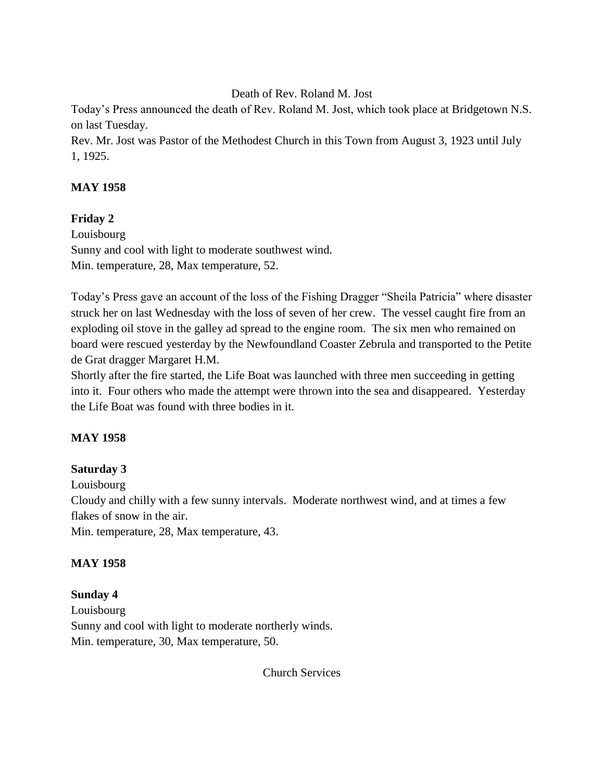Death of Rev. Roland M. Jost

Today's Press announced the death of Rev. Roland M. Jost, which took place at Bridgetown N.S. on last Tuesday.

Rev. Mr. Jost was Pastor of the Methodest Church in this Town from August 3, 1923 until July 1, 1925.

## **MAY 1958**

## **Friday 2**

Louisbourg Sunny and cool with light to moderate southwest wind. Min. temperature, 28, Max temperature, 52.

Today's Press gave an account of the loss of the Fishing Dragger "Sheila Patricia" where disaster struck her on last Wednesday with the loss of seven of her crew. The vessel caught fire from an exploding oil stove in the galley ad spread to the engine room. The six men who remained on board were rescued yesterday by the Newfoundland Coaster Zebrula and transported to the Petite de Grat dragger Margaret H.M.

Shortly after the fire started, the Life Boat was launched with three men succeeding in getting into it. Four others who made the attempt were thrown into the sea and disappeared. Yesterday the Life Boat was found with three bodies in it.

## **MAY 1958**

## **Saturday 3**

Louisbourg

Cloudy and chilly with a few sunny intervals. Moderate northwest wind, and at times a few flakes of snow in the air.

Min. temperature, 28, Max temperature, 43.

## **MAY 1958**

## **Sunday 4**

Louisbourg Sunny and cool with light to moderate northerly winds. Min. temperature, 30, Max temperature, 50.

Church Services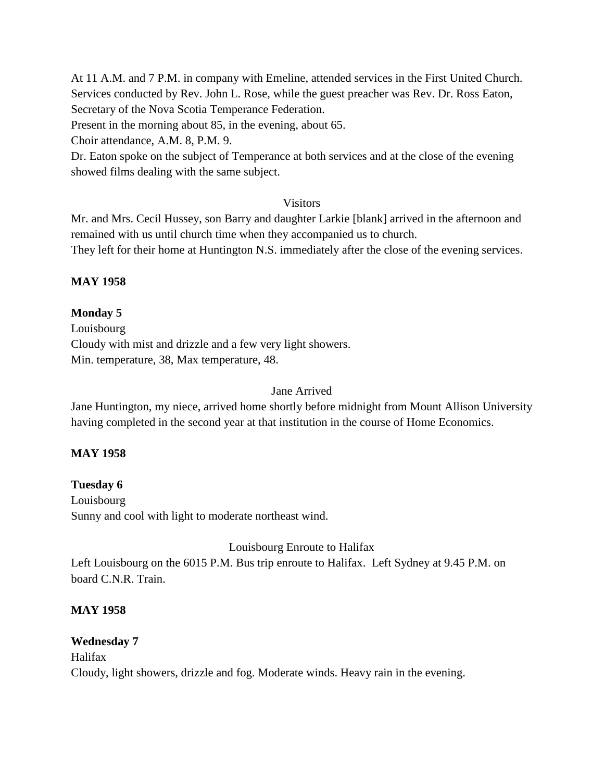At 11 A.M. and 7 P.M. in company with Emeline, attended services in the First United Church. Services conducted by Rev. John L. Rose, while the guest preacher was Rev. Dr. Ross Eaton, Secretary of the Nova Scotia Temperance Federation.

Present in the morning about 85, in the evening, about 65.

Choir attendance, A.M. 8, P.M. 9.

Dr. Eaton spoke on the subject of Temperance at both services and at the close of the evening showed films dealing with the same subject.

## Visitors

Mr. and Mrs. Cecil Hussey, son Barry and daughter Larkie [blank] arrived in the afternoon and remained with us until church time when they accompanied us to church.

They left for their home at Huntington N.S. immediately after the close of the evening services.

## **MAY 1958**

## **Monday 5**

Louisbourg Cloudy with mist and drizzle and a few very light showers. Min. temperature, 38, Max temperature, 48.

## Jane Arrived

Jane Huntington, my niece, arrived home shortly before midnight from Mount Allison University having completed in the second year at that institution in the course of Home Economics.

## **MAY 1958**

# **Tuesday 6**

Louisbourg Sunny and cool with light to moderate northeast wind.

## Louisbourg Enroute to Halifax

Left Louisbourg on the 6015 P.M. Bus trip enroute to Halifax. Left Sydney at 9.45 P.M. on board C.N.R. Train.

## **MAY 1958**

## **Wednesday 7**

Halifax Cloudy, light showers, drizzle and fog. Moderate winds. Heavy rain in the evening.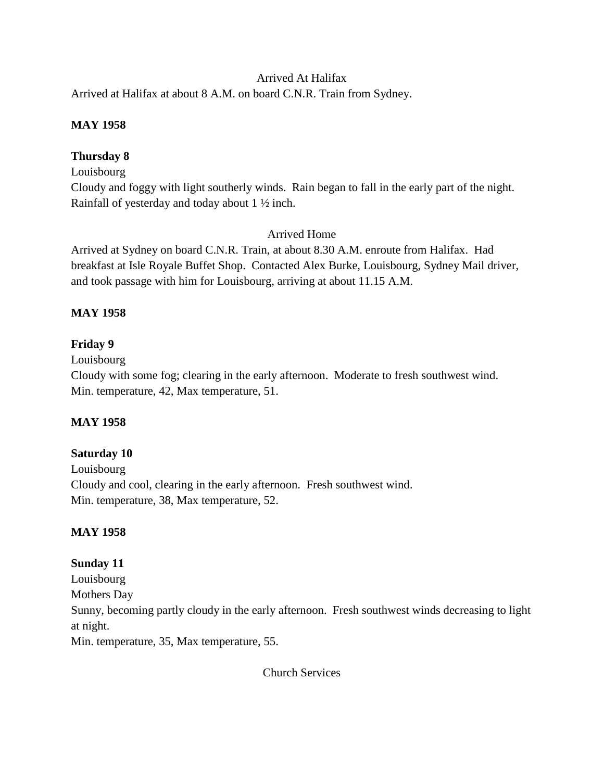## Arrived At Halifax

Arrived at Halifax at about 8 A.M. on board C.N.R. Train from Sydney.

## **MAY 1958**

## **Thursday 8**

Louisbourg

Cloudy and foggy with light southerly winds. Rain began to fall in the early part of the night. Rainfall of yesterday and today about 1 ½ inch.

## Arrived Home

Arrived at Sydney on board C.N.R. Train, at about 8.30 A.M. enroute from Halifax. Had breakfast at Isle Royale Buffet Shop. Contacted Alex Burke, Louisbourg, Sydney Mail driver, and took passage with him for Louisbourg, arriving at about 11.15 A.M.

## **MAY 1958**

## **Friday 9**

Louisbourg

Cloudy with some fog; clearing in the early afternoon. Moderate to fresh southwest wind. Min. temperature, 42, Max temperature, 51.

## **MAY 1958**

## **Saturday 10**

Louisbourg Cloudy and cool, clearing in the early afternoon. Fresh southwest wind. Min. temperature, 38, Max temperature, 52.

## **MAY 1958**

## **Sunday 11**

Louisbourg Mothers Day Sunny, becoming partly cloudy in the early afternoon. Fresh southwest winds decreasing to light at night.

Min. temperature, 35, Max temperature, 55.

Church Services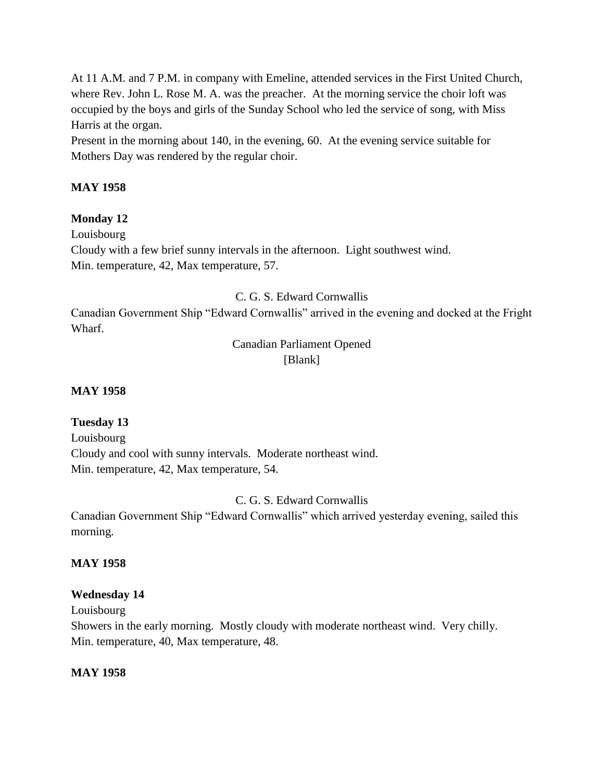At 11 A.M. and 7 P.M. in company with Emeline, attended services in the First United Church, where Rev. John L. Rose M. A. was the preacher. At the morning service the choir loft was occupied by the boys and girls of the Sunday School who led the service of song, with Miss Harris at the organ.

Present in the morning about 140, in the evening, 60. At the evening service suitable for Mothers Day was rendered by the regular choir.

## **MAY 1958**

## **Monday 12**

Louisbourg Cloudy with a few brief sunny intervals in the afternoon. Light southwest wind. Min. temperature, 42, Max temperature, 57.

C. G. S. Edward Cornwallis

Canadian Government Ship "Edward Cornwallis" arrived in the evening and docked at the Fright Wharf.

## Canadian Parliament Opened [Blank]

## **MAY 1958**

## **Tuesday 13**

Louisbourg Cloudy and cool with sunny intervals. Moderate northeast wind. Min. temperature, 42, Max temperature, 54.

## C. G. S. Edward Cornwallis

Canadian Government Ship "Edward Cornwallis" which arrived yesterday evening, sailed this morning.

## **MAY 1958**

## **Wednesday 14**

Louisbourg

Showers in the early morning. Mostly cloudy with moderate northeast wind. Very chilly. Min. temperature, 40, Max temperature, 48.

## **MAY 1958**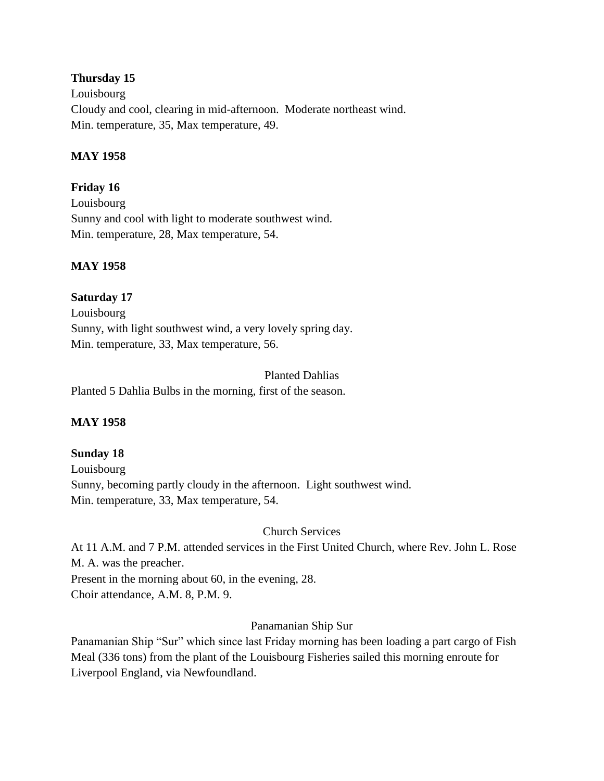## **Thursday 15**

Louisbourg Cloudy and cool, clearing in mid-afternoon. Moderate northeast wind. Min. temperature, 35, Max temperature, 49.

## **MAY 1958**

## **Friday 16**

Louisbourg Sunny and cool with light to moderate southwest wind. Min. temperature, 28, Max temperature, 54.

## **MAY 1958**

## **Saturday 17**

Louisbourg Sunny, with light southwest wind, a very lovely spring day. Min. temperature, 33, Max temperature, 56.

Planted Dahlias Planted 5 Dahlia Bulbs in the morning, first of the season.

## **MAY 1958**

# **Sunday 18**

Louisbourg Sunny, becoming partly cloudy in the afternoon. Light southwest wind. Min. temperature, 33, Max temperature, 54.

Church Services

At 11 A.M. and 7 P.M. attended services in the First United Church, where Rev. John L. Rose M. A. was the preacher.

Present in the morning about 60, in the evening, 28.

Choir attendance, A.M. 8, P.M. 9.

## Panamanian Ship Sur

Panamanian Ship "Sur" which since last Friday morning has been loading a part cargo of Fish Meal (336 tons) from the plant of the Louisbourg Fisheries sailed this morning enroute for Liverpool England, via Newfoundland.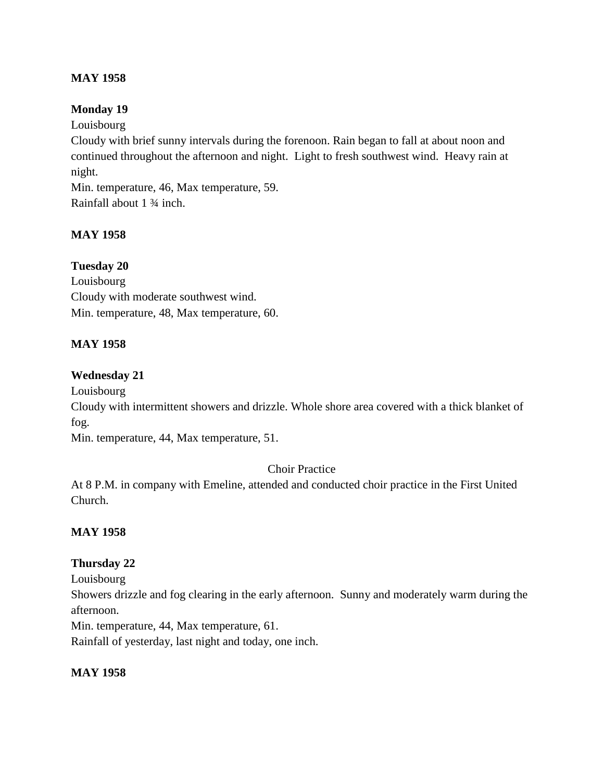## **MAY 1958**

## **Monday 19**

Louisbourg

Cloudy with brief sunny intervals during the forenoon. Rain began to fall at about noon and continued throughout the afternoon and night. Light to fresh southwest wind. Heavy rain at night.

Min. temperature, 46, Max temperature, 59. Rainfall about 1 ¾ inch.

## **MAY 1958**

## **Tuesday 20**

Louisbourg Cloudy with moderate southwest wind. Min. temperature, 48, Max temperature, 60.

## **MAY 1958**

## **Wednesday 21**

Louisbourg

Cloudy with intermittent showers and drizzle. Whole shore area covered with a thick blanket of fog.

Min. temperature, 44, Max temperature, 51.

## Choir Practice

At 8 P.M. in company with Emeline, attended and conducted choir practice in the First United Church.

## **MAY 1958**

## **Thursday 22**

Louisbourg

Showers drizzle and fog clearing in the early afternoon. Sunny and moderately warm during the afternoon.

Min. temperature, 44, Max temperature, 61.

Rainfall of yesterday, last night and today, one inch.

## **MAY 1958**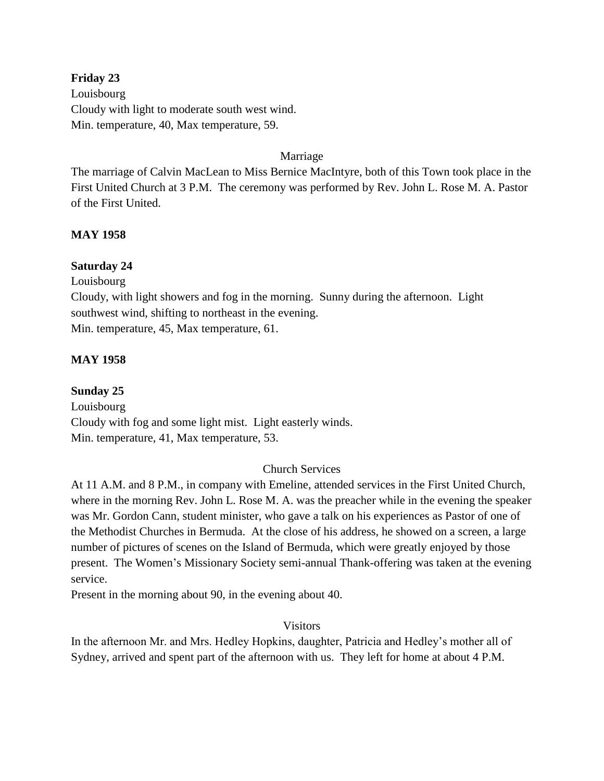## **Friday 23**

Louisbourg Cloudy with light to moderate south west wind. Min. temperature, 40, Max temperature, 59.

### Marriage

The marriage of Calvin MacLean to Miss Bernice MacIntyre, both of this Town took place in the First United Church at 3 P.M. The ceremony was performed by Rev. John L. Rose M. A. Pastor of the First United.

## **MAY 1958**

## **Saturday 24**

Louisbourg

Cloudy, with light showers and fog in the morning. Sunny during the afternoon. Light southwest wind, shifting to northeast in the evening. Min. temperature, 45, Max temperature, 61.

## **MAY 1958**

**Sunday 25** Louisbourg Cloudy with fog and some light mist. Light easterly winds. Min. temperature, 41, Max temperature, 53.

## Church Services

At 11 A.M. and 8 P.M., in company with Emeline, attended services in the First United Church, where in the morning Rev. John L. Rose M. A. was the preacher while in the evening the speaker was Mr. Gordon Cann, student minister, who gave a talk on his experiences as Pastor of one of the Methodist Churches in Bermuda. At the close of his address, he showed on a screen, a large number of pictures of scenes on the Island of Bermuda, which were greatly enjoyed by those present. The Women's Missionary Society semi-annual Thank-offering was taken at the evening service.

Present in the morning about 90, in the evening about 40.

## Visitors

In the afternoon Mr. and Mrs. Hedley Hopkins, daughter, Patricia and Hedley's mother all of Sydney, arrived and spent part of the afternoon with us. They left for home at about 4 P.M.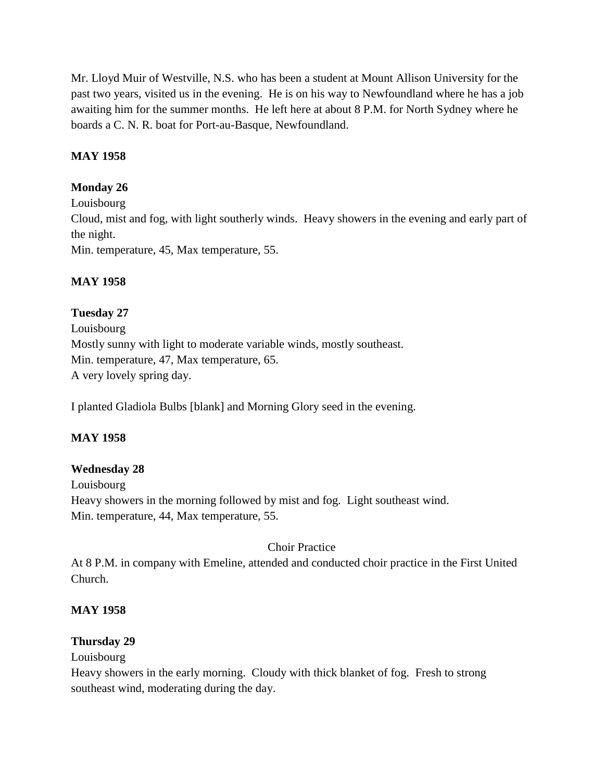Mr. Lloyd Muir of Westville, N.S. who has been a student at Mount Allison University for the past two years, visited us in the evening. He is on his way to Newfoundland where he has a job awaiting him for the summer months. He left here at about 8 P.M. for North Sydney where he boards a C. N. R. boat for Port-au-Basque, Newfoundland.

## **MAY 1958**

## **Monday 26**

Louisbourg Cloud, mist and fog, with light southerly winds. Heavy showers in the evening and early part of the night.

Min. temperature, 45, Max temperature, 55.

## **MAY 1958**

## **Tuesday 27**

Louisbourg Mostly sunny with light to moderate variable winds, mostly southeast. Min. temperature, 47, Max temperature, 65. A very lovely spring day.

I planted Gladiola Bulbs [blank] and Morning Glory seed in the evening.

## **MAY 1958**

## **Wednesday 28**

Louisbourg Heavy showers in the morning followed by mist and fog. Light southeast wind. Min. temperature, 44, Max temperature, 55.

## Choir Practice

At 8 P.M. in company with Emeline, attended and conducted choir practice in the First United Church.

## **MAY 1958**

## **Thursday 29**

Louisbourg

Heavy showers in the early morning. Cloudy with thick blanket of fog. Fresh to strong southeast wind, moderating during the day.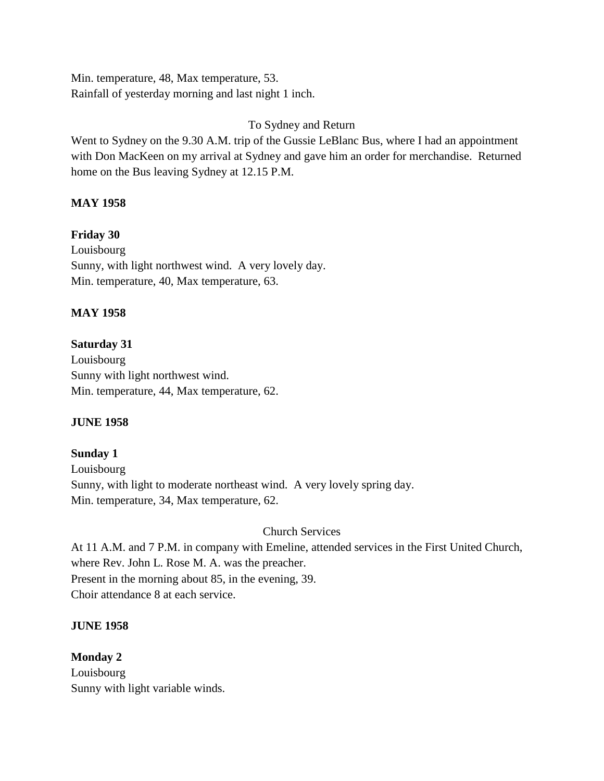Min. temperature, 48, Max temperature, 53. Rainfall of yesterday morning and last night 1 inch.

## To Sydney and Return

Went to Sydney on the 9.30 A.M. trip of the Gussie LeBlanc Bus, where I had an appointment with Don MacKeen on my arrival at Sydney and gave him an order for merchandise. Returned home on the Bus leaving Sydney at 12.15 P.M.

## **MAY 1958**

## **Friday 30**

Louisbourg Sunny, with light northwest wind. A very lovely day. Min. temperature, 40, Max temperature, 63.

## **MAY 1958**

## **Saturday 31** Louisbourg Sunny with light northwest wind. Min. temperature, 44, Max temperature, 62.

## **JUNE 1958**

## **Sunday 1** Louisbourg Sunny, with light to moderate northeast wind. A very lovely spring day. Min. temperature, 34, Max temperature, 62.

## Church Services

At 11 A.M. and 7 P.M. in company with Emeline, attended services in the First United Church, where Rev. John L. Rose M. A. was the preacher. Present in the morning about 85, in the evening, 39. Choir attendance 8 at each service.

## **JUNE 1958**

**Monday 2** Louisbourg Sunny with light variable winds.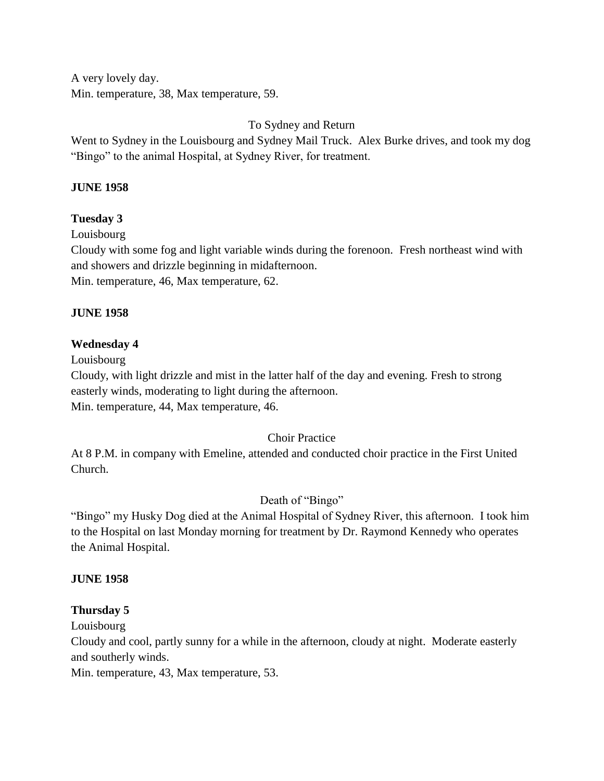A very lovely day. Min. temperature, 38, Max temperature, 59.

To Sydney and Return

Went to Sydney in the Louisbourg and Sydney Mail Truck. Alex Burke drives, and took my dog "Bingo" to the animal Hospital, at Sydney River, for treatment.

## **JUNE 1958**

## **Tuesday 3**

Louisbourg

Cloudy with some fog and light variable winds during the forenoon. Fresh northeast wind with and showers and drizzle beginning in midafternoon.

Min. temperature, 46, Max temperature, 62.

## **JUNE 1958**

## **Wednesday 4**

Louisbourg

Cloudy, with light drizzle and mist in the latter half of the day and evening. Fresh to strong easterly winds, moderating to light during the afternoon. Min. temperature, 44, Max temperature, 46.

## Choir Practice

At 8 P.M. in company with Emeline, attended and conducted choir practice in the First United Church.

## Death of "Bingo"

"Bingo" my Husky Dog died at the Animal Hospital of Sydney River, this afternoon. I took him to the Hospital on last Monday morning for treatment by Dr. Raymond Kennedy who operates the Animal Hospital.

## **JUNE 1958**

## **Thursday 5**

Louisbourg

Cloudy and cool, partly sunny for a while in the afternoon, cloudy at night. Moderate easterly and southerly winds.

Min. temperature, 43, Max temperature, 53.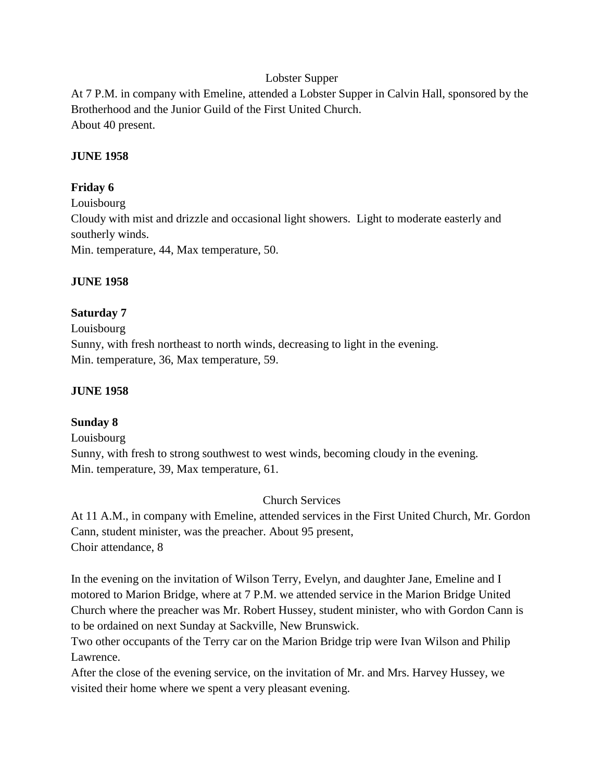## Lobster Supper

At 7 P.M. in company with Emeline, attended a Lobster Supper in Calvin Hall, sponsored by the Brotherhood and the Junior Guild of the First United Church. About 40 present.

#### **JUNE 1958**

### **Friday 6**

Louisbourg Cloudy with mist and drizzle and occasional light showers. Light to moderate easterly and southerly winds. Min. temperature, 44, Max temperature, 50.

#### **JUNE 1958**

#### **Saturday 7**

Louisbourg Sunny, with fresh northeast to north winds, decreasing to light in the evening. Min. temperature, 36, Max temperature, 59.

#### **JUNE 1958**

## **Sunday 8**

Louisbourg

Sunny, with fresh to strong southwest to west winds, becoming cloudy in the evening. Min. temperature, 39, Max temperature, 61.

Church Services

At 11 A.M., in company with Emeline, attended services in the First United Church, Mr. Gordon Cann, student minister, was the preacher. About 95 present, Choir attendance, 8

In the evening on the invitation of Wilson Terry, Evelyn, and daughter Jane, Emeline and I motored to Marion Bridge, where at 7 P.M. we attended service in the Marion Bridge United Church where the preacher was Mr. Robert Hussey, student minister, who with Gordon Cann is to be ordained on next Sunday at Sackville, New Brunswick.

Two other occupants of the Terry car on the Marion Bridge trip were Ivan Wilson and Philip Lawrence.

After the close of the evening service, on the invitation of Mr. and Mrs. Harvey Hussey, we visited their home where we spent a very pleasant evening.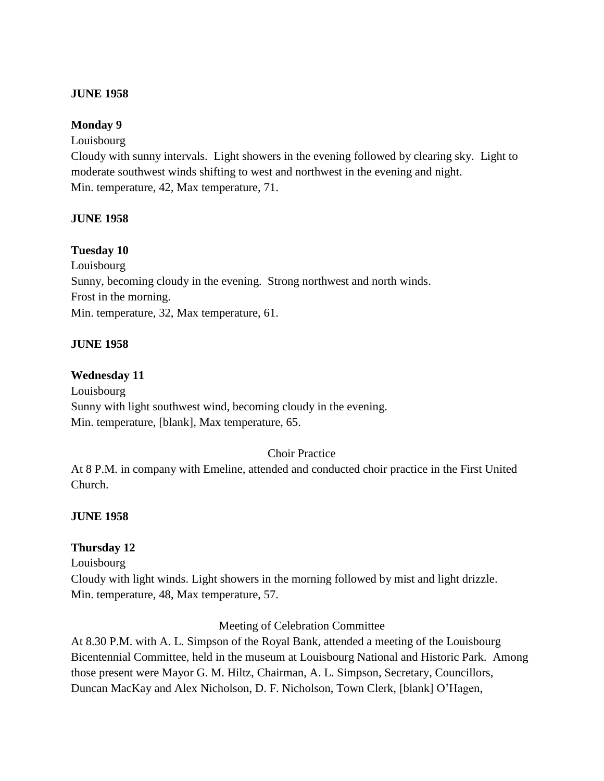#### **JUNE 1958**

### **Monday 9**

#### Louisbourg

Cloudy with sunny intervals. Light showers in the evening followed by clearing sky. Light to moderate southwest winds shifting to west and northwest in the evening and night. Min. temperature, 42, Max temperature, 71.

#### **JUNE 1958**

#### **Tuesday 10**

Louisbourg Sunny, becoming cloudy in the evening. Strong northwest and north winds. Frost in the morning. Min. temperature, 32, Max temperature, 61.

#### **JUNE 1958**

#### **Wednesday 11**

Louisbourg Sunny with light southwest wind, becoming cloudy in the evening. Min. temperature, [blank], Max temperature, 65.

#### Choir Practice

At 8 P.M. in company with Emeline, attended and conducted choir practice in the First United Church.

## **JUNE 1958**

#### **Thursday 12**

Louisbourg

Cloudy with light winds. Light showers in the morning followed by mist and light drizzle. Min. temperature, 48, Max temperature, 57.

#### Meeting of Celebration Committee

At 8.30 P.M. with A. L. Simpson of the Royal Bank, attended a meeting of the Louisbourg Bicentennial Committee, held in the museum at Louisbourg National and Historic Park. Among those present were Mayor G. M. Hiltz, Chairman, A. L. Simpson, Secretary, Councillors, Duncan MacKay and Alex Nicholson, D. F. Nicholson, Town Clerk, [blank] O'Hagen,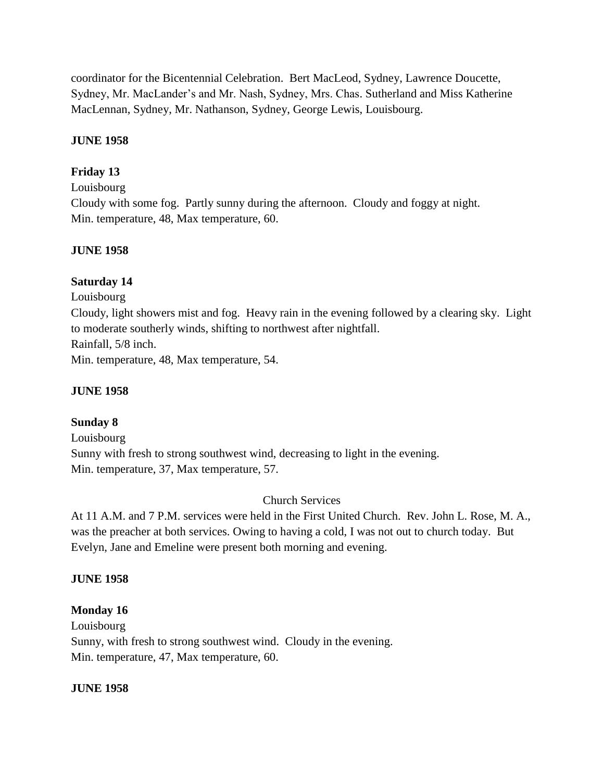coordinator for the Bicentennial Celebration. Bert MacLeod, Sydney, Lawrence Doucette, Sydney, Mr. MacLander's and Mr. Nash, Sydney, Mrs. Chas. Sutherland and Miss Katherine MacLennan, Sydney, Mr. Nathanson, Sydney, George Lewis, Louisbourg.

### **JUNE 1958**

## **Friday 13**

Louisbourg

Cloudy with some fog. Partly sunny during the afternoon. Cloudy and foggy at night. Min. temperature, 48, Max temperature, 60.

#### **JUNE 1958**

#### **Saturday 14**

Louisbourg Cloudy, light showers mist and fog. Heavy rain in the evening followed by a clearing sky. Light to moderate southerly winds, shifting to northwest after nightfall. Rainfall, 5/8 inch. Min. temperature, 48, Max temperature, 54.

#### **JUNE 1958**

## **Sunday 8**

Louisbourg Sunny with fresh to strong southwest wind, decreasing to light in the evening. Min. temperature, 37, Max temperature, 57.

#### Church Services

At 11 A.M. and 7 P.M. services were held in the First United Church. Rev. John L. Rose, M. A., was the preacher at both services. Owing to having a cold, I was not out to church today. But Evelyn, Jane and Emeline were present both morning and evening.

#### **JUNE 1958**

#### **Monday 16**

Louisbourg Sunny, with fresh to strong southwest wind. Cloudy in the evening. Min. temperature, 47, Max temperature, 60.

#### **JUNE 1958**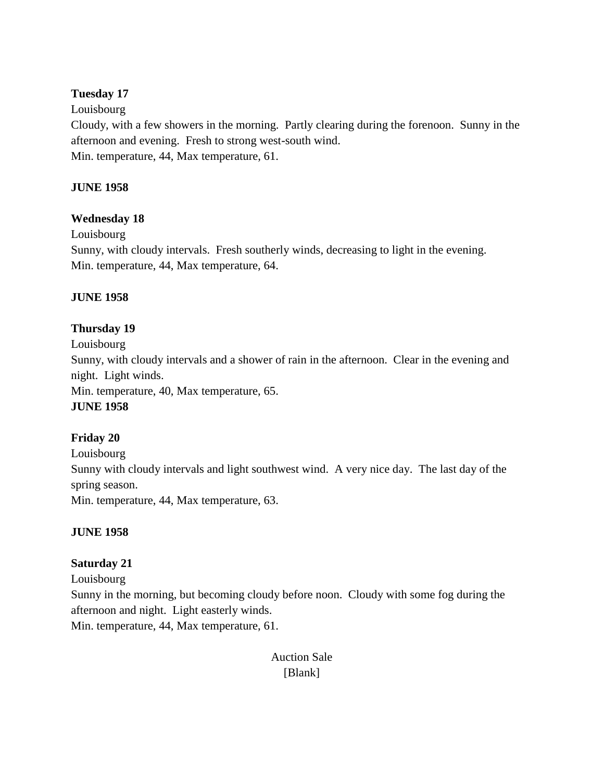## **Tuesday 17**

Louisbourg

Cloudy, with a few showers in the morning. Partly clearing during the forenoon. Sunny in the afternoon and evening. Fresh to strong west-south wind. Min. temperature, 44, Max temperature, 61.

## **JUNE 1958**

## **Wednesday 18**

Louisbourg

Sunny, with cloudy intervals. Fresh southerly winds, decreasing to light in the evening. Min. temperature, 44, Max temperature, 64.

## **JUNE 1958**

## **Thursday 19**

Louisbourg Sunny, with cloudy intervals and a shower of rain in the afternoon. Clear in the evening and night. Light winds. Min. temperature, 40, Max temperature, 65. **JUNE 1958**

## **Friday 20**

Louisbourg Sunny with cloudy intervals and light southwest wind. A very nice day. The last day of the spring season. Min. temperature, 44, Max temperature, 63.

## **JUNE 1958**

## **Saturday 21**

Louisbourg

Sunny in the morning, but becoming cloudy before noon. Cloudy with some fog during the afternoon and night. Light easterly winds.

Min. temperature, 44, Max temperature, 61.

Auction Sale [Blank]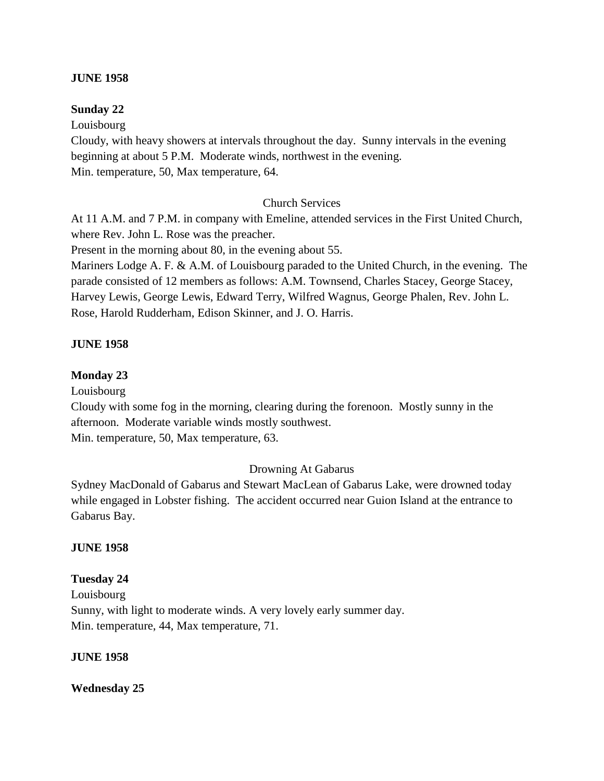#### **JUNE 1958**

#### **Sunday 22**

Louisbourg

Cloudy, with heavy showers at intervals throughout the day. Sunny intervals in the evening beginning at about 5 P.M. Moderate winds, northwest in the evening. Min. temperature, 50, Max temperature, 64.

#### Church Services

At 11 A.M. and 7 P.M. in company with Emeline, attended services in the First United Church, where Rev. John L. Rose was the preacher.

Present in the morning about 80, in the evening about 55.

Mariners Lodge A. F. & A.M. of Louisbourg paraded to the United Church, in the evening. The parade consisted of 12 members as follows: A.M. Townsend, Charles Stacey, George Stacey, Harvey Lewis, George Lewis, Edward Terry, Wilfred Wagnus, George Phalen, Rev. John L. Rose, Harold Rudderham, Edison Skinner, and J. O. Harris.

#### **JUNE 1958**

#### **Monday 23**

Louisbourg

Cloudy with some fog in the morning, clearing during the forenoon. Mostly sunny in the afternoon. Moderate variable winds mostly southwest. Min. temperature, 50, Max temperature, 63.

#### Drowning At Gabarus

Sydney MacDonald of Gabarus and Stewart MacLean of Gabarus Lake, were drowned today while engaged in Lobster fishing. The accident occurred near Guion Island at the entrance to Gabarus Bay.

#### **JUNE 1958**

## **Tuesday 24**

Louisbourg Sunny, with light to moderate winds. A very lovely early summer day. Min. temperature, 44, Max temperature, 71.

#### **JUNE 1958**

#### **Wednesday 25**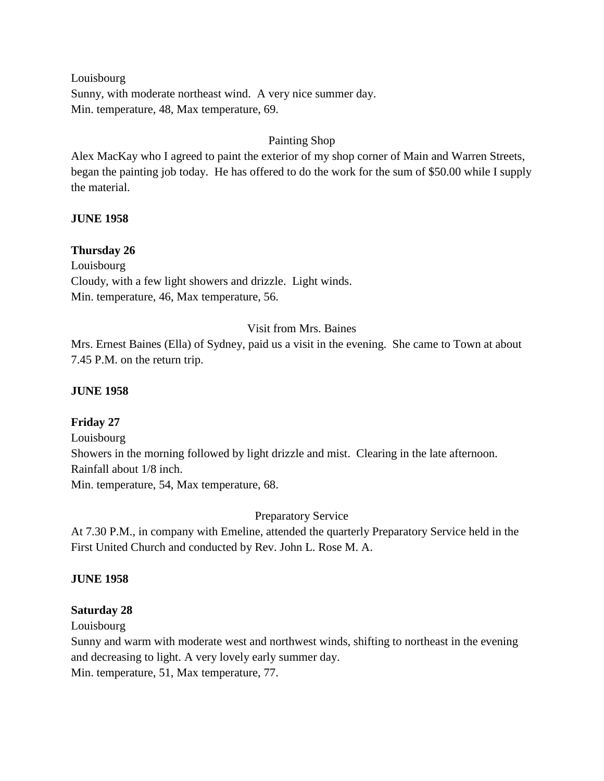Louisbourg Sunny, with moderate northeast wind. A very nice summer day. Min. temperature, 48, Max temperature, 69.

## Painting Shop

Alex MacKay who I agreed to paint the exterior of my shop corner of Main and Warren Streets, began the painting job today. He has offered to do the work for the sum of \$50.00 while I supply the material.

#### **JUNE 1958**

#### **Thursday 26**

Louisbourg Cloudy, with a few light showers and drizzle. Light winds. Min. temperature, 46, Max temperature, 56.

## Visit from Mrs. Baines

Mrs. Ernest Baines (Ella) of Sydney, paid us a visit in the evening. She came to Town at about 7.45 P.M. on the return trip.

### **JUNE 1958**

## **Friday 27**

Louisbourg Showers in the morning followed by light drizzle and mist. Clearing in the late afternoon. Rainfall about 1/8 inch.

Min. temperature, 54, Max temperature, 68.

Preparatory Service

At 7.30 P.M., in company with Emeline, attended the quarterly Preparatory Service held in the First United Church and conducted by Rev. John L. Rose M. A.

## **JUNE 1958**

## **Saturday 28**

Louisbourg

Sunny and warm with moderate west and northwest winds, shifting to northeast in the evening and decreasing to light. A very lovely early summer day.

Min. temperature, 51, Max temperature, 77.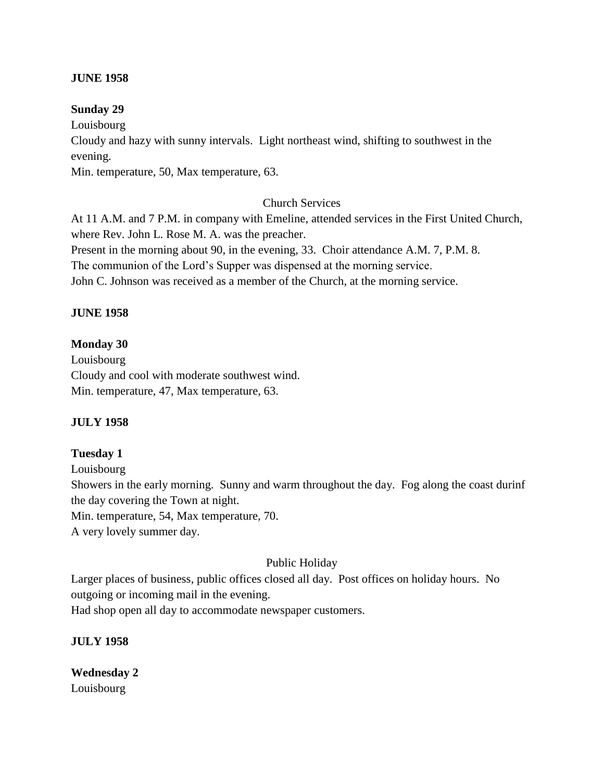#### **JUNE 1958**

#### **Sunday 29**

Louisbourg

Cloudy and hazy with sunny intervals. Light northeast wind, shifting to southwest in the evening.

Min. temperature, 50, Max temperature, 63.

## Church Services

At 11 A.M. and 7 P.M. in company with Emeline, attended services in the First United Church, where Rev. John L. Rose M. A. was the preacher. Present in the morning about 90, in the evening, 33. Choir attendance A.M. 7, P.M. 8. The communion of the Lord's Supper was dispensed at the morning service. John C. Johnson was received as a member of the Church, at the morning service.

#### **JUNE 1958**

#### **Monday 30**

Louisbourg Cloudy and cool with moderate southwest wind. Min. temperature, 47, Max temperature, 63.

## **JULY 1958**

## **Tuesday 1**

Louisbourg

Showers in the early morning. Sunny and warm throughout the day. Fog along the coast durinf the day covering the Town at night.

Min. temperature, 54, Max temperature, 70.

A very lovely summer day.

## Public Holiday

Larger places of business, public offices closed all day. Post offices on holiday hours. No outgoing or incoming mail in the evening. Had shop open all day to accommodate newspaper customers.

#### **JULY 1958**

**Wednesday 2** Louisbourg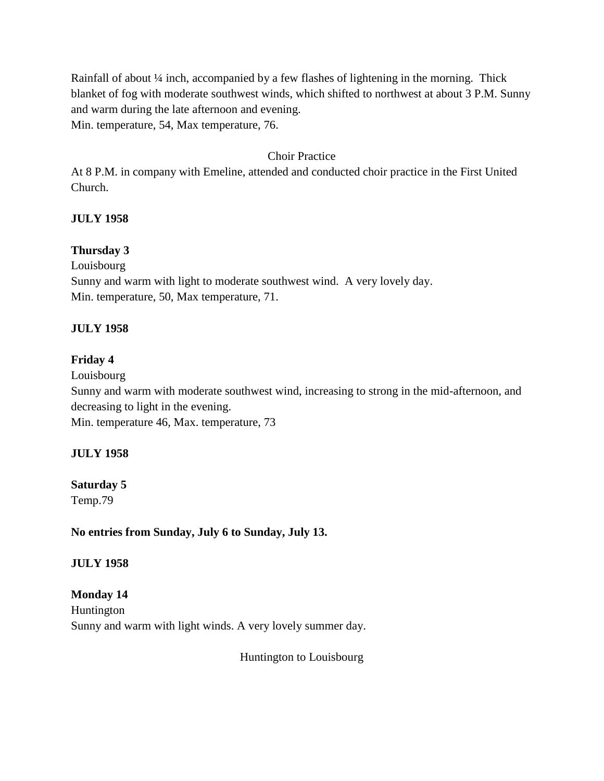Rainfall of about ¼ inch, accompanied by a few flashes of lightening in the morning. Thick blanket of fog with moderate southwest winds, which shifted to northwest at about 3 P.M. Sunny and warm during the late afternoon and evening. Min. temperature, 54, Max temperature, 76.

## Choir Practice

At 8 P.M. in company with Emeline, attended and conducted choir practice in the First United Church.

## **JULY 1958**

## **Thursday 3**

Louisbourg

Sunny and warm with light to moderate southwest wind. A very lovely day. Min. temperature, 50, Max temperature, 71.

## **JULY 1958**

#### **Friday 4**

Louisbourg Sunny and warm with moderate southwest wind, increasing to strong in the mid-afternoon, and decreasing to light in the evening. Min. temperature 46, Max. temperature, 73

## **JULY 1958**

# **Saturday 5**

Temp.79

**No entries from Sunday, July 6 to Sunday, July 13.**

## **JULY 1958**

**Monday 14** Huntington Sunny and warm with light winds. A very lovely summer day.

Huntington to Louisbourg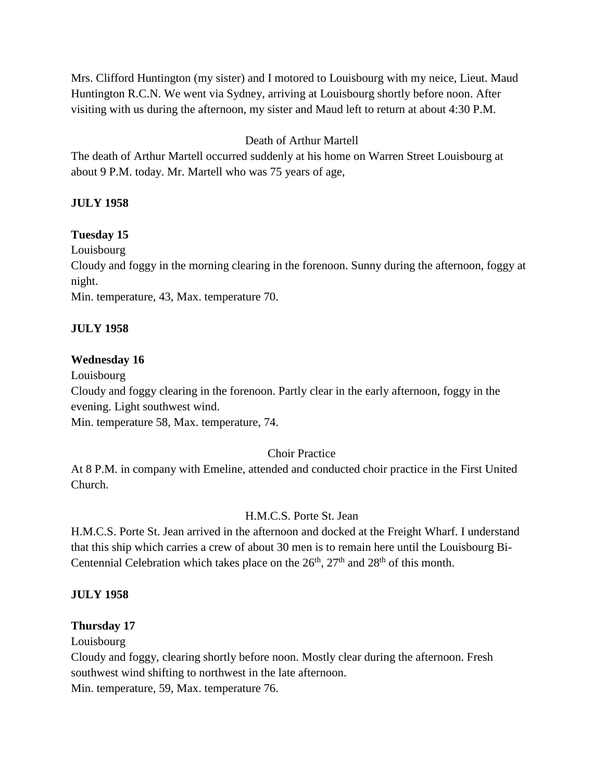Mrs. Clifford Huntington (my sister) and I motored to Louisbourg with my neice, Lieut. Maud Huntington R.C.N. We went via Sydney, arriving at Louisbourg shortly before noon. After visiting with us during the afternoon, my sister and Maud left to return at about 4:30 P.M.

## Death of Arthur Martell

The death of Arthur Martell occurred suddenly at his home on Warren Street Louisbourg at about 9 P.M. today. Mr. Martell who was 75 years of age,

## **JULY 1958**

#### **Tuesday 15**

Louisbourg

Cloudy and foggy in the morning clearing in the forenoon. Sunny during the afternoon, foggy at night.

Min. temperature, 43, Max. temperature 70.

#### **JULY 1958**

#### **Wednesday 16**

Louisbourg

Cloudy and foggy clearing in the forenoon. Partly clear in the early afternoon, foggy in the evening. Light southwest wind.

Min. temperature 58, Max. temperature, 74.

## Choir Practice

At 8 P.M. in company with Emeline, attended and conducted choir practice in the First United Church.

## H.M.C.S. Porte St. Jean

H.M.C.S. Porte St. Jean arrived in the afternoon and docked at the Freight Wharf. I understand that this ship which carries a crew of about 30 men is to remain here until the Louisbourg Bi-Centennial Celebration which takes place on the  $26<sup>th</sup>$ ,  $27<sup>th</sup>$  and  $28<sup>th</sup>$  of this month.

#### **JULY 1958**

#### **Thursday 17**

Louisbourg

Cloudy and foggy, clearing shortly before noon. Mostly clear during the afternoon. Fresh southwest wind shifting to northwest in the late afternoon.

Min. temperature, 59, Max. temperature 76.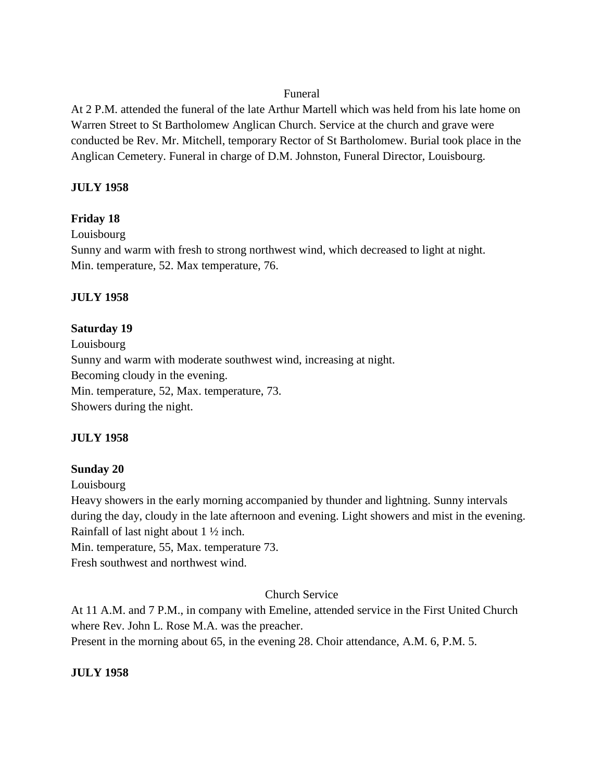#### Funeral

At 2 P.M. attended the funeral of the late Arthur Martell which was held from his late home on Warren Street to St Bartholomew Anglican Church. Service at the church and grave were conducted be Rev. Mr. Mitchell, temporary Rector of St Bartholomew. Burial took place in the Anglican Cemetery. Funeral in charge of D.M. Johnston, Funeral Director, Louisbourg.

#### **JULY 1958**

#### **Friday 18**

Louisbourg

Sunny and warm with fresh to strong northwest wind, which decreased to light at night. Min. temperature, 52. Max temperature, 76.

#### **JULY 1958**

#### **Saturday 19**

Louisbourg Sunny and warm with moderate southwest wind, increasing at night. Becoming cloudy in the evening. Min. temperature, 52, Max. temperature, 73. Showers during the night.

#### **JULY 1958**

#### **Sunday 20**

Louisbourg

Heavy showers in the early morning accompanied by thunder and lightning. Sunny intervals during the day, cloudy in the late afternoon and evening. Light showers and mist in the evening. Rainfall of last night about 1 ½ inch.

Min. temperature, 55, Max. temperature 73.

Fresh southwest and northwest wind.

## Church Service

At 11 A.M. and 7 P.M., in company with Emeline, attended service in the First United Church where Rev. John L. Rose M.A. was the preacher. Present in the morning about 65, in the evening 28. Choir attendance, A.M. 6, P.M. 5.

#### **JULY 1958**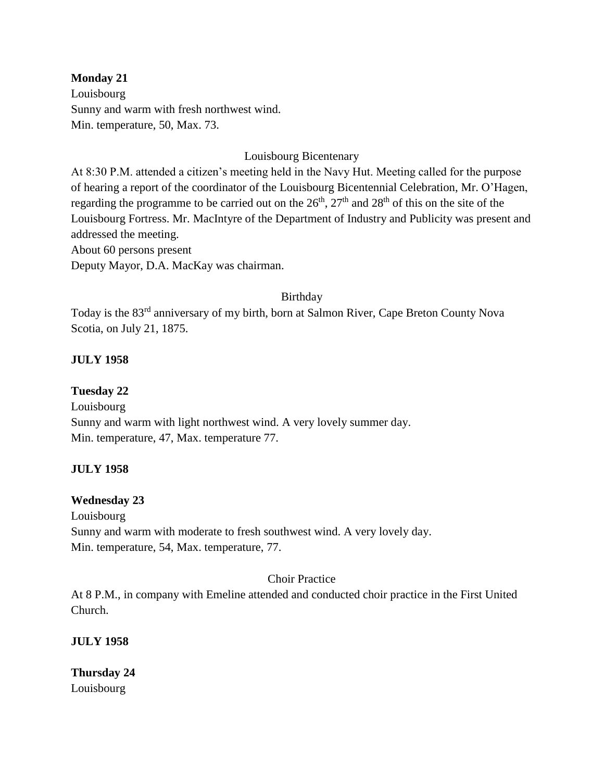## **Monday 21**

Louisbourg Sunny and warm with fresh northwest wind. Min. temperature, 50, Max. 73.

## Louisbourg Bicentenary

At 8:30 P.M. attended a citizen's meeting held in the Navy Hut. Meeting called for the purpose of hearing a report of the coordinator of the Louisbourg Bicentennial Celebration, Mr. O'Hagen, regarding the programme to be carried out on the  $26<sup>th</sup>$ ,  $27<sup>th</sup>$  and  $28<sup>th</sup>$  of this on the site of the Louisbourg Fortress. Mr. MacIntyre of the Department of Industry and Publicity was present and addressed the meeting.

About 60 persons present

Deputy Mayor, D.A. MacKay was chairman.

## Birthday

Today is the 83rd anniversary of my birth, born at Salmon River, Cape Breton County Nova Scotia, on July 21, 1875.

## **JULY 1958**

## **Tuesday 22**

Louisbourg Sunny and warm with light northwest wind. A very lovely summer day. Min. temperature, 47, Max. temperature 77.

## **JULY 1958**

## **Wednesday 23**

Louisbourg Sunny and warm with moderate to fresh southwest wind. A very lovely day. Min. temperature, 54, Max. temperature, 77.

## Choir Practice

At 8 P.M., in company with Emeline attended and conducted choir practice in the First United Church.

**JULY 1958**

**Thursday 24** Louisbourg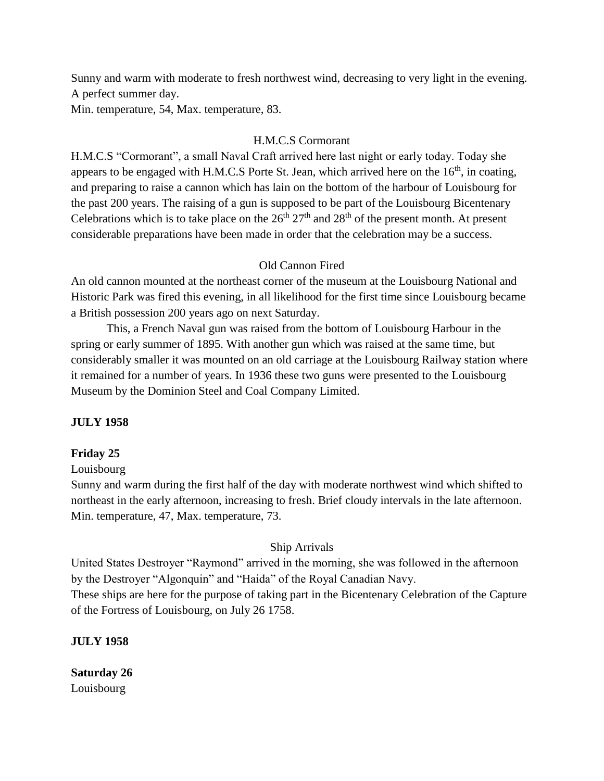Sunny and warm with moderate to fresh northwest wind, decreasing to very light in the evening. A perfect summer day.

Min. temperature, 54, Max. temperature, 83.

## H.M.C.S Cormorant

H.M.C.S "Cormorant", a small Naval Craft arrived here last night or early today. Today she appears to be engaged with H.M.C.S Porte St. Jean, which arrived here on the  $16<sup>th</sup>$ , in coating, and preparing to raise a cannon which has lain on the bottom of the harbour of Louisbourg for the past 200 years. The raising of a gun is supposed to be part of the Louisbourg Bicentenary Celebrations which is to take place on the  $26<sup>th</sup> 27<sup>th</sup>$  and  $28<sup>th</sup>$  of the present month. At present considerable preparations have been made in order that the celebration may be a success.

## Old Cannon Fired

An old cannon mounted at the northeast corner of the museum at the Louisbourg National and Historic Park was fired this evening, in all likelihood for the first time since Louisbourg became a British possession 200 years ago on next Saturday.

This, a French Naval gun was raised from the bottom of Louisbourg Harbour in the spring or early summer of 1895. With another gun which was raised at the same time, but considerably smaller it was mounted on an old carriage at the Louisbourg Railway station where it remained for a number of years. In 1936 these two guns were presented to the Louisbourg Museum by the Dominion Steel and Coal Company Limited.

## **JULY 1958**

## **Friday 25**

#### Louisbourg

Sunny and warm during the first half of the day with moderate northwest wind which shifted to northeast in the early afternoon, increasing to fresh. Brief cloudy intervals in the late afternoon. Min. temperature, 47, Max. temperature, 73.

## Ship Arrivals

United States Destroyer "Raymond" arrived in the morning, she was followed in the afternoon by the Destroyer "Algonquin" and "Haida" of the Royal Canadian Navy. These ships are here for the purpose of taking part in the Bicentenary Celebration of the Capture of the Fortress of Louisbourg, on July 26 1758.

## **JULY 1958**

**Saturday 26** Louisbourg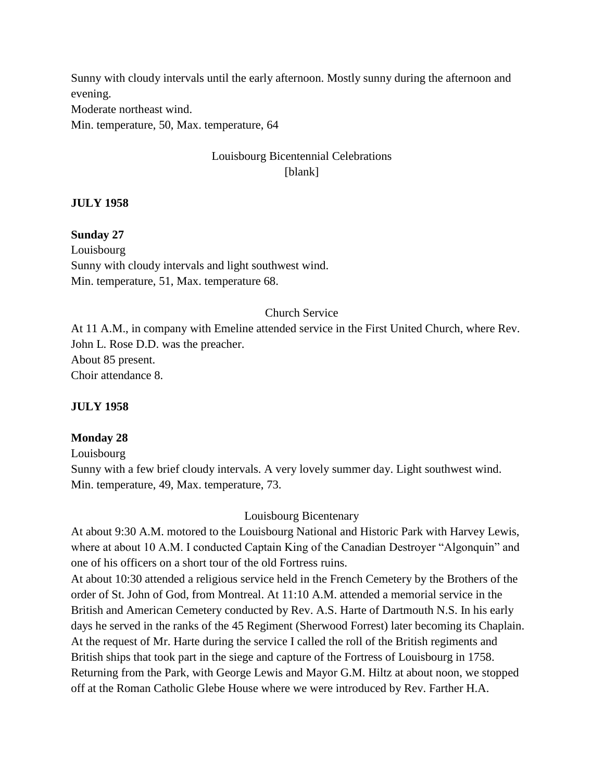Sunny with cloudy intervals until the early afternoon. Mostly sunny during the afternoon and evening.

Moderate northeast wind.

Min. temperature, 50, Max. temperature, 64

# Louisbourg Bicentennial Celebrations [blank]

## **JULY 1958**

#### **Sunday 27**

Louisbourg Sunny with cloudy intervals and light southwest wind. Min. temperature, 51, Max. temperature 68.

#### Church Service

At 11 A.M., in company with Emeline attended service in the First United Church, where Rev. John L. Rose D.D. was the preacher. About 85 present. Choir attendance 8.

#### **JULY 1958**

## **Monday 28**

Louisbourg

Sunny with a few brief cloudy intervals. A very lovely summer day. Light southwest wind. Min. temperature, 49, Max. temperature, 73.

## Louisbourg Bicentenary

At about 9:30 A.M. motored to the Louisbourg National and Historic Park with Harvey Lewis, where at about 10 A.M. I conducted Captain King of the Canadian Destroyer "Algonquin" and one of his officers on a short tour of the old Fortress ruins.

At about 10:30 attended a religious service held in the French Cemetery by the Brothers of the order of St. John of God, from Montreal. At 11:10 A.M. attended a memorial service in the British and American Cemetery conducted by Rev. A.S. Harte of Dartmouth N.S. In his early days he served in the ranks of the 45 Regiment (Sherwood Forrest) later becoming its Chaplain. At the request of Mr. Harte during the service I called the roll of the British regiments and British ships that took part in the siege and capture of the Fortress of Louisbourg in 1758. Returning from the Park, with George Lewis and Mayor G.M. Hiltz at about noon, we stopped off at the Roman Catholic Glebe House where we were introduced by Rev. Farther H.A.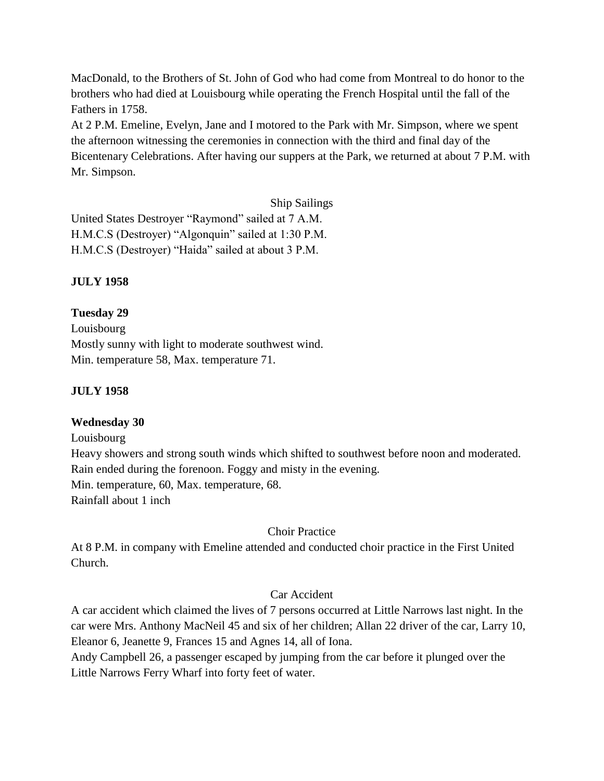MacDonald, to the Brothers of St. John of God who had come from Montreal to do honor to the brothers who had died at Louisbourg while operating the French Hospital until the fall of the Fathers in 1758.

At 2 P.M. Emeline, Evelyn, Jane and I motored to the Park with Mr. Simpson, where we spent the afternoon witnessing the ceremonies in connection with the third and final day of the Bicentenary Celebrations. After having our suppers at the Park, we returned at about 7 P.M. with Mr. Simpson.

Ship Sailings

United States Destroyer "Raymond" sailed at 7 A.M. H.M.C.S (Destroyer) "Algonquin" sailed at 1:30 P.M. H.M.C.S (Destroyer) "Haida" sailed at about 3 P.M.

## **JULY 1958**

## **Tuesday 29**

Louisbourg Mostly sunny with light to moderate southwest wind. Min. temperature 58, Max. temperature 71.

## **JULY 1958**

## **Wednesday 30**

Louisbourg

Heavy showers and strong south winds which shifted to southwest before noon and moderated. Rain ended during the forenoon. Foggy and misty in the evening. Min. temperature, 60, Max. temperature, 68. Rainfall about 1 inch

## Choir Practice

At 8 P.M. in company with Emeline attended and conducted choir practice in the First United Church.

## Car Accident

A car accident which claimed the lives of 7 persons occurred at Little Narrows last night. In the car were Mrs. Anthony MacNeil 45 and six of her children; Allan 22 driver of the car, Larry 10, Eleanor 6, Jeanette 9, Frances 15 and Agnes 14, all of Iona.

Andy Campbell 26, a passenger escaped by jumping from the car before it plunged over the Little Narrows Ferry Wharf into forty feet of water.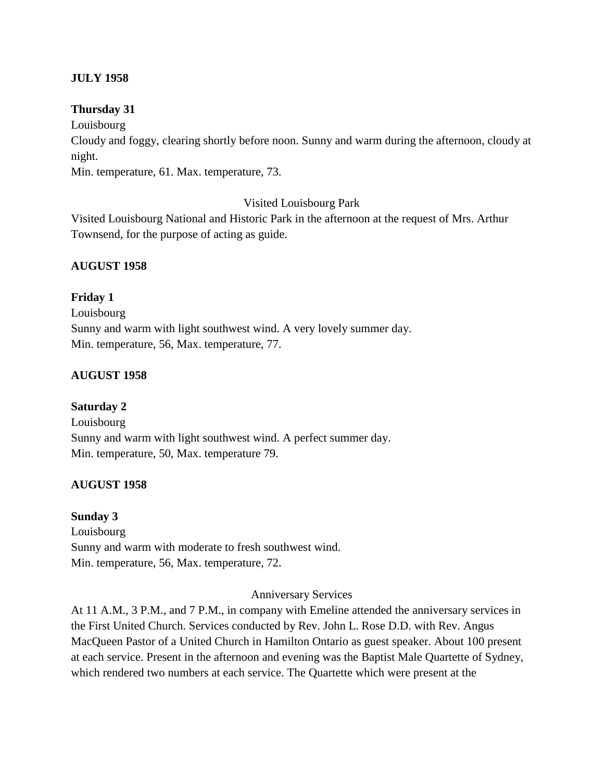## **JULY 1958**

#### **Thursday 31**

Louisbourg

Cloudy and foggy, clearing shortly before noon. Sunny and warm during the afternoon, cloudy at night.

Min. temperature, 61. Max. temperature, 73.

#### Visited Louisbourg Park

Visited Louisbourg National and Historic Park in the afternoon at the request of Mrs. Arthur Townsend, for the purpose of acting as guide.

#### **AUGUST 1958**

## **Friday 1**

Louisbourg Sunny and warm with light southwest wind. A very lovely summer day. Min. temperature, 56, Max. temperature, 77.

## **AUGUST 1958**

## **Saturday 2**

Louisbourg Sunny and warm with light southwest wind. A perfect summer day. Min. temperature, 50, Max. temperature 79.

## **AUGUST 1958**

#### **Sunday 3**

Louisbourg Sunny and warm with moderate to fresh southwest wind. Min. temperature, 56, Max. temperature, 72.

#### Anniversary Services

At 11 A.M., 3 P.M., and 7 P.M., in company with Emeline attended the anniversary services in the First United Church. Services conducted by Rev. John L. Rose D.D. with Rev. Angus MacQueen Pastor of a United Church in Hamilton Ontario as guest speaker. About 100 present at each service. Present in the afternoon and evening was the Baptist Male Quartette of Sydney, which rendered two numbers at each service. The Quartette which were present at the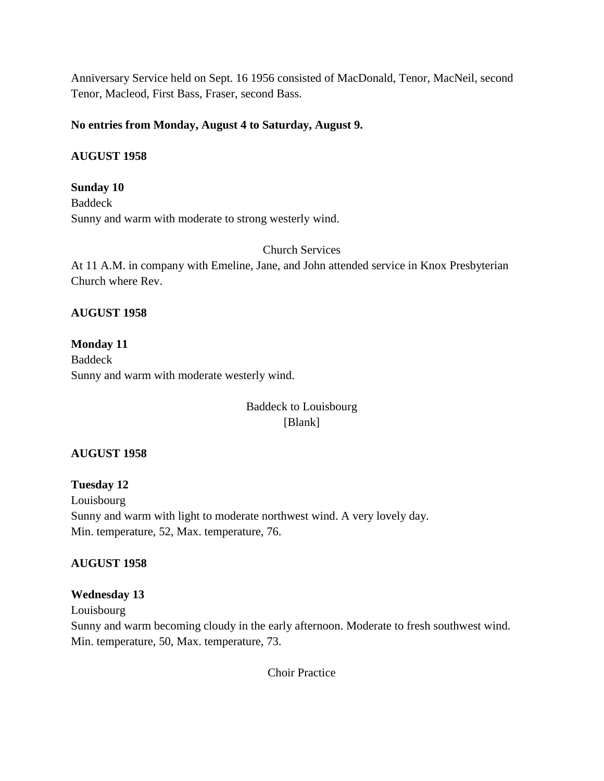Anniversary Service held on Sept. 16 1956 consisted of MacDonald, Tenor, MacNeil, second Tenor, Macleod, First Bass, Fraser, second Bass.

## **No entries from Monday, August 4 to Saturday, August 9.**

#### **AUGUST 1958**

**Sunday 10** Baddeck Sunny and warm with moderate to strong westerly wind.

Church Services

At 11 A.M. in company with Emeline, Jane, and John attended service in Knox Presbyterian Church where Rev.

#### **AUGUST 1958**

**Monday 11** Baddeck Sunny and warm with moderate westerly wind.

> Baddeck to Louisbourg [Blank]

## **AUGUST 1958**

**Tuesday 12** Louisbourg Sunny and warm with light to moderate northwest wind. A very lovely day. Min. temperature, 52, Max. temperature, 76.

## **AUGUST 1958**

## **Wednesday 13**

Louisbourg

Sunny and warm becoming cloudy in the early afternoon. Moderate to fresh southwest wind. Min. temperature, 50, Max. temperature, 73.

Choir Practice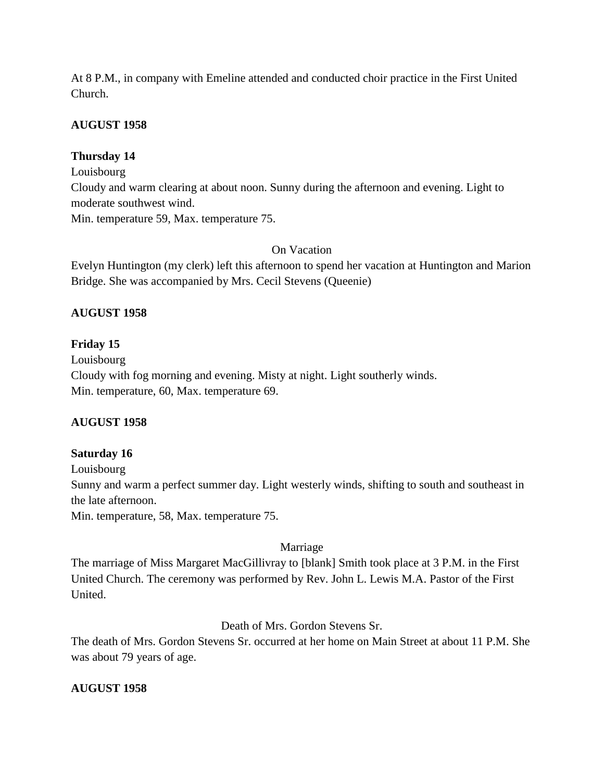At 8 P.M., in company with Emeline attended and conducted choir practice in the First United Church.

## **AUGUST 1958**

## **Thursday 14**

Louisbourg

Cloudy and warm clearing at about noon. Sunny during the afternoon and evening. Light to moderate southwest wind.

Min. temperature 59, Max. temperature 75.

## On Vacation

Evelyn Huntington (my clerk) left this afternoon to spend her vacation at Huntington and Marion Bridge. She was accompanied by Mrs. Cecil Stevens (Queenie)

## **AUGUST 1958**

## **Friday 15**

Louisbourg Cloudy with fog morning and evening. Misty at night. Light southerly winds. Min. temperature, 60, Max. temperature 69.

## **AUGUST 1958**

## **Saturday 16**

Louisbourg Sunny and warm a perfect summer day. Light westerly winds, shifting to south and southeast in the late afternoon. Min. temperature, 58, Max. temperature 75.

## Marriage

The marriage of Miss Margaret MacGillivray to [blank] Smith took place at 3 P.M. in the First United Church. The ceremony was performed by Rev. John L. Lewis M.A. Pastor of the First United.

## Death of Mrs. Gordon Stevens Sr.

The death of Mrs. Gordon Stevens Sr. occurred at her home on Main Street at about 11 P.M. She was about 79 years of age.

## **AUGUST 1958**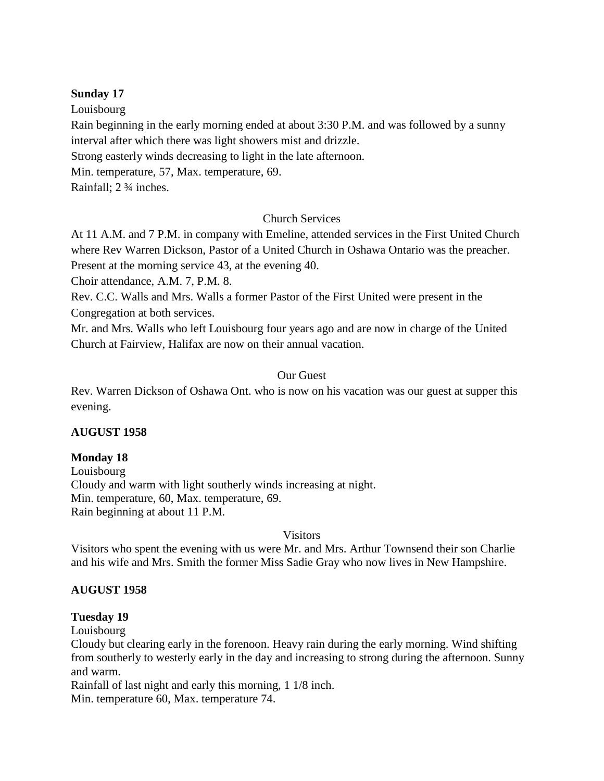#### **Sunday 17**

Louisbourg

Rain beginning in the early morning ended at about 3:30 P.M. and was followed by a sunny interval after which there was light showers mist and drizzle.

Strong easterly winds decreasing to light in the late afternoon.

Min. temperature, 57, Max. temperature, 69.

Rainfall; 2 ¾ inches.

## Church Services

At 11 A.M. and 7 P.M. in company with Emeline, attended services in the First United Church where Rev Warren Dickson, Pastor of a United Church in Oshawa Ontario was the preacher. Present at the morning service 43, at the evening 40.

Choir attendance, A.M. 7, P.M. 8.

Rev. C.C. Walls and Mrs. Walls a former Pastor of the First United were present in the Congregation at both services.

Mr. and Mrs. Walls who left Louisbourg four years ago and are now in charge of the United Church at Fairview, Halifax are now on their annual vacation.

## Our Guest

Rev. Warren Dickson of Oshawa Ont. who is now on his vacation was our guest at supper this evening.

## **AUGUST 1958**

## **Monday 18**

Louisbourg Cloudy and warm with light southerly winds increasing at night. Min. temperature, 60, Max. temperature, 69. Rain beginning at about 11 P.M.

## Visitors

Visitors who spent the evening with us were Mr. and Mrs. Arthur Townsend their son Charlie and his wife and Mrs. Smith the former Miss Sadie Gray who now lives in New Hampshire.

## **AUGUST 1958**

## **Tuesday 19**

Louisbourg

Cloudy but clearing early in the forenoon. Heavy rain during the early morning. Wind shifting from southerly to westerly early in the day and increasing to strong during the afternoon. Sunny and warm.

Rainfall of last night and early this morning, 1 1/8 inch. Min. temperature 60, Max. temperature 74.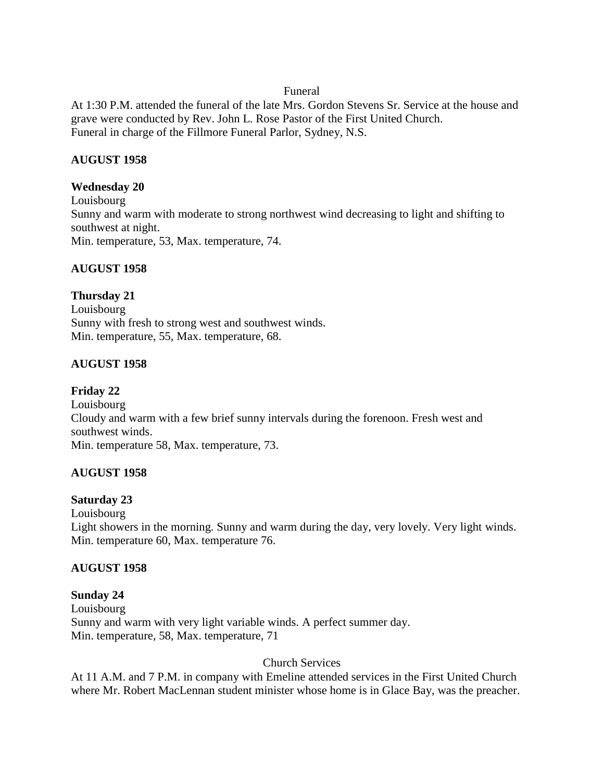#### Funeral

At 1:30 P.M. attended the funeral of the late Mrs. Gordon Stevens Sr. Service at the house and grave were conducted by Rev. John L. Rose Pastor of the First United Church. Funeral in charge of the Fillmore Funeral Parlor, Sydney, N.S.

## **AUGUST 1958**

## **Wednesday 20**

Louisbourg Sunny and warm with moderate to strong northwest wind decreasing to light and shifting to southwest at night. Min. temperature, 53, Max. temperature, 74.

## **AUGUST 1958**

## **Thursday 21**

Louisbourg Sunny with fresh to strong west and southwest winds. Min. temperature, 55, Max. temperature, 68.

## **AUGUST 1958**

### **Friday 22** Louisbourg Cloudy and warm with a few brief sunny intervals during the forenoon. Fresh west and southwest winds. Min. temperature 58, Max. temperature, 73.

## **AUGUST 1958**

## **Saturday 23**

Louisbourg Light showers in the morning. Sunny and warm during the day, very lovely. Very light winds. Min. temperature 60, Max. temperature 76.

## **AUGUST 1958**

## **Sunday 24**

Louisbourg Sunny and warm with very light variable winds. A perfect summer day. Min. temperature, 58, Max. temperature, 71

## Church Services

At 11 A.M. and 7 P.M. in company with Emeline attended services in the First United Church where Mr. Robert MacLennan student minister whose home is in Glace Bay, was the preacher.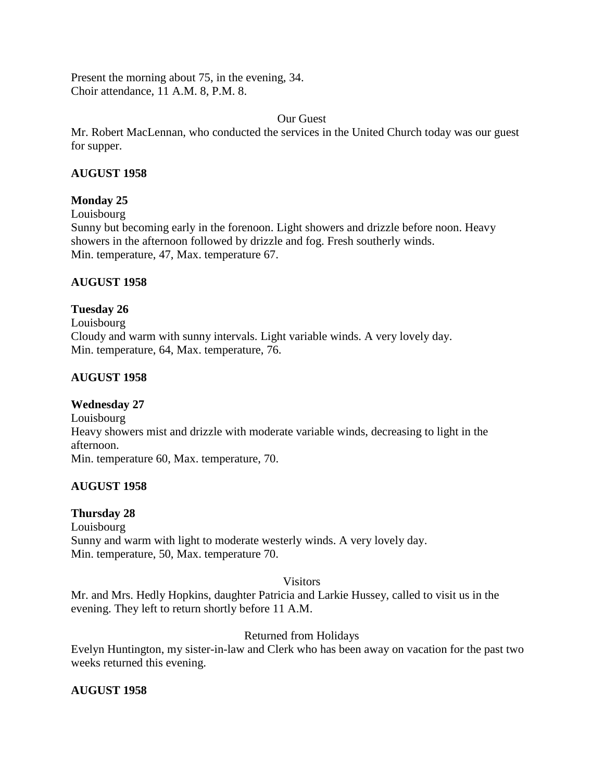Present the morning about 75, in the evening, 34. Choir attendance, 11 A.M. 8, P.M. 8.

#### Our Guest

Mr. Robert MacLennan, who conducted the services in the United Church today was our guest for supper.

## **AUGUST 1958**

## **Monday 25**

Louisbourg

Sunny but becoming early in the forenoon. Light showers and drizzle before noon. Heavy showers in the afternoon followed by drizzle and fog. Fresh southerly winds. Min. temperature, 47, Max. temperature 67.

## **AUGUST 1958**

## **Tuesday 26**

Louisbourg Cloudy and warm with sunny intervals. Light variable winds. A very lovely day. Min. temperature, 64, Max. temperature, 76.

## **AUGUST 1958**

## **Wednesday 27**

Louisbourg Heavy showers mist and drizzle with moderate variable winds, decreasing to light in the afternoon. Min. temperature 60, Max. temperature, 70.

## **AUGUST 1958**

## **Thursday 28**

Louisbourg Sunny and warm with light to moderate westerly winds. A very lovely day. Min. temperature, 50, Max. temperature 70.

## **Visitors**

Mr. and Mrs. Hedly Hopkins, daughter Patricia and Larkie Hussey, called to visit us in the evening. They left to return shortly before 11 A.M.

## Returned from Holidays

Evelyn Huntington, my sister-in-law and Clerk who has been away on vacation for the past two weeks returned this evening.

## **AUGUST 1958**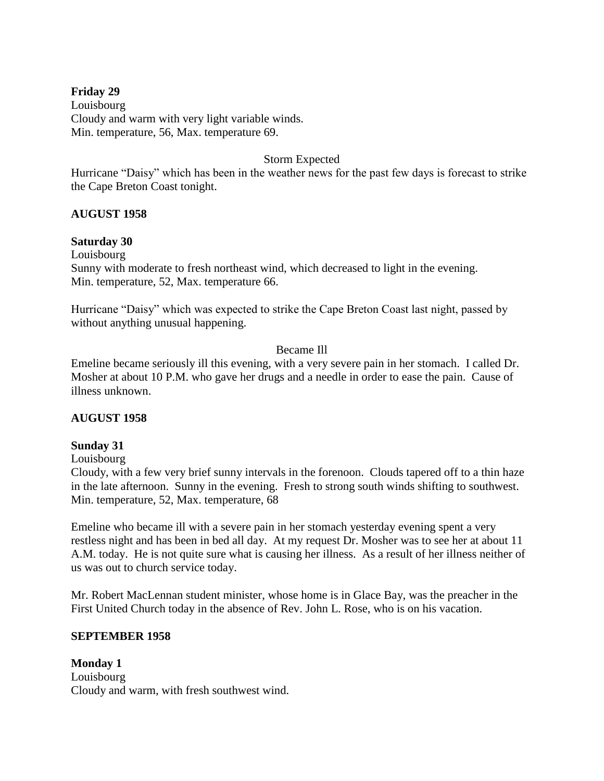### **Friday 29**

Louisbourg Cloudy and warm with very light variable winds. Min. temperature, 56, Max. temperature 69.

#### Storm Expected

Hurricane "Daisy" which has been in the weather news for the past few days is forecast to strike the Cape Breton Coast tonight.

#### **AUGUST 1958**

#### **Saturday 30**

Louisbourg Sunny with moderate to fresh northeast wind, which decreased to light in the evening. Min. temperature, 52, Max. temperature 66.

Hurricane "Daisy" which was expected to strike the Cape Breton Coast last night, passed by without anything unusual happening.

#### Became Ill

Emeline became seriously ill this evening, with a very severe pain in her stomach. I called Dr. Mosher at about 10 P.M. who gave her drugs and a needle in order to ease the pain. Cause of illness unknown.

#### **AUGUST 1958**

#### **Sunday 31**

#### Louisbourg

Cloudy, with a few very brief sunny intervals in the forenoon. Clouds tapered off to a thin haze in the late afternoon. Sunny in the evening. Fresh to strong south winds shifting to southwest. Min. temperature, 52, Max. temperature, 68

Emeline who became ill with a severe pain in her stomach yesterday evening spent a very restless night and has been in bed all day. At my request Dr. Mosher was to see her at about 11 A.M. today. He is not quite sure what is causing her illness. As a result of her illness neither of us was out to church service today.

Mr. Robert MacLennan student minister, whose home is in Glace Bay, was the preacher in the First United Church today in the absence of Rev. John L. Rose, who is on his vacation.

#### **SEPTEMBER 1958**

**Monday 1** Louisbourg Cloudy and warm, with fresh southwest wind.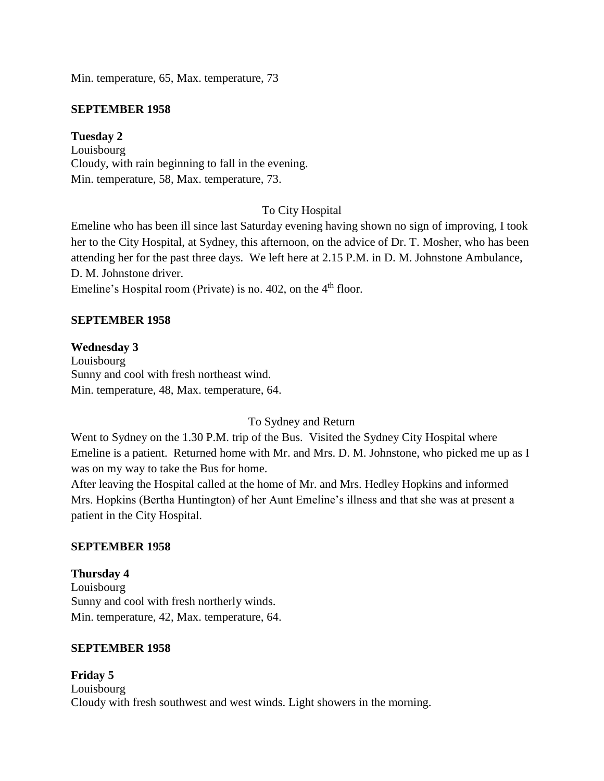Min. temperature, 65, Max. temperature, 73

#### **SEPTEMBER 1958**

## **Tuesday 2**

Louisbourg Cloudy, with rain beginning to fall in the evening. Min. temperature, 58, Max. temperature, 73.

## To City Hospital

Emeline who has been ill since last Saturday evening having shown no sign of improving, I took her to the City Hospital, at Sydney, this afternoon, on the advice of Dr. T. Mosher, who has been attending her for the past three days. We left here at 2.15 P.M. in D. M. Johnstone Ambulance, D. M. Johnstone driver.

Emeline's Hospital room (Private) is no. 402, on the 4<sup>th</sup> floor.

## **SEPTEMBER 1958**

#### **Wednesday 3**

Louisbourg Sunny and cool with fresh northeast wind. Min. temperature, 48, Max. temperature, 64.

## To Sydney and Return

Went to Sydney on the 1.30 P.M. trip of the Bus. Visited the Sydney City Hospital where Emeline is a patient. Returned home with Mr. and Mrs. D. M. Johnstone, who picked me up as I was on my way to take the Bus for home.

After leaving the Hospital called at the home of Mr. and Mrs. Hedley Hopkins and informed Mrs. Hopkins (Bertha Huntington) of her Aunt Emeline's illness and that she was at present a patient in the City Hospital.

#### **SEPTEMBER 1958**

**Thursday 4** Louisbourg Sunny and cool with fresh northerly winds. Min. temperature, 42, Max. temperature, 64.

#### **SEPTEMBER 1958**

**Friday 5** Louisbourg Cloudy with fresh southwest and west winds. Light showers in the morning.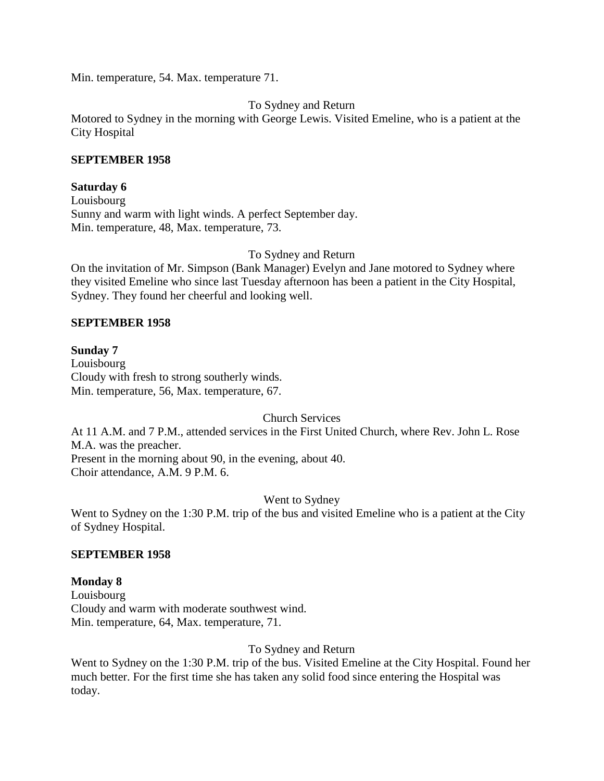Min. temperature, 54. Max. temperature 71.

To Sydney and Return

Motored to Sydney in the morning with George Lewis. Visited Emeline, who is a patient at the City Hospital

#### **SEPTEMBER 1958**

#### **Saturday 6**

Louisbourg Sunny and warm with light winds. A perfect September day. Min. temperature, 48, Max. temperature, 73.

To Sydney and Return

On the invitation of Mr. Simpson (Bank Manager) Evelyn and Jane motored to Sydney where they visited Emeline who since last Tuesday afternoon has been a patient in the City Hospital, Sydney. They found her cheerful and looking well.

#### **SEPTEMBER 1958**

#### **Sunday 7**

Louisbourg Cloudy with fresh to strong southerly winds. Min. temperature, 56, Max. temperature, 67.

Church Services

At 11 A.M. and 7 P.M., attended services in the First United Church, where Rev. John L. Rose M.A. was the preacher. Present in the morning about 90, in the evening, about 40. Choir attendance, A.M. 9 P.M. 6.

Went to Sydney

Went to Sydney on the 1:30 P.M. trip of the bus and visited Emeline who is a patient at the City of Sydney Hospital.

#### **SEPTEMBER 1958**

#### **Monday 8**

Louisbourg Cloudy and warm with moderate southwest wind. Min. temperature, 64, Max. temperature, 71.

To Sydney and Return

Went to Sydney on the 1:30 P.M. trip of the bus. Visited Emeline at the City Hospital. Found her much better. For the first time she has taken any solid food since entering the Hospital was today.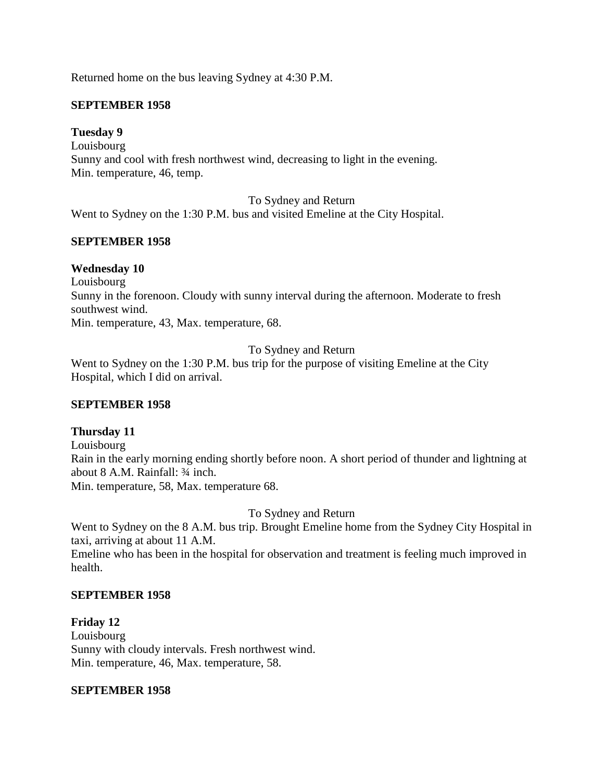Returned home on the bus leaving Sydney at 4:30 P.M.

#### **SEPTEMBER 1958**

#### **Tuesday 9**

Louisbourg Sunny and cool with fresh northwest wind, decreasing to light in the evening. Min. temperature, 46, temp.

To Sydney and Return

Went to Sydney on the 1:30 P.M. bus and visited Emeline at the City Hospital.

#### **SEPTEMBER 1958**

#### **Wednesday 10**

Louisbourg Sunny in the forenoon. Cloudy with sunny interval during the afternoon. Moderate to fresh southwest wind. Min. temperature, 43, Max. temperature, 68.

To Sydney and Return

Went to Sydney on the 1:30 P.M. bus trip for the purpose of visiting Emeline at the City Hospital, which I did on arrival.

#### **SEPTEMBER 1958**

#### **Thursday 11**

Louisbourg Rain in the early morning ending shortly before noon. A short period of thunder and lightning at about 8 A.M. Rainfall: ¾ inch. Min. temperature, 58, Max. temperature 68.

To Sydney and Return

Went to Sydney on the 8 A.M. bus trip. Brought Emeline home from the Sydney City Hospital in taxi, arriving at about 11 A.M.

Emeline who has been in the hospital for observation and treatment is feeling much improved in health.

#### **SEPTEMBER 1958**

**Friday 12** Louisbourg Sunny with cloudy intervals. Fresh northwest wind. Min. temperature, 46, Max. temperature, 58.

#### **SEPTEMBER 1958**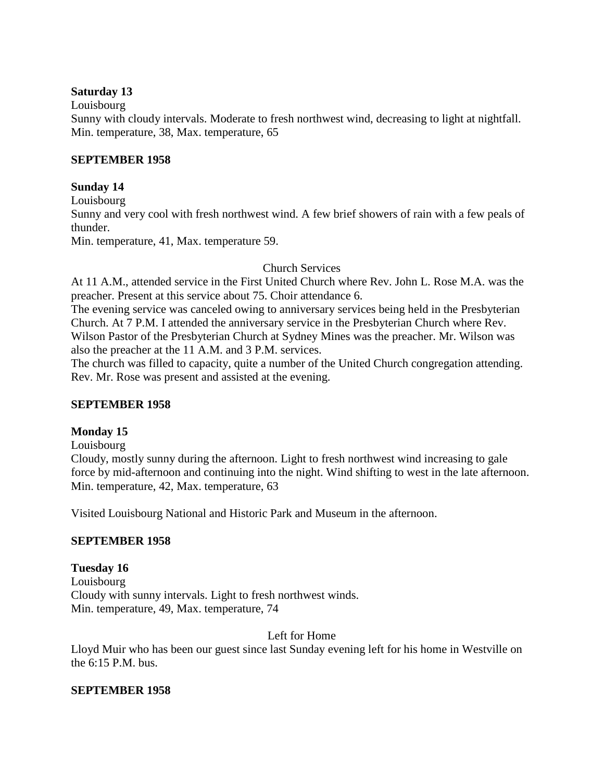#### **Saturday 13**

Louisbourg

Sunny with cloudy intervals. Moderate to fresh northwest wind, decreasing to light at nightfall. Min. temperature, 38, Max. temperature, 65

#### **SEPTEMBER 1958**

#### **Sunday 14**

Louisbourg Sunny and very cool with fresh northwest wind. A few brief showers of rain with a few peals of thunder. Min. temperature, 41, Max. temperature 59.

#### Church Services

At 11 A.M., attended service in the First United Church where Rev. John L. Rose M.A. was the preacher. Present at this service about 75. Choir attendance 6.

The evening service was canceled owing to anniversary services being held in the Presbyterian Church. At 7 P.M. I attended the anniversary service in the Presbyterian Church where Rev. Wilson Pastor of the Presbyterian Church at Sydney Mines was the preacher. Mr. Wilson was also the preacher at the 11 A.M. and 3 P.M. services.

The church was filled to capacity, quite a number of the United Church congregation attending. Rev. Mr. Rose was present and assisted at the evening.

# **SEPTEMBER 1958**

# **Monday 15**

Louisbourg

Cloudy, mostly sunny during the afternoon. Light to fresh northwest wind increasing to gale force by mid-afternoon and continuing into the night. Wind shifting to west in the late afternoon. Min. temperature, 42, Max. temperature, 63

Visited Louisbourg National and Historic Park and Museum in the afternoon.

# **SEPTEMBER 1958**

# **Tuesday 16**

Louisbourg Cloudy with sunny intervals. Light to fresh northwest winds. Min. temperature, 49, Max. temperature, 74

Left for Home

Lloyd Muir who has been our guest since last Sunday evening left for his home in Westville on the 6:15 P.M. bus.

# **SEPTEMBER 1958**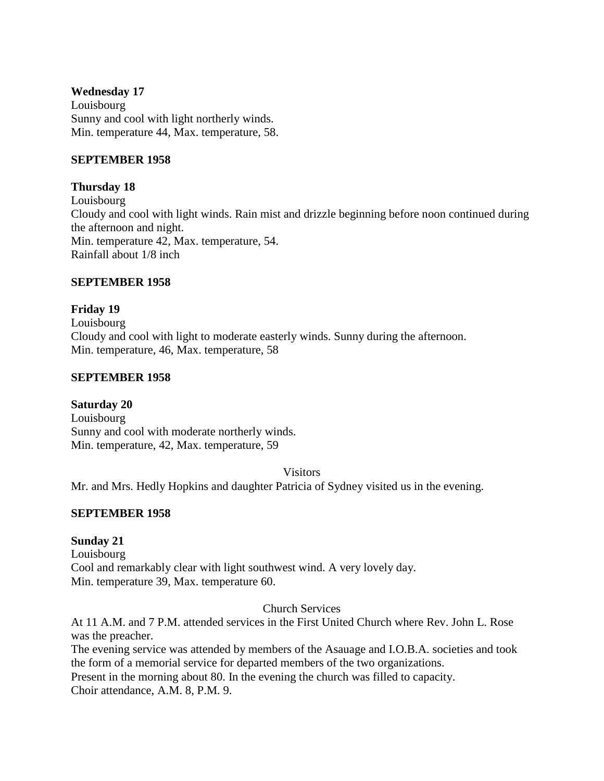#### **Wednesday 17**

Louisbourg Sunny and cool with light northerly winds. Min. temperature 44, Max. temperature, 58.

#### **SEPTEMBER 1958**

#### **Thursday 18**

Louisbourg Cloudy and cool with light winds. Rain mist and drizzle beginning before noon continued during the afternoon and night. Min. temperature 42, Max. temperature, 54. Rainfall about 1/8 inch

#### **SEPTEMBER 1958**

# **Friday 19**

Louisbourg Cloudy and cool with light to moderate easterly winds. Sunny during the afternoon. Min. temperature, 46, Max. temperature, 58

#### **SEPTEMBER 1958**

**Saturday 20** Louisbourg Sunny and cool with moderate northerly winds. Min. temperature, 42, Max. temperature, 59

Visitors

Mr. and Mrs. Hedly Hopkins and daughter Patricia of Sydney visited us in the evening.

#### **SEPTEMBER 1958**

#### **Sunday 21**

Louisbourg Cool and remarkably clear with light southwest wind. A very lovely day. Min. temperature 39, Max. temperature 60.

Church Services

At 11 A.M. and 7 P.M. attended services in the First United Church where Rev. John L. Rose was the preacher.

The evening service was attended by members of the Asauage and I.O.B.A. societies and took the form of a memorial service for departed members of the two organizations. Present in the morning about 80. In the evening the church was filled to capacity.

Choir attendance, A.M. 8, P.M. 9.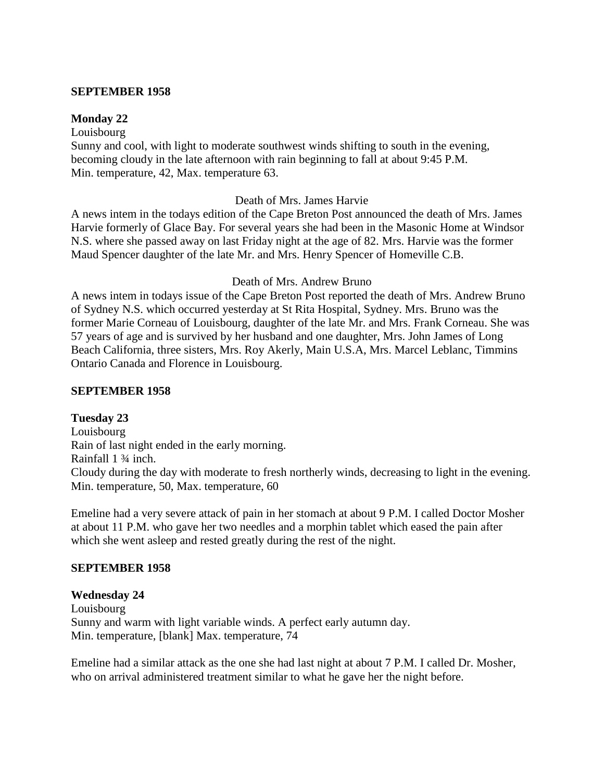#### **SEPTEMBER 1958**

#### **Monday 22**

Louisbourg Sunny and cool, with light to moderate southwest winds shifting to south in the evening, becoming cloudy in the late afternoon with rain beginning to fall at about 9:45 P.M. Min. temperature, 42, Max. temperature 63.

#### Death of Mrs. James Harvie

A news intem in the todays edition of the Cape Breton Post announced the death of Mrs. James Harvie formerly of Glace Bay. For several years she had been in the Masonic Home at Windsor N.S. where she passed away on last Friday night at the age of 82. Mrs. Harvie was the former Maud Spencer daughter of the late Mr. and Mrs. Henry Spencer of Homeville C.B.

#### Death of Mrs. Andrew Bruno

A news intem in todays issue of the Cape Breton Post reported the death of Mrs. Andrew Bruno of Sydney N.S. which occurred yesterday at St Rita Hospital, Sydney. Mrs. Bruno was the former Marie Corneau of Louisbourg, daughter of the late Mr. and Mrs. Frank Corneau. She was 57 years of age and is survived by her husband and one daughter, Mrs. John James of Long Beach California, three sisters, Mrs. Roy Akerly, Main U.S.A, Mrs. Marcel Leblanc, Timmins Ontario Canada and Florence in Louisbourg.

#### **SEPTEMBER 1958**

**Tuesday 23** Louisbourg Rain of last night ended in the early morning. Rainfall 1 ¾ inch. Cloudy during the day with moderate to fresh northerly winds, decreasing to light in the evening. Min. temperature, 50, Max. temperature, 60

Emeline had a very severe attack of pain in her stomach at about 9 P.M. I called Doctor Mosher at about 11 P.M. who gave her two needles and a morphin tablet which eased the pain after which she went asleep and rested greatly during the rest of the night.

#### **SEPTEMBER 1958**

#### **Wednesday 24**

Louisbourg Sunny and warm with light variable winds. A perfect early autumn day. Min. temperature, [blank] Max. temperature, 74

Emeline had a similar attack as the one she had last night at about 7 P.M. I called Dr. Mosher, who on arrival administered treatment similar to what he gave her the night before.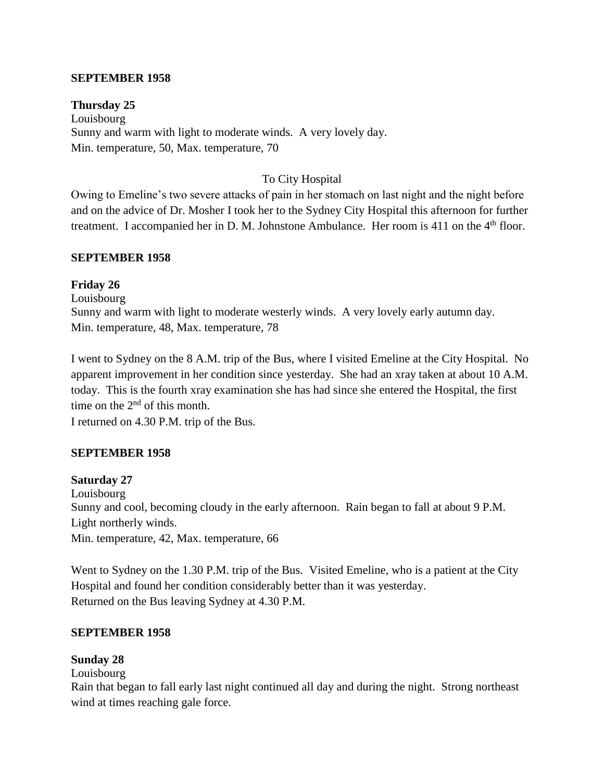#### **SEPTEMBER 1958**

**Thursday 25** Louisbourg Sunny and warm with light to moderate winds. A very lovely day. Min. temperature, 50, Max. temperature, 70

# To City Hospital

Owing to Emeline's two severe attacks of pain in her stomach on last night and the night before and on the advice of Dr. Mosher I took her to the Sydney City Hospital this afternoon for further treatment. I accompanied her in D. M. Johnstone Ambulance. Her room is 411 on the  $4<sup>th</sup>$  floor.

#### **SEPTEMBER 1958**

# **Friday 26**

Louisbourg Sunny and warm with light to moderate westerly winds. A very lovely early autumn day. Min. temperature, 48, Max. temperature, 78

I went to Sydney on the 8 A.M. trip of the Bus, where I visited Emeline at the City Hospital. No apparent improvement in her condition since yesterday. She had an xray taken at about 10 A.M. today. This is the fourth xray examination she has had since she entered the Hospital, the first time on the  $2<sup>nd</sup>$  of this month.

I returned on 4.30 P.M. trip of the Bus.

# **SEPTEMBER 1958**

**Saturday 27** Louisbourg Sunny and cool, becoming cloudy in the early afternoon. Rain began to fall at about 9 P.M. Light northerly winds. Min. temperature, 42, Max. temperature, 66

Went to Sydney on the 1.30 P.M. trip of the Bus. Visited Emeline, who is a patient at the City Hospital and found her condition considerably better than it was yesterday. Returned on the Bus leaving Sydney at 4.30 P.M.

#### **SEPTEMBER 1958**

#### **Sunday 28**

Louisbourg

Rain that began to fall early last night continued all day and during the night. Strong northeast wind at times reaching gale force.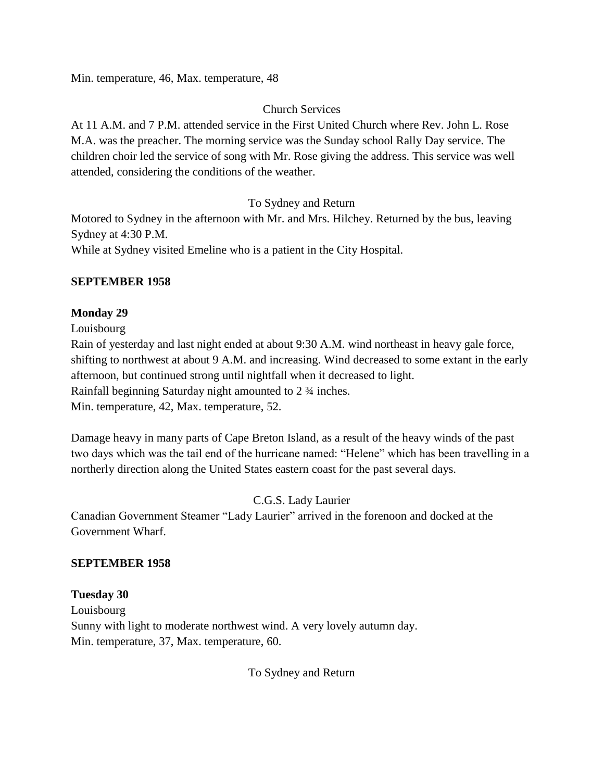Min. temperature, 46, Max. temperature, 48

# Church Services

At 11 A.M. and 7 P.M. attended service in the First United Church where Rev. John L. Rose M.A. was the preacher. The morning service was the Sunday school Rally Day service. The children choir led the service of song with Mr. Rose giving the address. This service was well attended, considering the conditions of the weather.

# To Sydney and Return

Motored to Sydney in the afternoon with Mr. and Mrs. Hilchey. Returned by the bus, leaving Sydney at 4:30 P.M.

While at Sydney visited Emeline who is a patient in the City Hospital.

# **SEPTEMBER 1958**

# **Monday 29**

Louisbourg

Rain of yesterday and last night ended at about 9:30 A.M. wind northeast in heavy gale force, shifting to northwest at about 9 A.M. and increasing. Wind decreased to some extant in the early afternoon, but continued strong until nightfall when it decreased to light. Rainfall beginning Saturday night amounted to 2 ¾ inches. Min. temperature, 42, Max. temperature, 52.

Damage heavy in many parts of Cape Breton Island, as a result of the heavy winds of the past two days which was the tail end of the hurricane named: "Helene" which has been travelling in a northerly direction along the United States eastern coast for the past several days.

C.G.S. Lady Laurier

Canadian Government Steamer "Lady Laurier" arrived in the forenoon and docked at the Government Wharf.

# **SEPTEMBER 1958**

**Tuesday 30** Louisbourg Sunny with light to moderate northwest wind. A very lovely autumn day. Min. temperature, 37, Max. temperature, 60.

To Sydney and Return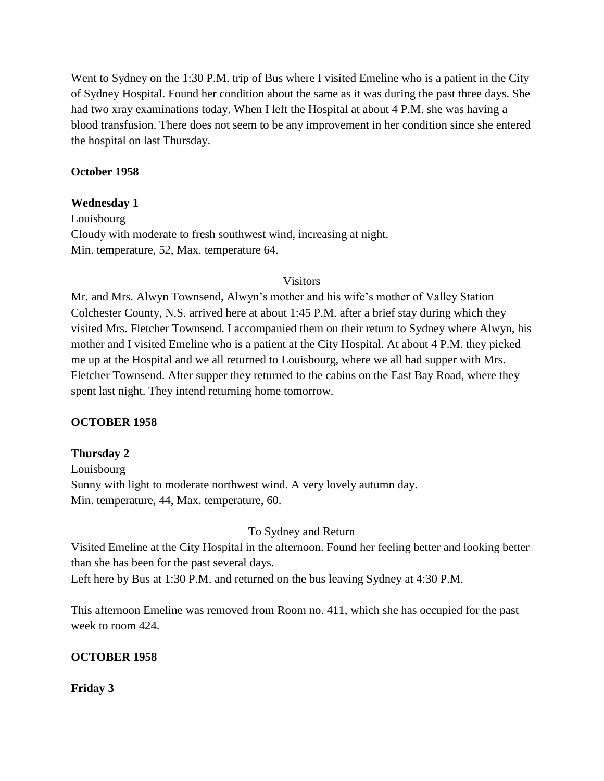Went to Sydney on the 1:30 P.M. trip of Bus where I visited Emeline who is a patient in the City of Sydney Hospital. Found her condition about the same as it was during the past three days. She had two xray examinations today. When I left the Hospital at about 4 P.M. she was having a blood transfusion. There does not seem to be any improvement in her condition since she entered the hospital on last Thursday.

#### **October 1958**

#### **Wednesday 1**

Louisbourg Cloudy with moderate to fresh southwest wind, increasing at night. Min. temperature, 52, Max. temperature 64.

#### Visitors

Mr. and Mrs. Alwyn Townsend, Alwyn's mother and his wife's mother of Valley Station Colchester County, N.S. arrived here at about 1:45 P.M. after a brief stay during which they visited Mrs. Fletcher Townsend. I accompanied them on their return to Sydney where Alwyn, his mother and I visited Emeline who is a patient at the City Hospital. At about 4 P.M. they picked me up at the Hospital and we all returned to Louisbourg, where we all had supper with Mrs. Fletcher Townsend. After supper they returned to the cabins on the East Bay Road, where they spent last night. They intend returning home tomorrow.

# **OCTOBER 1958**

# **Thursday 2**

Louisbourg Sunny with light to moderate northwest wind. A very lovely autumn day. Min. temperature, 44, Max. temperature, 60.

#### To Sydney and Return

Visited Emeline at the City Hospital in the afternoon. Found her feeling better and looking better than she has been for the past several days.

Left here by Bus at 1:30 P.M. and returned on the bus leaving Sydney at 4:30 P.M.

This afternoon Emeline was removed from Room no. 411, which she has occupied for the past week to room 424.

#### **OCTOBER 1958**

**Friday 3**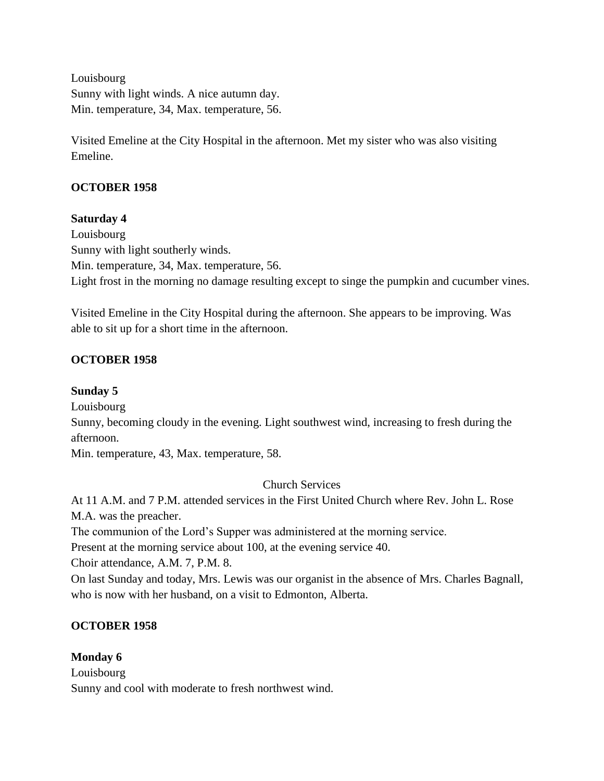Louisbourg Sunny with light winds. A nice autumn day. Min. temperature, 34, Max. temperature, 56.

Visited Emeline at the City Hospital in the afternoon. Met my sister who was also visiting Emeline.

# **OCTOBER 1958**

# **Saturday 4**

Louisbourg Sunny with light southerly winds. Min. temperature, 34, Max. temperature, 56. Light frost in the morning no damage resulting except to singe the pumpkin and cucumber vines.

Visited Emeline in the City Hospital during the afternoon. She appears to be improving. Was able to sit up for a short time in the afternoon.

# **OCTOBER 1958**

# **Sunday 5**

Louisbourg

Sunny, becoming cloudy in the evening. Light southwest wind, increasing to fresh during the afternoon.

Min. temperature, 43, Max. temperature, 58.

Church Services

At 11 A.M. and 7 P.M. attended services in the First United Church where Rev. John L. Rose M.A. was the preacher.

The communion of the Lord's Supper was administered at the morning service.

Present at the morning service about 100, at the evening service 40.

Choir attendance, A.M. 7, P.M. 8.

On last Sunday and today, Mrs. Lewis was our organist in the absence of Mrs. Charles Bagnall, who is now with her husband, on a visit to Edmonton, Alberta.

# **OCTOBER 1958**

# **Monday 6**

Louisbourg Sunny and cool with moderate to fresh northwest wind.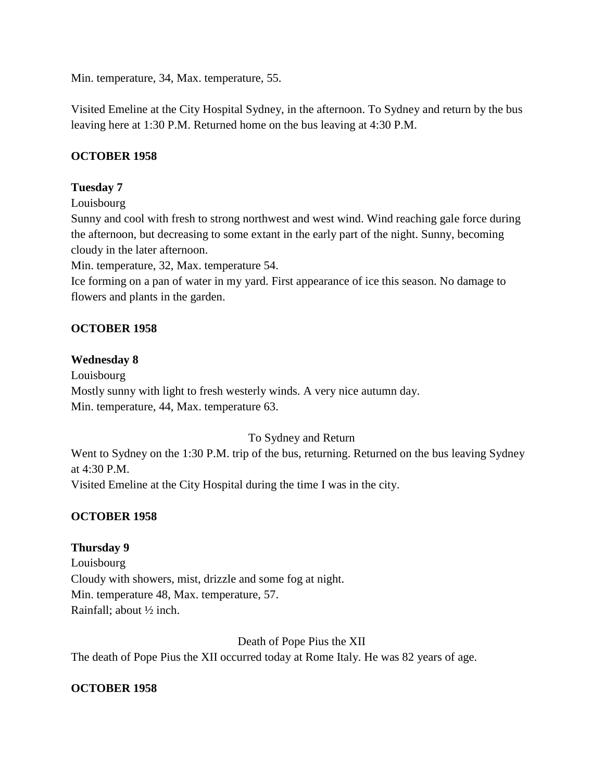Min. temperature, 34, Max. temperature, 55.

Visited Emeline at the City Hospital Sydney, in the afternoon. To Sydney and return by the bus leaving here at 1:30 P.M. Returned home on the bus leaving at 4:30 P.M.

# **OCTOBER 1958**

# **Tuesday 7**

Louisbourg

Sunny and cool with fresh to strong northwest and west wind. Wind reaching gale force during the afternoon, but decreasing to some extant in the early part of the night. Sunny, becoming cloudy in the later afternoon.

Min. temperature, 32, Max. temperature 54.

Ice forming on a pan of water in my yard. First appearance of ice this season. No damage to flowers and plants in the garden.

# **OCTOBER 1958**

#### **Wednesday 8**

Louisbourg Mostly sunny with light to fresh westerly winds. A very nice autumn day. Min. temperature, 44, Max. temperature 63.

# To Sydney and Return

Went to Sydney on the 1:30 P.M. trip of the bus, returning. Returned on the bus leaving Sydney at 4:30 P.M.

Visited Emeline at the City Hospital during the time I was in the city.

# **OCTOBER 1958**

# **Thursday 9**

Louisbourg Cloudy with showers, mist, drizzle and some fog at night. Min. temperature 48, Max. temperature, 57. Rainfall; about ½ inch.

Death of Pope Pius the XII

The death of Pope Pius the XII occurred today at Rome Italy. He was 82 years of age.

# **OCTOBER 1958**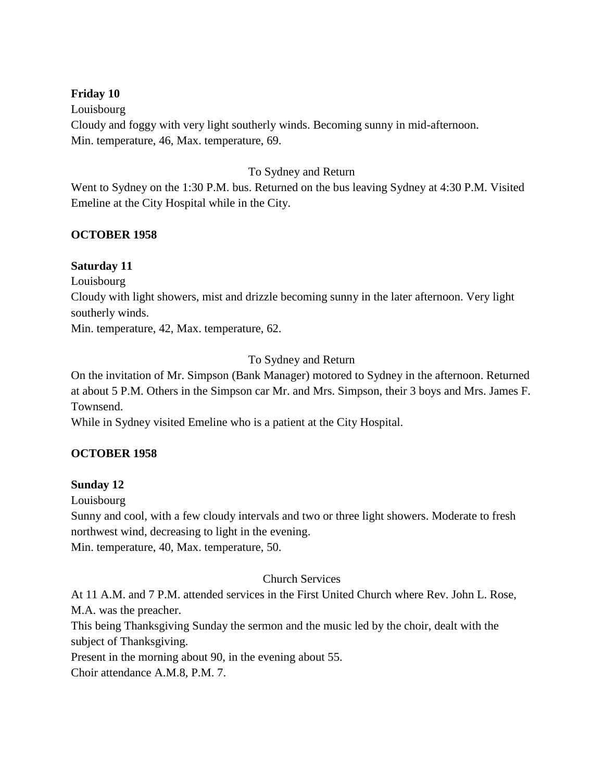#### **Friday 10**

Louisbourg Cloudy and foggy with very light southerly winds. Becoming sunny in mid-afternoon. Min. temperature, 46, Max. temperature, 69.

#### To Sydney and Return

Went to Sydney on the 1:30 P.M. bus. Returned on the bus leaving Sydney at 4:30 P.M. Visited Emeline at the City Hospital while in the City.

#### **OCTOBER 1958**

#### **Saturday 11**

Louisbourg

Cloudy with light showers, mist and drizzle becoming sunny in the later afternoon. Very light southerly winds.

Min. temperature, 42, Max. temperature, 62.

#### To Sydney and Return

On the invitation of Mr. Simpson (Bank Manager) motored to Sydney in the afternoon. Returned at about 5 P.M. Others in the Simpson car Mr. and Mrs. Simpson, their 3 boys and Mrs. James F. Townsend.

While in Sydney visited Emeline who is a patient at the City Hospital.

# **OCTOBER 1958**

#### **Sunday 12**

Louisbourg

Sunny and cool, with a few cloudy intervals and two or three light showers. Moderate to fresh northwest wind, decreasing to light in the evening.

Min. temperature, 40, Max. temperature, 50.

#### Church Services

At 11 A.M. and 7 P.M. attended services in the First United Church where Rev. John L. Rose, M.A. was the preacher.

This being Thanksgiving Sunday the sermon and the music led by the choir, dealt with the subject of Thanksgiving.

Present in the morning about 90, in the evening about 55.

Choir attendance A.M.8, P.M. 7.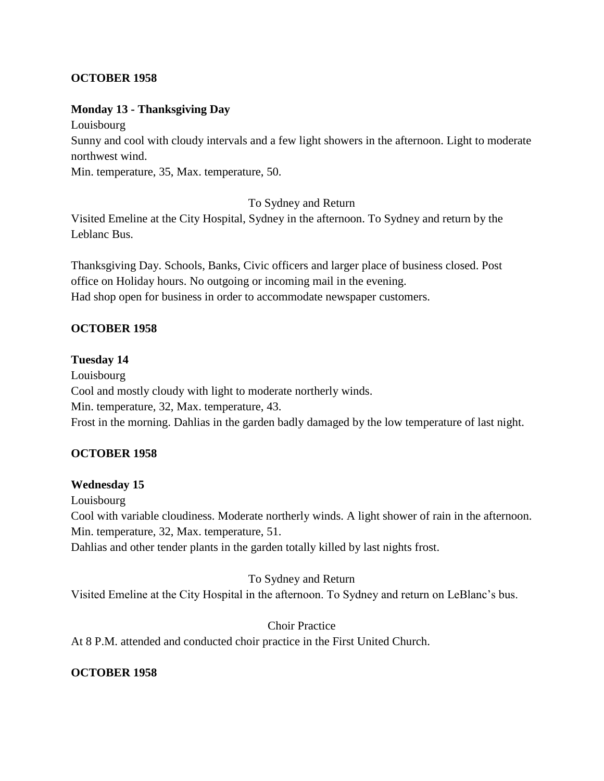# **OCTOBER 1958**

#### **Monday 13 - Thanksgiving Day**

Louisbourg

Sunny and cool with cloudy intervals and a few light showers in the afternoon. Light to moderate northwest wind.

Min. temperature, 35, Max. temperature, 50.

#### To Sydney and Return

Visited Emeline at the City Hospital, Sydney in the afternoon. To Sydney and return by the Leblanc Bus.

Thanksgiving Day. Schools, Banks, Civic officers and larger place of business closed. Post office on Holiday hours. No outgoing or incoming mail in the evening. Had shop open for business in order to accommodate newspaper customers.

# **OCTOBER 1958**

#### **Tuesday 14**

Louisbourg Cool and mostly cloudy with light to moderate northerly winds. Min. temperature, 32, Max. temperature, 43. Frost in the morning. Dahlias in the garden badly damaged by the low temperature of last night.

# **OCTOBER 1958**

# **Wednesday 15**

Louisbourg

Cool with variable cloudiness. Moderate northerly winds. A light shower of rain in the afternoon. Min. temperature, 32, Max. temperature, 51.

Dahlias and other tender plants in the garden totally killed by last nights frost.

#### To Sydney and Return

Visited Emeline at the City Hospital in the afternoon. To Sydney and return on LeBlanc's bus.

#### Choir Practice

At 8 P.M. attended and conducted choir practice in the First United Church.

# **OCTOBER 1958**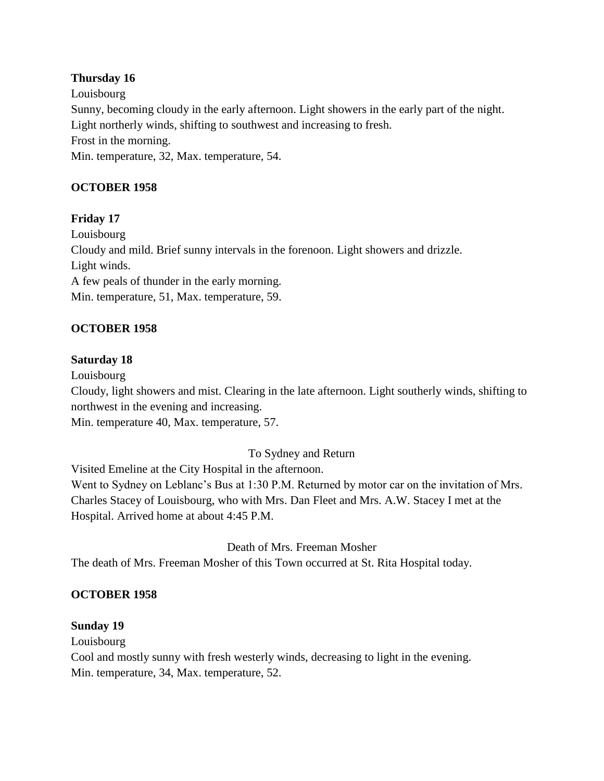# **Thursday 16**

Louisbourg Sunny, becoming cloudy in the early afternoon. Light showers in the early part of the night. Light northerly winds, shifting to southwest and increasing to fresh. Frost in the morning. Min. temperature, 32, Max. temperature, 54.

# **OCTOBER 1958**

# **Friday 17**

Louisbourg Cloudy and mild. Brief sunny intervals in the forenoon. Light showers and drizzle. Light winds. A few peals of thunder in the early morning. Min. temperature, 51, Max. temperature, 59.

# **OCTOBER 1958**

# **Saturday 18**

Louisbourg Cloudy, light showers and mist. Clearing in the late afternoon. Light southerly winds, shifting to northwest in the evening and increasing. Min. temperature 40, Max. temperature, 57.

# To Sydney and Return

Visited Emeline at the City Hospital in the afternoon. Went to Sydney on Leblanc's Bus at 1:30 P.M. Returned by motor car on the invitation of Mrs. Charles Stacey of Louisbourg, who with Mrs. Dan Fleet and Mrs. A.W. Stacey I met at the Hospital. Arrived home at about 4:45 P.M.

# Death of Mrs. Freeman Mosher

The death of Mrs. Freeman Mosher of this Town occurred at St. Rita Hospital today.

# **OCTOBER 1958**

# **Sunday 19**

Louisbourg

Cool and mostly sunny with fresh westerly winds, decreasing to light in the evening. Min. temperature, 34, Max. temperature, 52.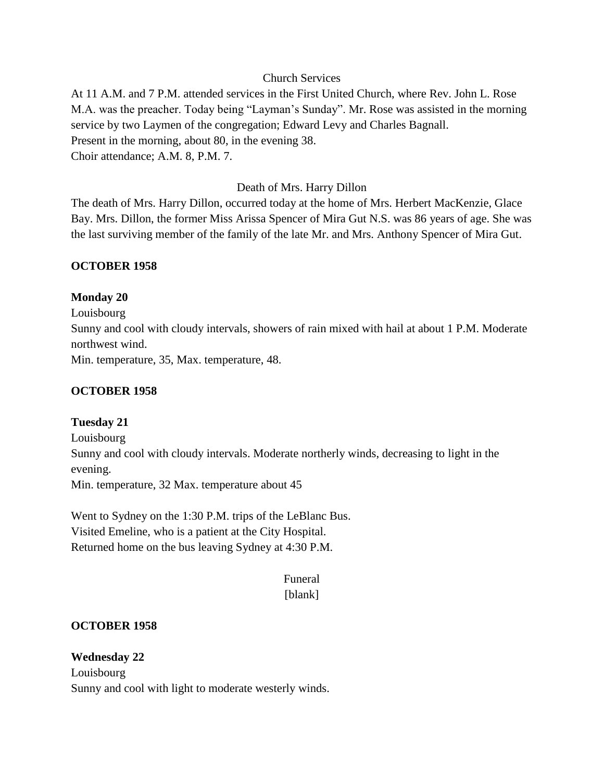# Church Services

At 11 A.M. and 7 P.M. attended services in the First United Church, where Rev. John L. Rose M.A. was the preacher. Today being "Layman's Sunday". Mr. Rose was assisted in the morning service by two Laymen of the congregation; Edward Levy and Charles Bagnall. Present in the morning, about 80, in the evening 38. Choir attendance; A.M. 8, P.M. 7.

#### Death of Mrs. Harry Dillon

The death of Mrs. Harry Dillon, occurred today at the home of Mrs. Herbert MacKenzie, Glace Bay. Mrs. Dillon, the former Miss Arissa Spencer of Mira Gut N.S. was 86 years of age. She was the last surviving member of the family of the late Mr. and Mrs. Anthony Spencer of Mira Gut.

#### **OCTOBER 1958**

#### **Monday 20**

Louisbourg Sunny and cool with cloudy intervals, showers of rain mixed with hail at about 1 P.M. Moderate northwest wind. Min. temperature, 35, Max. temperature, 48.

#### **OCTOBER 1958**

# **Tuesday 21**

Louisbourg Sunny and cool with cloudy intervals. Moderate northerly winds, decreasing to light in the evening. Min. temperature, 32 Max. temperature about 45

Went to Sydney on the 1:30 P.M. trips of the LeBlanc Bus. Visited Emeline, who is a patient at the City Hospital. Returned home on the bus leaving Sydney at 4:30 P.M.

#### Funeral [blank]

#### **OCTOBER 1958**

**Wednesday 22** Louisbourg Sunny and cool with light to moderate westerly winds.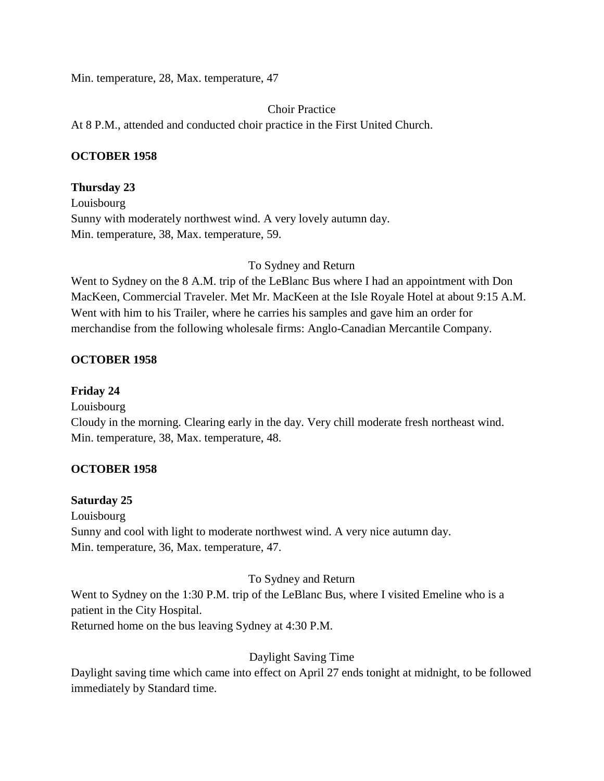Min. temperature, 28, Max. temperature, 47

Choir Practice

At 8 P.M., attended and conducted choir practice in the First United Church.

# **OCTOBER 1958**

# **Thursday 23**

Louisbourg Sunny with moderately northwest wind. A very lovely autumn day. Min. temperature, 38, Max. temperature, 59.

To Sydney and Return

Went to Sydney on the 8 A.M. trip of the LeBlanc Bus where I had an appointment with Don MacKeen, Commercial Traveler. Met Mr. MacKeen at the Isle Royale Hotel at about 9:15 A.M. Went with him to his Trailer, where he carries his samples and gave him an order for merchandise from the following wholesale firms: Anglo-Canadian Mercantile Company.

# **OCTOBER 1958**

# **Friday 24**

Louisbourg

Cloudy in the morning. Clearing early in the day. Very chill moderate fresh northeast wind. Min. temperature, 38, Max. temperature, 48.

# **OCTOBER 1958**

# **Saturday 25**

Louisbourg Sunny and cool with light to moderate northwest wind. A very nice autumn day. Min. temperature, 36, Max. temperature, 47.

# To Sydney and Return

Went to Sydney on the 1:30 P.M. trip of the LeBlanc Bus, where I visited Emeline who is a patient in the City Hospital.

Returned home on the bus leaving Sydney at 4:30 P.M.

# Daylight Saving Time

Daylight saving time which came into effect on April 27 ends tonight at midnight, to be followed immediately by Standard time.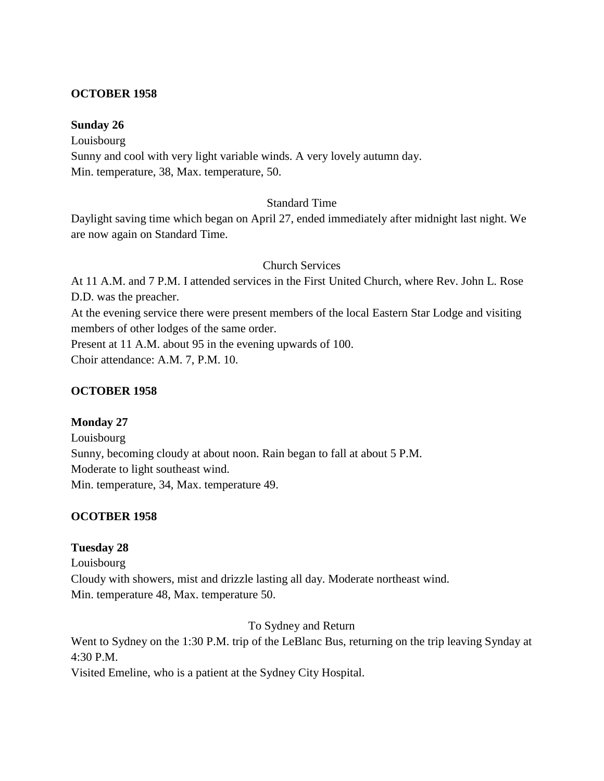#### **OCTOBER 1958**

#### **Sunday 26**

Louisbourg Sunny and cool with very light variable winds. A very lovely autumn day. Min. temperature, 38, Max. temperature, 50.

#### Standard Time

Daylight saving time which began on April 27, ended immediately after midnight last night. We are now again on Standard Time.

#### Church Services

At 11 A.M. and 7 P.M. I attended services in the First United Church, where Rev. John L. Rose D.D. was the preacher. At the evening service there were present members of the local Eastern Star Lodge and visiting members of other lodges of the same order. Present at 11 A.M. about 95 in the evening upwards of 100.

Choir attendance: A.M. 7, P.M. 10.

# **OCTOBER 1958**

**Monday 27** Louisbourg Sunny, becoming cloudy at about noon. Rain began to fall at about 5 P.M. Moderate to light southeast wind. Min. temperature, 34, Max. temperature 49.

# **OCOTBER 1958**

# **Tuesday 28**

Louisbourg Cloudy with showers, mist and drizzle lasting all day. Moderate northeast wind. Min. temperature 48, Max. temperature 50.

To Sydney and Return

Went to Sydney on the 1:30 P.M. trip of the LeBlanc Bus, returning on the trip leaving Synday at 4:30 P.M.

Visited Emeline, who is a patient at the Sydney City Hospital.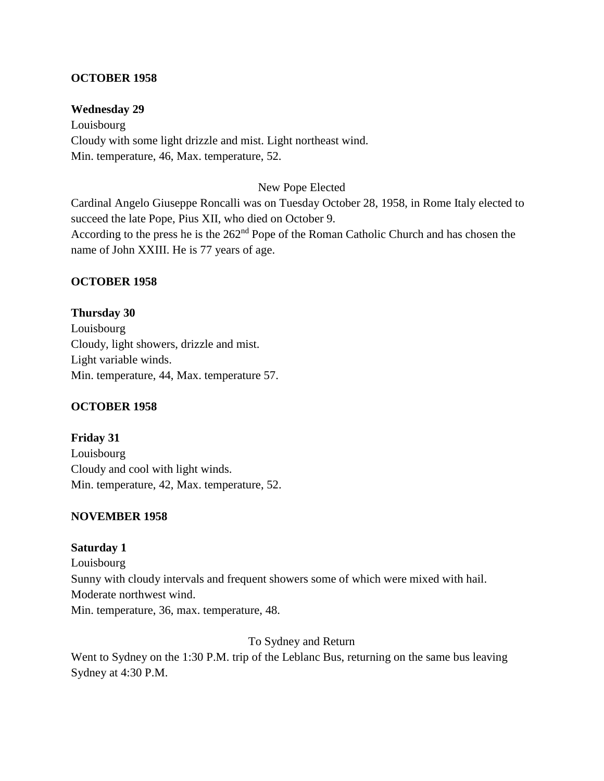# **OCTOBER 1958**

#### **Wednesday 29**

Louisbourg Cloudy with some light drizzle and mist. Light northeast wind. Min. temperature, 46, Max. temperature, 52.

#### New Pope Elected

Cardinal Angelo Giuseppe Roncalli was on Tuesday October 28, 1958, in Rome Italy elected to succeed the late Pope, Pius XII, who died on October 9. According to the press he is the 262<sup>nd</sup> Pope of the Roman Catholic Church and has chosen the name of John XXIII. He is 77 years of age.

#### **OCTOBER 1958**

#### **Thursday 30**

Louisbourg Cloudy, light showers, drizzle and mist. Light variable winds. Min. temperature, 44, Max. temperature 57.

#### **OCTOBER 1958**

**Friday 31** Louisbourg Cloudy and cool with light winds. Min. temperature, 42, Max. temperature, 52.

#### **NOVEMBER 1958**

#### **Saturday 1**

Louisbourg Sunny with cloudy intervals and frequent showers some of which were mixed with hail. Moderate northwest wind. Min. temperature, 36, max. temperature, 48.

To Sydney and Return

Went to Sydney on the 1:30 P.M. trip of the Leblanc Bus, returning on the same bus leaving Sydney at 4:30 P.M.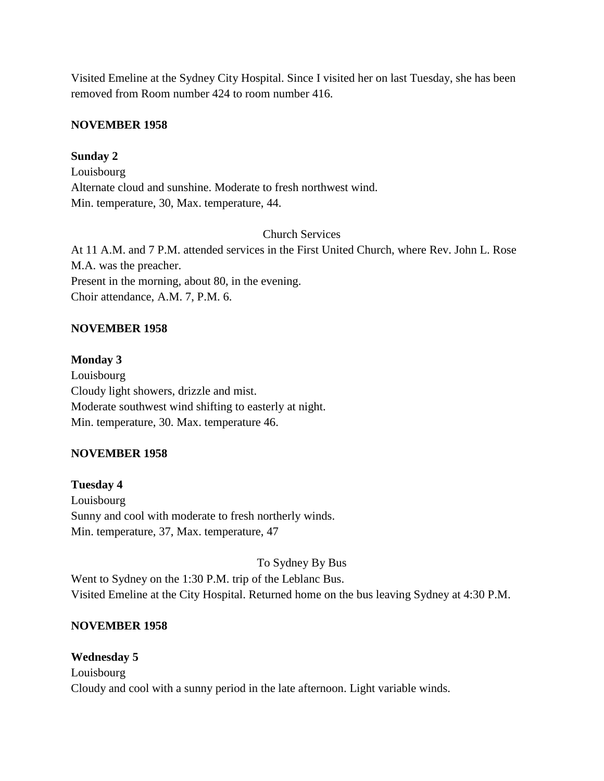Visited Emeline at the Sydney City Hospital. Since I visited her on last Tuesday, she has been removed from Room number 424 to room number 416.

#### **NOVEMBER 1958**

#### **Sunday 2**

Louisbourg Alternate cloud and sunshine. Moderate to fresh northwest wind. Min. temperature, 30, Max. temperature, 44.

#### Church Services

At 11 A.M. and 7 P.M. attended services in the First United Church, where Rev. John L. Rose M.A. was the preacher. Present in the morning, about 80, in the evening. Choir attendance, A.M. 7, P.M. 6.

# **NOVEMBER 1958**

#### **Monday 3**

Louisbourg Cloudy light showers, drizzle and mist. Moderate southwest wind shifting to easterly at night. Min. temperature, 30. Max. temperature 46.

# **NOVEMBER 1958**

**Tuesday 4** Louisbourg Sunny and cool with moderate to fresh northerly winds. Min. temperature, 37, Max. temperature, 47

To Sydney By Bus Went to Sydney on the 1:30 P.M. trip of the Leblanc Bus. Visited Emeline at the City Hospital. Returned home on the bus leaving Sydney at 4:30 P.M.

# **NOVEMBER 1958**

**Wednesday 5** Louisbourg Cloudy and cool with a sunny period in the late afternoon. Light variable winds.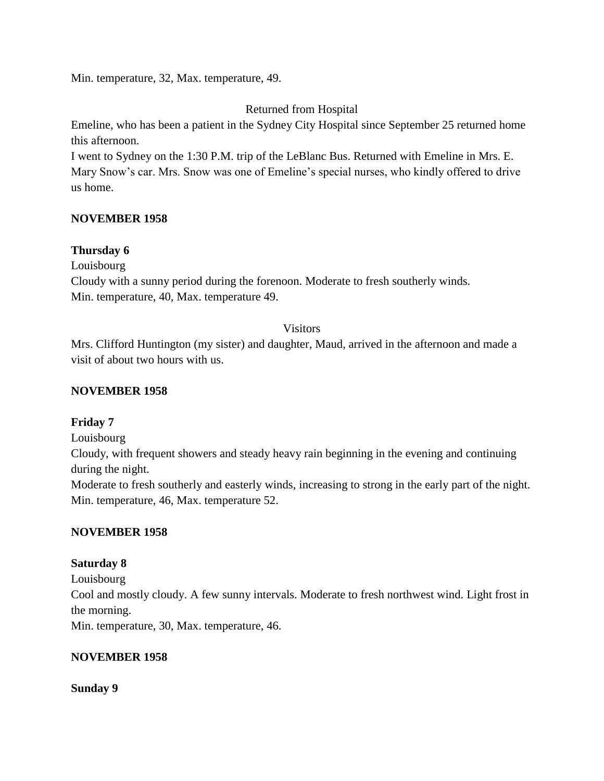Min. temperature, 32, Max. temperature, 49.

# Returned from Hospital

Emeline, who has been a patient in the Sydney City Hospital since September 25 returned home this afternoon.

I went to Sydney on the 1:30 P.M. trip of the LeBlanc Bus. Returned with Emeline in Mrs. E. Mary Snow's car. Mrs. Snow was one of Emeline's special nurses, who kindly offered to drive us home.

# **NOVEMBER 1958**

# **Thursday 6**

Louisbourg

Cloudy with a sunny period during the forenoon. Moderate to fresh southerly winds. Min. temperature, 40, Max. temperature 49.

#### Visitors

Mrs. Clifford Huntington (my sister) and daughter, Maud, arrived in the afternoon and made a visit of about two hours with us.

# **NOVEMBER 1958**

# **Friday 7**

Louisbourg

Cloudy, with frequent showers and steady heavy rain beginning in the evening and continuing during the night.

Moderate to fresh southerly and easterly winds, increasing to strong in the early part of the night. Min. temperature, 46, Max. temperature 52.

# **NOVEMBER 1958**

# **Saturday 8**

Louisbourg Cool and mostly cloudy. A few sunny intervals. Moderate to fresh northwest wind. Light frost in the morning. Min. temperature, 30, Max. temperature, 46.

# **NOVEMBER 1958**

#### **Sunday 9**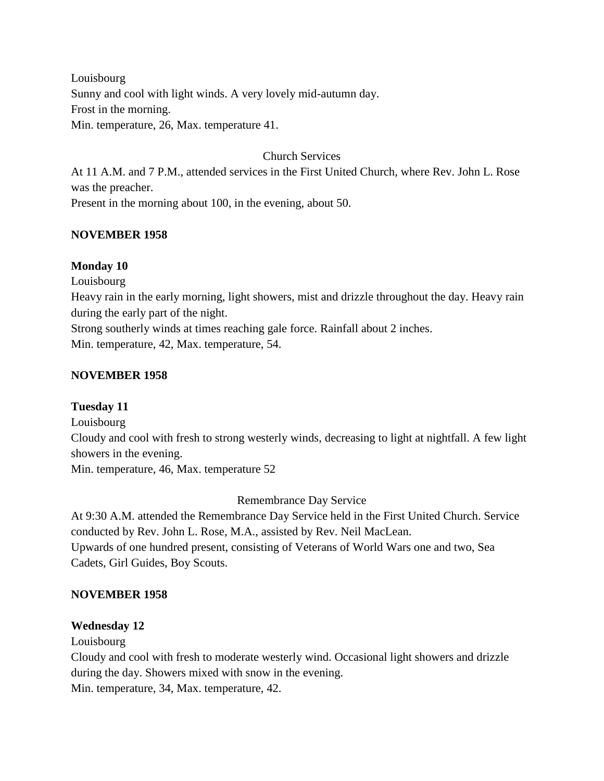Louisbourg Sunny and cool with light winds. A very lovely mid-autumn day. Frost in the morning. Min. temperature, 26, Max. temperature 41.

Church Services

At 11 A.M. and 7 P.M., attended services in the First United Church, where Rev. John L. Rose was the preacher. Present in the morning about 100, in the evening, about 50.

# **NOVEMBER 1958**

#### **Monday 10**

Louisbourg

Heavy rain in the early morning, light showers, mist and drizzle throughout the day. Heavy rain during the early part of the night.

Strong southerly winds at times reaching gale force. Rainfall about 2 inches. Min. temperature, 42, Max. temperature, 54.

# **NOVEMBER 1958**

# **Tuesday 11**

Louisbourg

Cloudy and cool with fresh to strong westerly winds, decreasing to light at nightfall. A few light showers in the evening.

Min. temperature, 46, Max. temperature 52

Remembrance Day Service

At 9:30 A.M. attended the Remembrance Day Service held in the First United Church. Service conducted by Rev. John L. Rose, M.A., assisted by Rev. Neil MacLean. Upwards of one hundred present, consisting of Veterans of World Wars one and two, Sea Cadets, Girl Guides, Boy Scouts.

# **NOVEMBER 1958**

# **Wednesday 12**

Louisbourg

Cloudy and cool with fresh to moderate westerly wind. Occasional light showers and drizzle during the day. Showers mixed with snow in the evening.

Min. temperature, 34, Max. temperature, 42.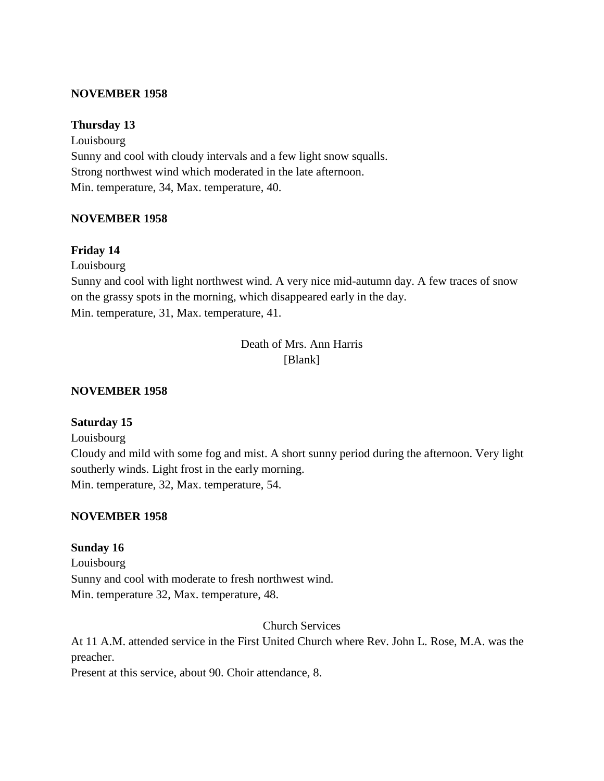#### **NOVEMBER 1958**

#### **Thursday 13**

Louisbourg Sunny and cool with cloudy intervals and a few light snow squalls. Strong northwest wind which moderated in the late afternoon. Min. temperature, 34, Max. temperature, 40.

#### **NOVEMBER 1958**

#### **Friday 14**

Louisbourg

Sunny and cool with light northwest wind. A very nice mid-autumn day. A few traces of snow on the grassy spots in the morning, which disappeared early in the day. Min. temperature, 31, Max. temperature, 41.

> Death of Mrs. Ann Harris [Blank]

#### **NOVEMBER 1958**

# **Saturday 15**

Louisbourg

Cloudy and mild with some fog and mist. A short sunny period during the afternoon. Very light southerly winds. Light frost in the early morning. Min. temperature, 32, Max. temperature, 54.

#### **NOVEMBER 1958**

#### **Sunday 16**

Louisbourg Sunny and cool with moderate to fresh northwest wind. Min. temperature 32, Max. temperature, 48.

Church Services

At 11 A.M. attended service in the First United Church where Rev. John L. Rose, M.A. was the preacher.

Present at this service, about 90. Choir attendance, 8.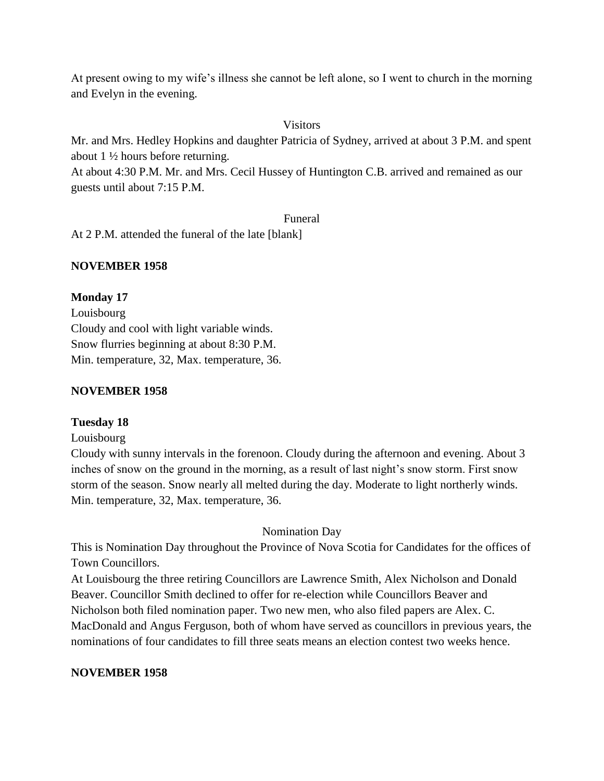At present owing to my wife's illness she cannot be left alone, so I went to church in the morning and Evelyn in the evening.

#### Visitors

Mr. and Mrs. Hedley Hopkins and daughter Patricia of Sydney, arrived at about 3 P.M. and spent about 1 ½ hours before returning.

At about 4:30 P.M. Mr. and Mrs. Cecil Hussey of Huntington C.B. arrived and remained as our guests until about 7:15 P.M.

#### Funeral

At 2 P.M. attended the funeral of the late [blank]

# **NOVEMBER 1958**

#### **Monday 17**

Louisbourg Cloudy and cool with light variable winds. Snow flurries beginning at about 8:30 P.M. Min. temperature, 32, Max. temperature, 36.

#### **NOVEMBER 1958**

# **Tuesday 18**

#### Louisbourg

Cloudy with sunny intervals in the forenoon. Cloudy during the afternoon and evening. About 3 inches of snow on the ground in the morning, as a result of last night's snow storm. First snow storm of the season. Snow nearly all melted during the day. Moderate to light northerly winds. Min. temperature, 32, Max. temperature, 36.

# Nomination Day

This is Nomination Day throughout the Province of Nova Scotia for Candidates for the offices of Town Councillors.

At Louisbourg the three retiring Councillors are Lawrence Smith, Alex Nicholson and Donald Beaver. Councillor Smith declined to offer for re-election while Councillors Beaver and Nicholson both filed nomination paper. Two new men, who also filed papers are Alex. C. MacDonald and Angus Ferguson, both of whom have served as councillors in previous years, the nominations of four candidates to fill three seats means an election contest two weeks hence.

# **NOVEMBER 1958**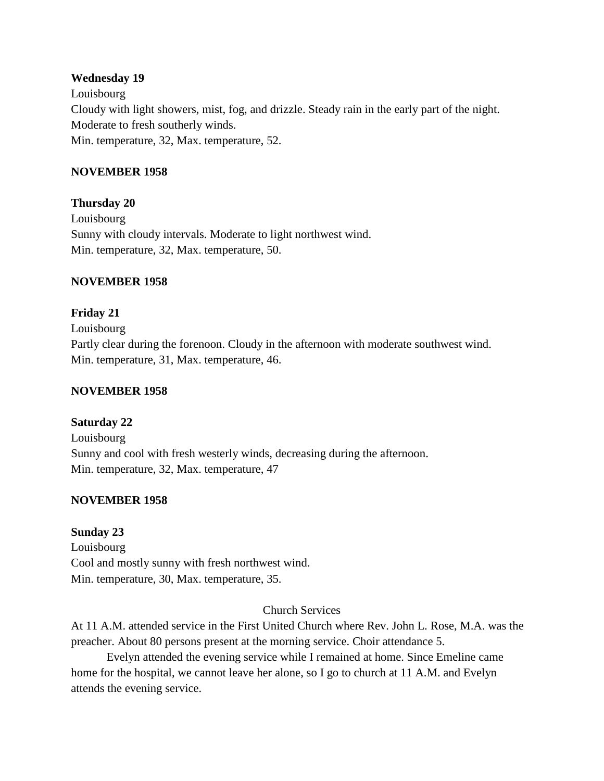#### **Wednesday 19**

Louisbourg Cloudy with light showers, mist, fog, and drizzle. Steady rain in the early part of the night. Moderate to fresh southerly winds. Min. temperature, 32, Max. temperature, 52.

# **NOVEMBER 1958**

**Thursday 20** Louisbourg Sunny with cloudy intervals. Moderate to light northwest wind. Min. temperature, 32, Max. temperature, 50.

# **NOVEMBER 1958**

**Friday 21** Louisbourg Partly clear during the forenoon. Cloudy in the afternoon with moderate southwest wind. Min. temperature, 31, Max. temperature, 46.

#### **NOVEMBER 1958**

**Saturday 22** Louisbourg Sunny and cool with fresh westerly winds, decreasing during the afternoon. Min. temperature, 32, Max. temperature, 47

#### **NOVEMBER 1958**

#### **Sunday 23**

Louisbourg Cool and mostly sunny with fresh northwest wind. Min. temperature, 30, Max. temperature, 35.

#### Church Services

At 11 A.M. attended service in the First United Church where Rev. John L. Rose, M.A. was the preacher. About 80 persons present at the morning service. Choir attendance 5.

Evelyn attended the evening service while I remained at home. Since Emeline came home for the hospital, we cannot leave her alone, so I go to church at 11 A.M. and Evelyn attends the evening service.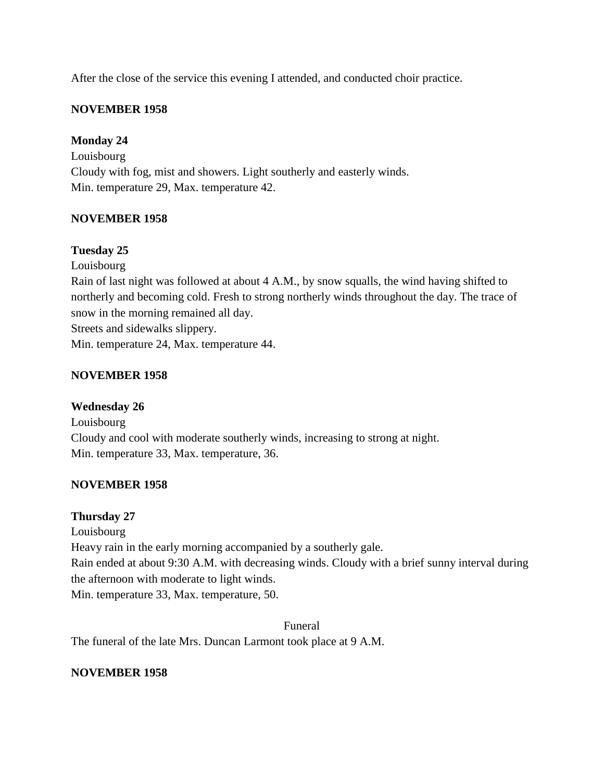After the close of the service this evening I attended, and conducted choir practice.

# **NOVEMBER 1958**

# **Monday 24**

Louisbourg Cloudy with fog, mist and showers. Light southerly and easterly winds. Min. temperature 29, Max. temperature 42.

# **NOVEMBER 1958**

# **Tuesday 25**

Louisbourg

Rain of last night was followed at about 4 A.M., by snow squalls, the wind having shifted to northerly and becoming cold. Fresh to strong northerly winds throughout the day. The trace of snow in the morning remained all day. Streets and sidewalks slippery.

Min. temperature 24, Max. temperature 44.

# **NOVEMBER 1958**

**Wednesday 26** Louisbourg Cloudy and cool with moderate southerly winds, increasing to strong at night. Min. temperature 33, Max. temperature, 36.

# **NOVEMBER 1958**

# **Thursday 27**

Louisbourg

Heavy rain in the early morning accompanied by a southerly gale.

Rain ended at about 9:30 A.M. with decreasing winds. Cloudy with a brief sunny interval during the afternoon with moderate to light winds.

Min. temperature 33, Max. temperature, 50.

Funeral The funeral of the late Mrs. Duncan Larmont took place at 9 A.M.

# **NOVEMBER 1958**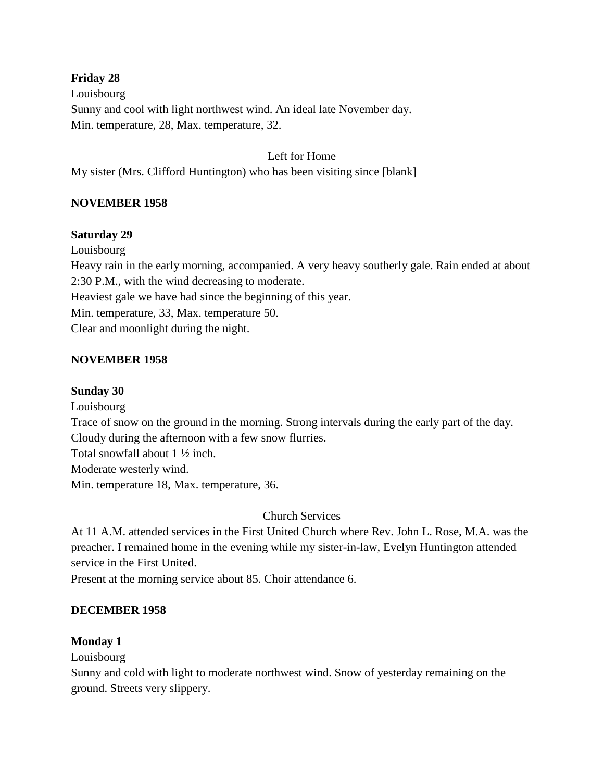# **Friday 28**

Louisbourg Sunny and cool with light northwest wind. An ideal late November day. Min. temperature, 28, Max. temperature, 32.

# Left for Home

My sister (Mrs. Clifford Huntington) who has been visiting since [blank]

# **NOVEMBER 1958**

# **Saturday 29**

Louisbourg

Heavy rain in the early morning, accompanied. A very heavy southerly gale. Rain ended at about 2:30 P.M., with the wind decreasing to moderate.

Heaviest gale we have had since the beginning of this year.

Min. temperature, 33, Max. temperature 50.

Clear and moonlight during the night.

# **NOVEMBER 1958**

# **Sunday 30**

Louisbourg Trace of snow on the ground in the morning. Strong intervals during the early part of the day. Cloudy during the afternoon with a few snow flurries. Total snowfall about 1 ½ inch. Moderate westerly wind. Min. temperature 18, Max. temperature, 36.

Church Services

At 11 A.M. attended services in the First United Church where Rev. John L. Rose, M.A. was the preacher. I remained home in the evening while my sister-in-law, Evelyn Huntington attended service in the First United.

Present at the morning service about 85. Choir attendance 6.

# **DECEMBER 1958**

# **Monday 1**

Louisbourg

Sunny and cold with light to moderate northwest wind. Snow of yesterday remaining on the ground. Streets very slippery.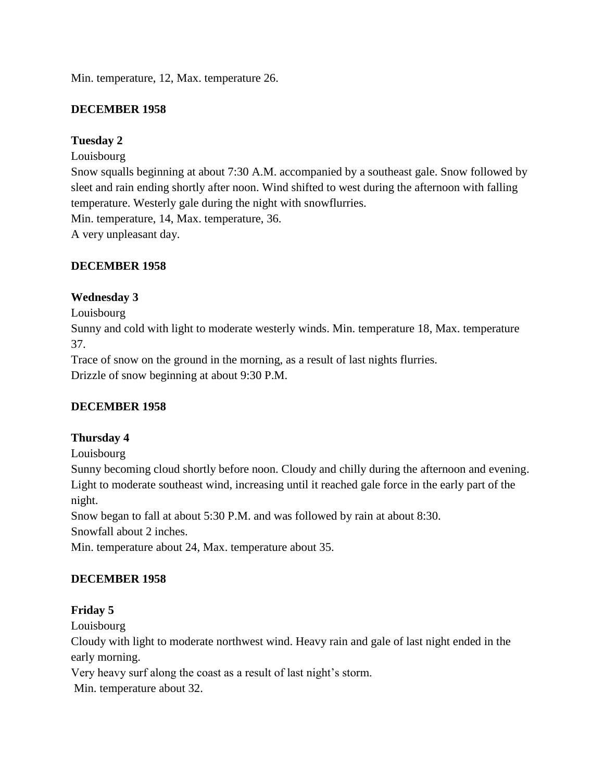Min. temperature, 12, Max. temperature 26.

# **DECEMBER 1958**

# **Tuesday 2**

Louisbourg

Snow squalls beginning at about 7:30 A.M. accompanied by a southeast gale. Snow followed by sleet and rain ending shortly after noon. Wind shifted to west during the afternoon with falling temperature. Westerly gale during the night with snowflurries.

Min. temperature, 14, Max. temperature, 36.

A very unpleasant day.

# **DECEMBER 1958**

# **Wednesday 3**

Louisbourg

Sunny and cold with light to moderate westerly winds. Min. temperature 18, Max. temperature 37.

Trace of snow on the ground in the morning, as a result of last nights flurries. Drizzle of snow beginning at about 9:30 P.M.

# **DECEMBER 1958**

# **Thursday 4**

Louisbourg

Sunny becoming cloud shortly before noon. Cloudy and chilly during the afternoon and evening. Light to moderate southeast wind, increasing until it reached gale force in the early part of the night.

Snow began to fall at about 5:30 P.M. and was followed by rain at about 8:30.

Snowfall about 2 inches.

Min. temperature about 24, Max. temperature about 35.

# **DECEMBER 1958**

# **Friday 5**

Louisbourg

Cloudy with light to moderate northwest wind. Heavy rain and gale of last night ended in the early morning.

Very heavy surf along the coast as a result of last night's storm.

Min. temperature about 32.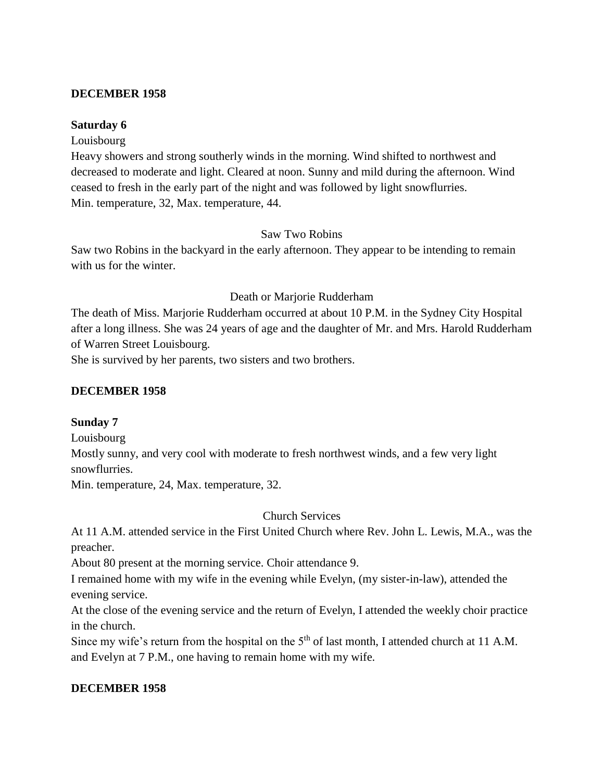#### **DECEMBER 1958**

#### **Saturday 6**

#### Louisbourg

Heavy showers and strong southerly winds in the morning. Wind shifted to northwest and decreased to moderate and light. Cleared at noon. Sunny and mild during the afternoon. Wind ceased to fresh in the early part of the night and was followed by light snowflurries. Min. temperature, 32, Max. temperature, 44.

#### Saw Two Robins

Saw two Robins in the backyard in the early afternoon. They appear to be intending to remain with us for the winter.

#### Death or Marjorie Rudderham

The death of Miss. Marjorie Rudderham occurred at about 10 P.M. in the Sydney City Hospital after a long illness. She was 24 years of age and the daughter of Mr. and Mrs. Harold Rudderham of Warren Street Louisbourg.

She is survived by her parents, two sisters and two brothers.

# **DECEMBER 1958**

# **Sunday 7**

Louisbourg

Mostly sunny, and very cool with moderate to fresh northwest winds, and a few very light snowflurries.

Min. temperature, 24, Max. temperature, 32.

Church Services

At 11 A.M. attended service in the First United Church where Rev. John L. Lewis, M.A., was the preacher.

About 80 present at the morning service. Choir attendance 9.

I remained home with my wife in the evening while Evelyn, (my sister-in-law), attended the evening service.

At the close of the evening service and the return of Evelyn, I attended the weekly choir practice in the church.

Since my wife's return from the hospital on the 5<sup>th</sup> of last month, I attended church at 11 A.M. and Evelyn at 7 P.M., one having to remain home with my wife.

# **DECEMBER 1958**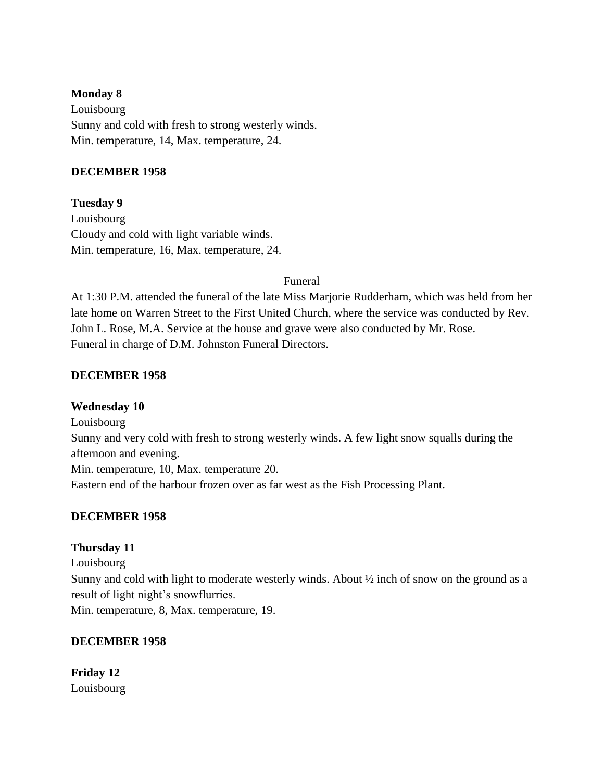#### **Monday 8**

Louisbourg Sunny and cold with fresh to strong westerly winds. Min. temperature, 14, Max. temperature, 24.

#### **DECEMBER 1958**

# **Tuesday 9**

Louisbourg Cloudy and cold with light variable winds. Min. temperature, 16, Max. temperature, 24.

#### Funeral

At 1:30 P.M. attended the funeral of the late Miss Marjorie Rudderham, which was held from her late home on Warren Street to the First United Church, where the service was conducted by Rev. John L. Rose, M.A. Service at the house and grave were also conducted by Mr. Rose. Funeral in charge of D.M. Johnston Funeral Directors.

# **DECEMBER 1958**

# **Wednesday 10**

Louisbourg Sunny and very cold with fresh to strong westerly winds. A few light snow squalls during the afternoon and evening. Min. temperature, 10, Max. temperature 20. Eastern end of the harbour frozen over as far west as the Fish Processing Plant.

# **DECEMBER 1958**

# **Thursday 11**

Louisbourg Sunny and cold with light to moderate westerly winds. About  $\frac{1}{2}$  inch of snow on the ground as a result of light night's snowflurries. Min. temperature, 8, Max. temperature, 19.

# **DECEMBER 1958**

**Friday 12** Louisbourg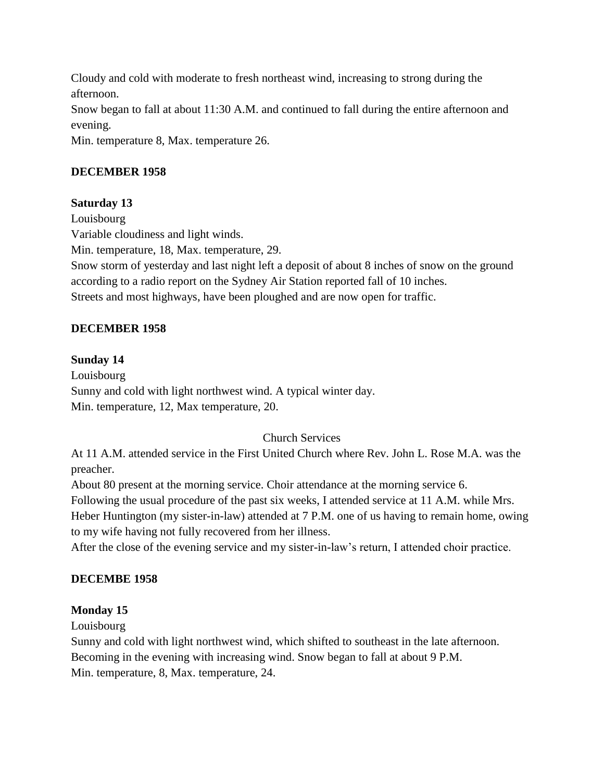Cloudy and cold with moderate to fresh northeast wind, increasing to strong during the afternoon. Snow began to fall at about 11:30 A.M. and continued to fall during the entire afternoon and evening. Min. temperature 8, Max. temperature 26.

# **DECEMBER 1958**

# **Saturday 13**

Louisbourg Variable cloudiness and light winds. Min. temperature, 18, Max. temperature, 29. Snow storm of yesterday and last night left a deposit of about 8 inches of snow on the ground according to a radio report on the Sydney Air Station reported fall of 10 inches. Streets and most highways, have been ploughed and are now open for traffic.

# **DECEMBER 1958**

# **Sunday 14**

Louisbourg Sunny and cold with light northwest wind. A typical winter day. Min. temperature, 12, Max temperature, 20.

# Church Services

At 11 A.M. attended service in the First United Church where Rev. John L. Rose M.A. was the preacher.

About 80 present at the morning service. Choir attendance at the morning service 6.

Following the usual procedure of the past six weeks, I attended service at 11 A.M. while Mrs. Heber Huntington (my sister-in-law) attended at 7 P.M. one of us having to remain home, owing to my wife having not fully recovered from her illness.

After the close of the evening service and my sister-in-law's return, I attended choir practice.

# **DECEMBE 1958**

# **Monday 15**

Louisbourg

Sunny and cold with light northwest wind, which shifted to southeast in the late afternoon. Becoming in the evening with increasing wind. Snow began to fall at about 9 P.M. Min. temperature, 8, Max. temperature, 24.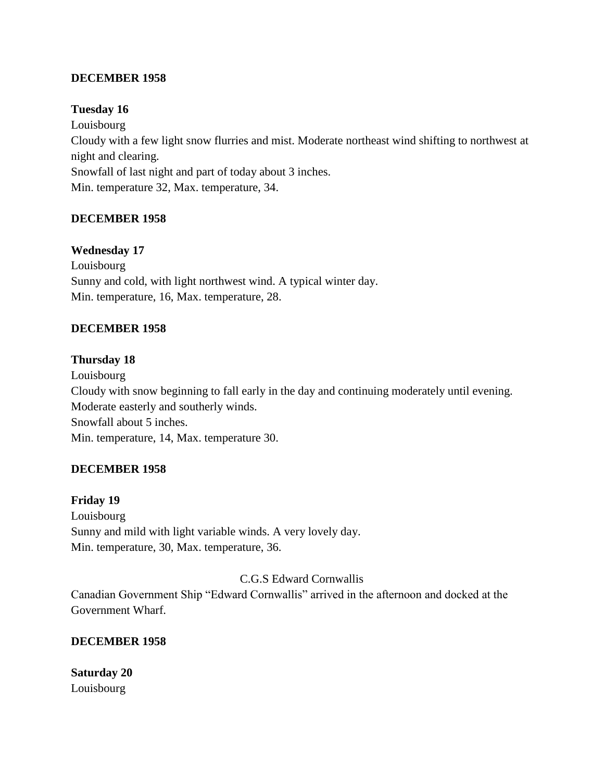# **DECEMBER 1958**

# **Tuesday 16**

Louisbourg Cloudy with a few light snow flurries and mist. Moderate northeast wind shifting to northwest at night and clearing. Snowfall of last night and part of today about 3 inches. Min. temperature 32, Max. temperature, 34.

# **DECEMBER 1958**

# **Wednesday 17**

Louisbourg Sunny and cold, with light northwest wind. A typical winter day. Min. temperature, 16, Max. temperature, 28.

# **DECEMBER 1958**

#### **Thursday 18**

Louisbourg Cloudy with snow beginning to fall early in the day and continuing moderately until evening. Moderate easterly and southerly winds. Snowfall about 5 inches. Min. temperature, 14, Max. temperature 30.

# **DECEMBER 1958**

#### **Friday 19**

Louisbourg Sunny and mild with light variable winds. A very lovely day. Min. temperature, 30, Max. temperature, 36.

C.G.S Edward Cornwallis

Canadian Government Ship "Edward Cornwallis" arrived in the afternoon and docked at the Government Wharf.

# **DECEMBER 1958**

**Saturday 20** Louisbourg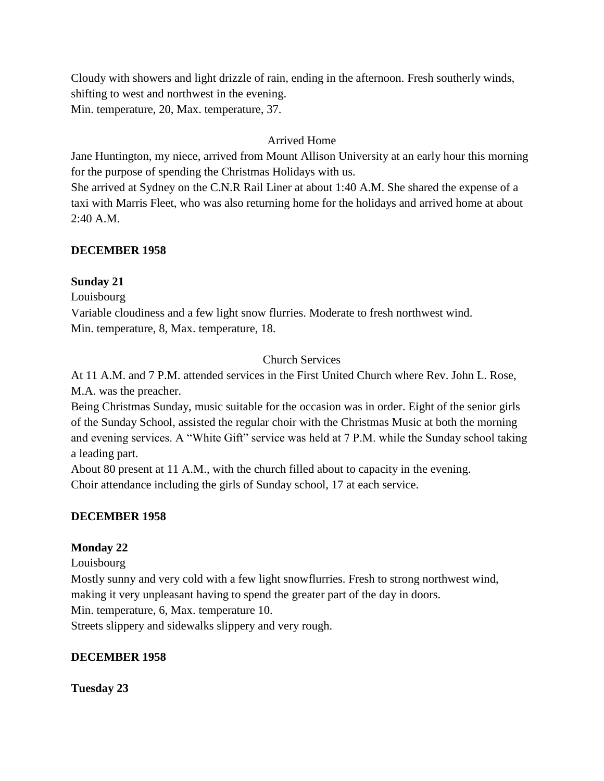Cloudy with showers and light drizzle of rain, ending in the afternoon. Fresh southerly winds, shifting to west and northwest in the evening. Min. temperature, 20, Max. temperature, 37.

# Arrived Home

Jane Huntington, my niece, arrived from Mount Allison University at an early hour this morning for the purpose of spending the Christmas Holidays with us.

She arrived at Sydney on the C.N.R Rail Liner at about 1:40 A.M. She shared the expense of a taxi with Marris Fleet, who was also returning home for the holidays and arrived home at about 2:40 A.M.

# **DECEMBER 1958**

# **Sunday 21**

Louisbourg

Variable cloudiness and a few light snow flurries. Moderate to fresh northwest wind. Min. temperature, 8, Max. temperature, 18.

# Church Services

At 11 A.M. and 7 P.M. attended services in the First United Church where Rev. John L. Rose, M.A. was the preacher.

Being Christmas Sunday, music suitable for the occasion was in order. Eight of the senior girls of the Sunday School, assisted the regular choir with the Christmas Music at both the morning and evening services. A "White Gift" service was held at 7 P.M. while the Sunday school taking a leading part.

About 80 present at 11 A.M., with the church filled about to capacity in the evening. Choir attendance including the girls of Sunday school, 17 at each service.

# **DECEMBER 1958**

# **Monday 22**

Louisbourg

Mostly sunny and very cold with a few light snowflurries. Fresh to strong northwest wind, making it very unpleasant having to spend the greater part of the day in doors.

Min. temperature, 6, Max. temperature 10.

Streets slippery and sidewalks slippery and very rough.

# **DECEMBER 1958**

**Tuesday 23**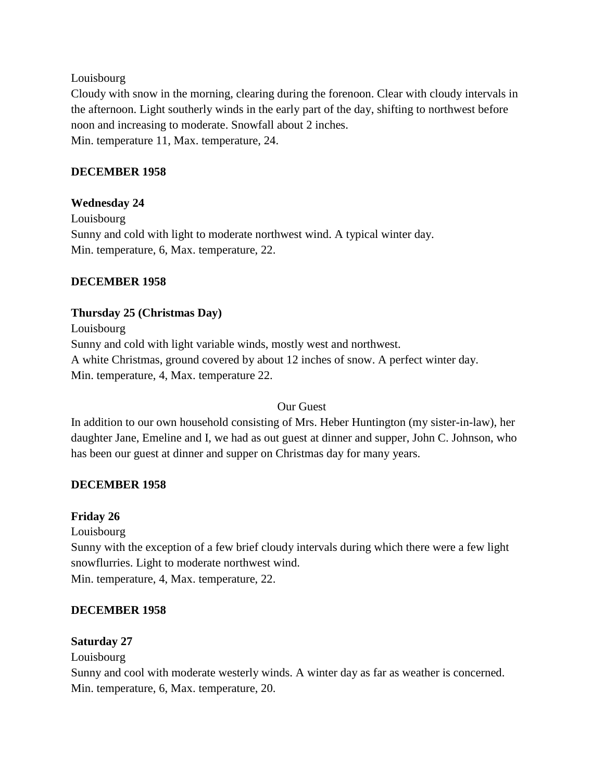#### Louisbourg

Cloudy with snow in the morning, clearing during the forenoon. Clear with cloudy intervals in the afternoon. Light southerly winds in the early part of the day, shifting to northwest before noon and increasing to moderate. Snowfall about 2 inches. Min. temperature 11, Max. temperature, 24.

# **DECEMBER 1958**

# **Wednesday 24**

Louisbourg Sunny and cold with light to moderate northwest wind. A typical winter day. Min. temperature, 6, Max. temperature, 22.

# **DECEMBER 1958**

# **Thursday 25 (Christmas Day)**

Louisbourg Sunny and cold with light variable winds, mostly west and northwest. A white Christmas, ground covered by about 12 inches of snow. A perfect winter day. Min. temperature, 4, Max. temperature 22.

# Our Guest

In addition to our own household consisting of Mrs. Heber Huntington (my sister-in-law), her daughter Jane, Emeline and I, we had as out guest at dinner and supper, John C. Johnson, who has been our guest at dinner and supper on Christmas day for many years.

# **DECEMBER 1958**

# **Friday 26**

Louisbourg

Sunny with the exception of a few brief cloudy intervals during which there were a few light snowflurries. Light to moderate northwest wind.

Min. temperature, 4, Max. temperature, 22.

# **DECEMBER 1958**

# **Saturday 27**

Louisbourg

Sunny and cool with moderate westerly winds. A winter day as far as weather is concerned. Min. temperature, 6, Max. temperature, 20.